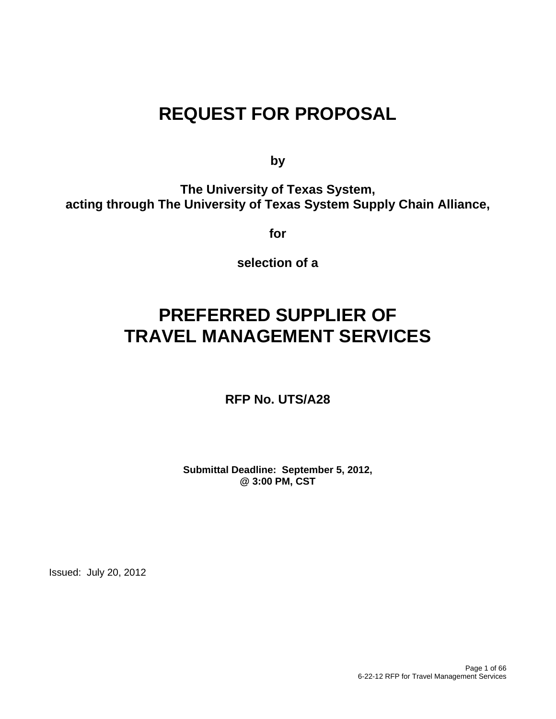# **REQUEST FOR PROPOSAL**

**by** 

**The University of Texas System, acting through The University of Texas System Supply Chain Alliance,** 

**for** 

**selection of a** 

# **PREFERRED SUPPLIER OF TRAVEL MANAGEMENT SERVICES**

**RFP No. UTS/A28** 

**Submittal Deadline: September 5, 2012, @ 3:00 PM, CST**

Issued: July 20, 2012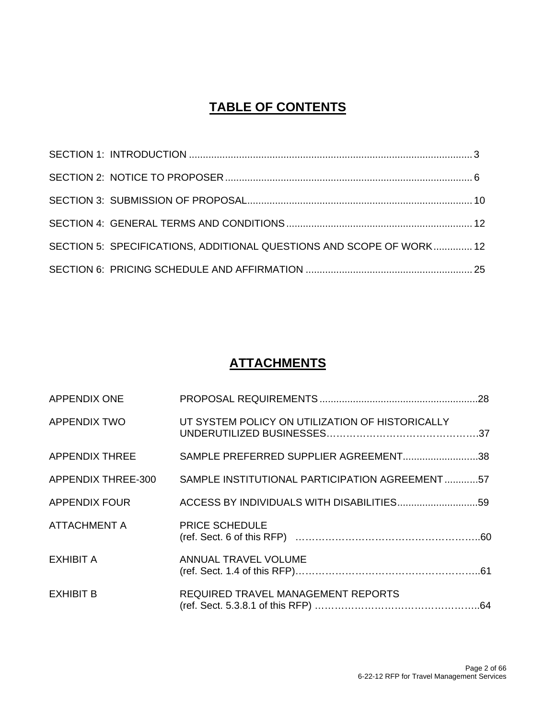## **TABLE OF CONTENTS**

| SECTION 5: SPECIFICATIONS, ADDITIONAL QUESTIONS AND SCOPE OF WORK 12 |  |
|----------------------------------------------------------------------|--|
|                                                                      |  |

## **ATTACHMENTS**

| <b>APPENDIX ONE</b>   |                                                 |
|-----------------------|-------------------------------------------------|
| APPENDIX TWO          | UT SYSTEM POLICY ON UTILIZATION OF HISTORICALLY |
| <b>APPENDIX THREE</b> | SAMPLE PREFERRED SUPPLIER AGREEMENT38           |
| APPENDIX THREE-300    | SAMPLE INSTITUTIONAL PARTICIPATION AGREEMENT57  |
| APPENDIX FOUR         |                                                 |
| ATTACHMENT A          | <b>PRICE SCHEDULE</b>                           |
| EXHIBIT A             | ANNUAL TRAVEL VOLUME                            |
| <b>EXHIBIT B</b>      | REQUIRED TRAVEL MANAGEMENT REPORTS              |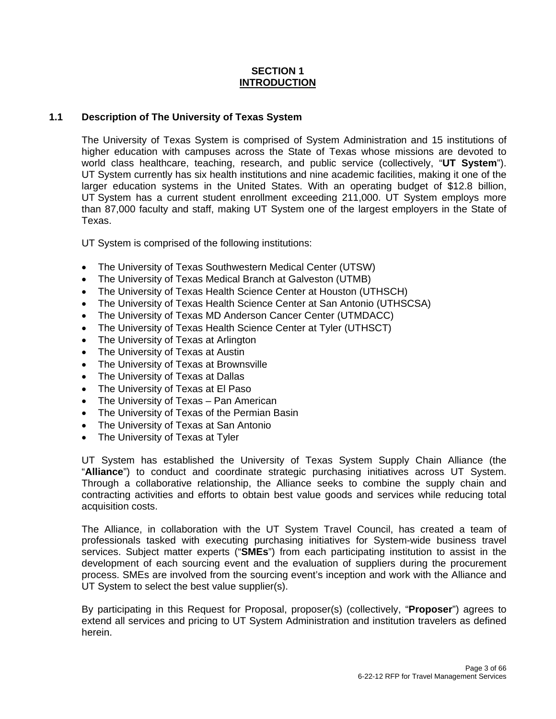#### **SECTION 1 INTRODUCTION**

#### **1.1 Description of The University of Texas System**

The University of Texas System is comprised of System Administration and 15 institutions of higher education with campuses across the State of Texas whose missions are devoted to world class healthcare, teaching, research, and public service (collectively, "**UT System**"). UT System currently has six health institutions and nine academic facilities, making it one of the larger education systems in the United States. With an operating budget of \$12.8 billion, UT System has a current student enrollment exceeding 211,000. UT System employs more than 87,000 faculty and staff, making UT System one of the largest employers in the State of Texas.

UT System is comprised of the following institutions:

- The University of Texas Southwestern Medical Center (UTSW)
- The University of Texas Medical Branch at Galveston (UTMB)
- The University of Texas Health Science Center at Houston (UTHSCH)
- The University of Texas Health Science Center at San Antonio (UTHSCSA)
- The University of Texas MD Anderson Cancer Center (UTMDACC)
- The University of Texas Health Science Center at Tyler (UTHSCT)
- The University of Texas at Arlington
- The University of Texas at Austin
- The University of Texas at Brownsville
- The University of Texas at Dallas
- The University of Texas at El Paso
- The University of Texas Pan American
- The University of Texas of the Permian Basin
- The University of Texas at San Antonio
- The University of Texas at Tyler

UT System has established the University of Texas System Supply Chain Alliance (the "**Alliance**") to conduct and coordinate strategic purchasing initiatives across UT System. Through a collaborative relationship, the Alliance seeks to combine the supply chain and contracting activities and efforts to obtain best value goods and services while reducing total acquisition costs.

The Alliance, in collaboration with the UT System Travel Council, has created a team of professionals tasked with executing purchasing initiatives for System-wide business travel services. Subject matter experts ("**SMEs**") from each participating institution to assist in the development of each sourcing event and the evaluation of suppliers during the procurement process. SMEs are involved from the sourcing event's inception and work with the Alliance and UT System to select the best value supplier(s).

By participating in this Request for Proposal, proposer(s) (collectively, "**Proposer**") agrees to extend all services and pricing to UT System Administration and institution travelers as defined herein.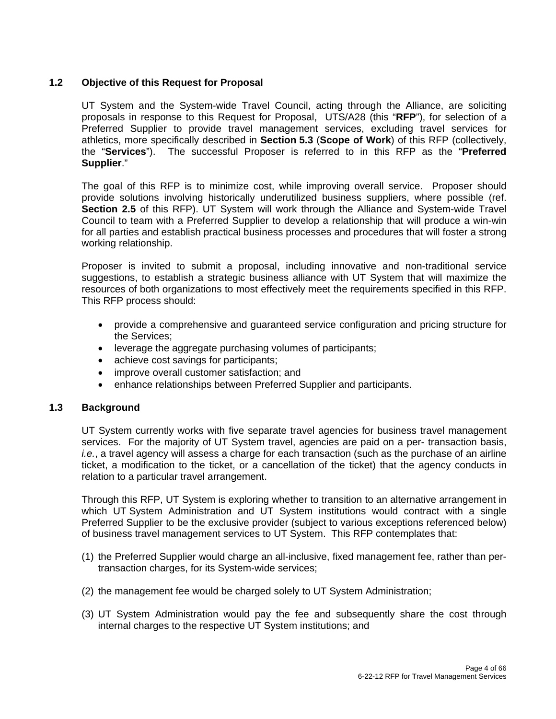#### **1.2 Objective of this Request for Proposal**

UT System and the System-wide Travel Council, acting through the Alliance, are soliciting proposals in response to this Request for Proposal, UTS/A28 (this "**RFP**"), for selection of a Preferred Supplier to provide travel management services, excluding travel services for athletics, more specifically described in **Section 5.3** (**Scope of Work**) of this RFP (collectively, the "**Services**"). The successful Proposer is referred to in this RFP as the "**Preferred Supplier**."

The goal of this RFP is to minimize cost, while improving overall service. Proposer should provide solutions involving historically underutilized business suppliers, where possible (ref. **Section 2.5** of this RFP). UT System will work through the Alliance and System-wide Travel Council to team with a Preferred Supplier to develop a relationship that will produce a win-win for all parties and establish practical business processes and procedures that will foster a strong working relationship.

Proposer is invited to submit a proposal, including innovative and non-traditional service suggestions, to establish a strategic business alliance with UT System that will maximize the resources of both organizations to most effectively meet the requirements specified in this RFP. This RFP process should:

- provide a comprehensive and guaranteed service configuration and pricing structure for the Services;
- leverage the aggregate purchasing volumes of participants;
- achieve cost savings for participants;
- improve overall customer satisfaction; and
- enhance relationships between Preferred Supplier and participants.

#### **1.3 Background**

UT System currently works with five separate travel agencies for business travel management services. For the majority of UT System travel, agencies are paid on a per- transaction basis, *i.e.*, a travel agency will assess a charge for each transaction (such as the purchase of an airline ticket, a modification to the ticket, or a cancellation of the ticket) that the agency conducts in relation to a particular travel arrangement.

Through this RFP, UT System is exploring whether to transition to an alternative arrangement in which UT System Administration and UT System institutions would contract with a single Preferred Supplier to be the exclusive provider (subject to various exceptions referenced below) of business travel management services to UT System. This RFP contemplates that:

- (1) the Preferred Supplier would charge an all-inclusive, fixed management fee, rather than pertransaction charges, for its System-wide services;
- (2) the management fee would be charged solely to UT System Administration;
- (3) UT System Administration would pay the fee and subsequently share the cost through internal charges to the respective UT System institutions; and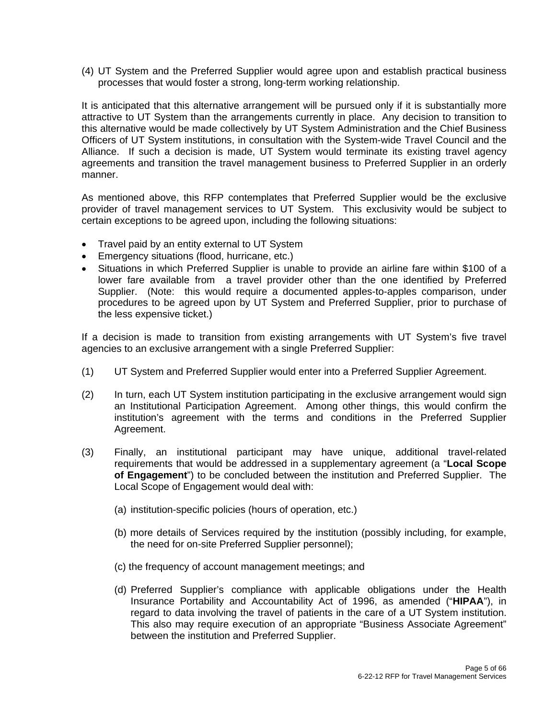(4) UT System and the Preferred Supplier would agree upon and establish practical business processes that would foster a strong, long-term working relationship.

It is anticipated that this alternative arrangement will be pursued only if it is substantially more attractive to UT System than the arrangements currently in place. Any decision to transition to this alternative would be made collectively by UT System Administration and the Chief Business Officers of UT System institutions, in consultation with the System-wide Travel Council and the Alliance. If such a decision is made, UT System would terminate its existing travel agency agreements and transition the travel management business to Preferred Supplier in an orderly manner.

As mentioned above, this RFP contemplates that Preferred Supplier would be the exclusive provider of travel management services to UT System. This exclusivity would be subject to certain exceptions to be agreed upon, including the following situations:

- Travel paid by an entity external to UT System
- **Emergency situations (flood, hurricane, etc.)**
- Situations in which Preferred Supplier is unable to provide an airline fare within \$100 of a lower fare available from a travel provider other than the one identified by Preferred Supplier. (Note: this would require a documented apples-to-apples comparison, under procedures to be agreed upon by UT System and Preferred Supplier, prior to purchase of the less expensive ticket.)

If a decision is made to transition from existing arrangements with UT System's five travel agencies to an exclusive arrangement with a single Preferred Supplier:

- (1) UT System and Preferred Supplier would enter into a Preferred Supplier Agreement.
- (2) In turn, each UT System institution participating in the exclusive arrangement would sign an Institutional Participation Agreement. Among other things, this would confirm the institution's agreement with the terms and conditions in the Preferred Supplier Agreement.
- (3) Finally, an institutional participant may have unique, additional travel-related requirements that would be addressed in a supplementary agreement (a "**Local Scope of Engagement**") to be concluded between the institution and Preferred Supplier. The Local Scope of Engagement would deal with:
	- (a) institution-specific policies (hours of operation, etc.)
	- (b) more details of Services required by the institution (possibly including, for example, the need for on-site Preferred Supplier personnel);
	- (c) the frequency of account management meetings; and
	- (d) Preferred Supplier's compliance with applicable obligations under the Health Insurance Portability and Accountability Act of 1996, as amended ("**HIPAA**"), in regard to data involving the travel of patients in the care of a UT System institution. This also may require execution of an appropriate "Business Associate Agreement" between the institution and Preferred Supplier.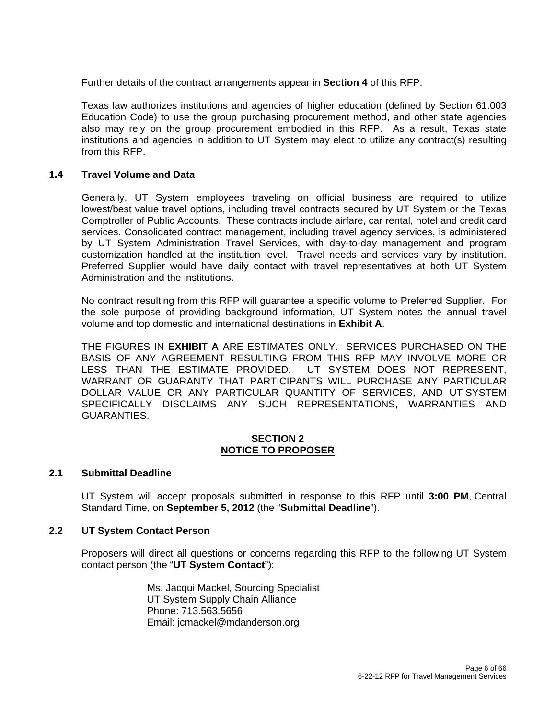Further details of the contract arrangements appear in **Section 4** of this RFP.

Texas law authorizes institutions and agencies of higher education (defined by Section 61.003 Education Code) to use the group purchasing procurement method, and other state agencies also may rely on the group procurement embodied in this RFP. As a result, Texas state institutions and agencies in addition to UT System may elect to utilize any contract(s) resulting from this RFP.

#### **1.4 Travel Volume and Data**

Generally, UT System employees traveling on official business are required to utilize lowest/best value travel options, including travel contracts secured by UT System or the Texas Comptroller of Public Accounts. These contracts include airfare, car rental, hotel and credit card services. Consolidated contract management, including travel agency services, is administered by UT System Administration Travel Services, with day-to-day management and program customization handled at the institution level. Travel needs and services vary by institution. Preferred Supplier would have daily contact with travel representatives at both UT System Administration and the institutions.

No contract resulting from this RFP will guarantee a specific volume to Preferred Supplier. For the sole purpose of providing background information, UT System notes the annual travel volume and top domestic and international destinations in **Exhibit A**.

THE FIGURES IN **EXHIBIT A** ARE ESTIMATES ONLY. SERVICES PURCHASED ON THE BASIS OF ANY AGREEMENT RESULTING FROM THIS RFP MAY INVOLVE MORE OR LESS THAN THE ESTIMATE PROVIDED. UT SYSTEM DOES NOT REPRESENT, WARRANT OR GUARANTY THAT PARTICIPANTS WILL PURCHASE ANY PARTICULAR DOLLAR VALUE OR ANY PARTICULAR QUANTITY OF SERVICES, AND UT SYSTEM SPECIFICALLY DISCLAIMS ANY SUCH REPRESENTATIONS, WARRANTIES AND GUARANTIES.

#### **SECTION 2 NOTICE TO PROPOSER**

#### **2.1 Submittal Deadline**

UT System will accept proposals submitted in response to this RFP until **3:00 PM**, Central Standard Time, on **September 5, 2012** (the "**Submittal Deadline**").

#### **2.2 UT System Contact Person**

Proposers will direct all questions or concerns regarding this RFP to the following UT System contact person (the "**UT System Contact**"):

> Ms. Jacqui Mackel, Sourcing Specialist UT System Supply Chain Alliance Phone: 713.563.5656 Email: jcmackel@mdanderson.org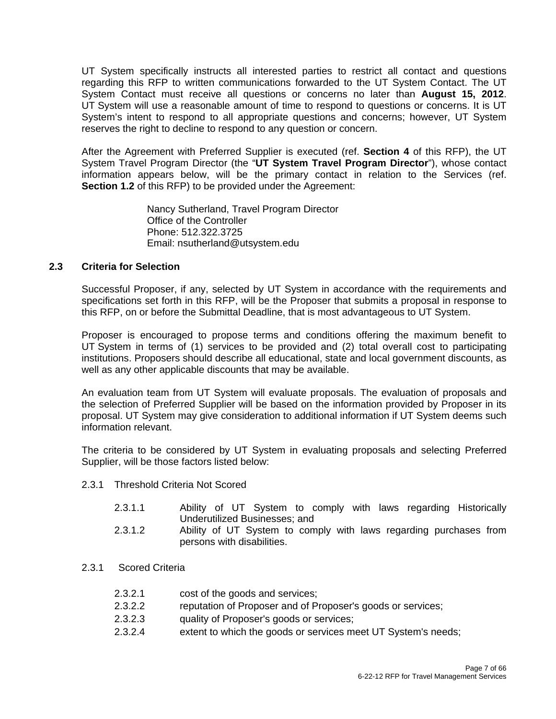UT System specifically instructs all interested parties to restrict all contact and questions regarding this RFP to written communications forwarded to the UT System Contact. The UT System Contact must receive all questions or concerns no later than **August 15, 2012**. UT System will use a reasonable amount of time to respond to questions or concerns. It is UT System's intent to respond to all appropriate questions and concerns; however, UT System reserves the right to decline to respond to any question or concern.

After the Agreement with Preferred Supplier is executed (ref. **Section 4** of this RFP), the UT System Travel Program Director (the "**UT System Travel Program Director**"), whose contact information appears below, will be the primary contact in relation to the Services (ref. **Section 1.2** of this RFP) to be provided under the Agreement:

> Nancy Sutherland, Travel Program Director Office of the Controller Phone: 512.322.3725 Email: nsutherland@utsystem.edu

#### **2.3 Criteria for Selection**

Successful Proposer, if any, selected by UT System in accordance with the requirements and specifications set forth in this RFP, will be the Proposer that submits a proposal in response to this RFP, on or before the Submittal Deadline, that is most advantageous to UT System.

Proposer is encouraged to propose terms and conditions offering the maximum benefit to UT System in terms of (1) services to be provided and (2) total overall cost to participating institutions. Proposers should describe all educational, state and local government discounts, as well as any other applicable discounts that may be available.

An evaluation team from UT System will evaluate proposals. The evaluation of proposals and the selection of Preferred Supplier will be based on the information provided by Proposer in its proposal. UT System may give consideration to additional information if UT System deems such information relevant.

The criteria to be considered by UT System in evaluating proposals and selecting Preferred Supplier, will be those factors listed below:

- 2.3.1 Threshold Criteria Not Scored
	- 2.3.1.1 Ability of UT System to comply with laws regarding Historically Underutilized Businesses; and
	- 2.3.1.2 Ability of UT System to comply with laws regarding purchases from persons with disabilities.
- 2.3.1 Scored Criteria
	- 2.3.2.1 cost of the goods and services;
	- 2.3.2.2 reputation of Proposer and of Proposer's goods or services;
	- 2.3.2.3 quality of Proposer's goods or services;
	- 2.3.2.4 extent to which the goods or services meet UT System's needs;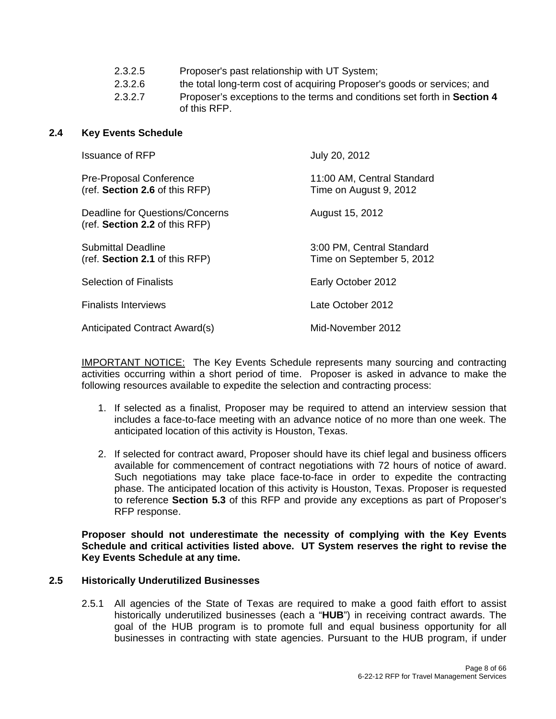2.3.2.6 the total long-term cost of acquiring Proposer's goods or services; and

 2.3.2.7 Proposer's exceptions to the terms and conditions set forth in **Section 4** of this RFP.

#### **2.4 Key Events Schedule**

| <b>Issuance of RFP</b>                                            | July 20, 2012                                          |
|-------------------------------------------------------------------|--------------------------------------------------------|
| Pre-Proposal Conference<br>(ref. Section 2.6 of this RFP)         | 11:00 AM, Central Standard<br>Time on August 9, 2012   |
| Deadline for Questions/Concerns<br>(ref. Section 2.2 of this RFP) | August 15, 2012                                        |
| Submittal Deadline<br>(ref. Section 2.1 of this RFP)              | 3:00 PM, Central Standard<br>Time on September 5, 2012 |
| <b>Selection of Finalists</b>                                     | Early October 2012                                     |
| <b>Finalists Interviews</b>                                       | Late October 2012                                      |
| <b>Anticipated Contract Award(s)</b>                              | Mid-November 2012                                      |

IMPORTANT NOTICE: The Key Events Schedule represents many sourcing and contracting activities occurring within a short period of time. Proposer is asked in advance to make the following resources available to expedite the selection and contracting process:

- 1. If selected as a finalist, Proposer may be required to attend an interview session that includes a face-to-face meeting with an advance notice of no more than one week. The anticipated location of this activity is Houston, Texas.
- 2. If selected for contract award, Proposer should have its chief legal and business officers available for commencement of contract negotiations with 72 hours of notice of award. Such negotiations may take place face-to-face in order to expedite the contracting phase. The anticipated location of this activity is Houston, Texas. Proposer is requested to reference **Section 5.3** of this RFP and provide any exceptions as part of Proposer's RFP response.

**Proposer should not underestimate the necessity of complying with the Key Events Schedule and critical activities listed above. UT System reserves the right to revise the Key Events Schedule at any time.** 

#### **2.5 Historically Underutilized Businesses**

2.5.1 All agencies of the State of Texas are required to make a good faith effort to assist historically underutilized businesses (each a "**HUB**") in receiving contract awards. The goal of the HUB program is to promote full and equal business opportunity for all businesses in contracting with state agencies. Pursuant to the HUB program, if under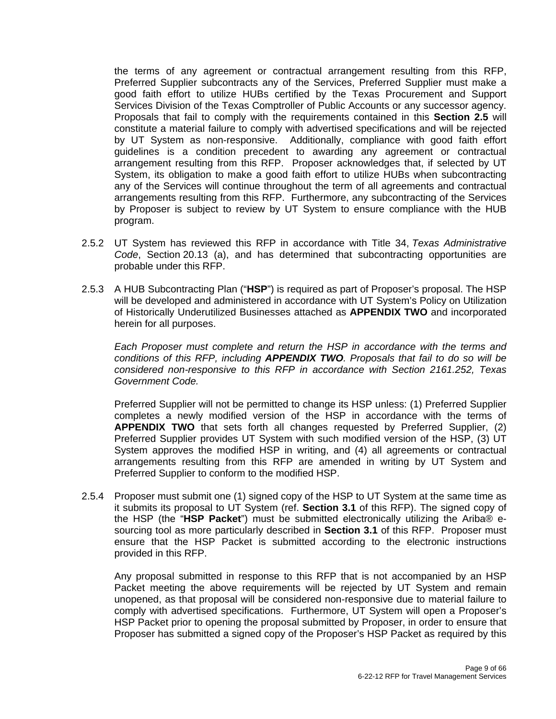the terms of any agreement or contractual arrangement resulting from this RFP, Preferred Supplier subcontracts any of the Services, Preferred Supplier must make a good faith effort to utilize HUBs certified by the Texas Procurement and Support Services Division of the Texas Comptroller of Public Accounts or any successor agency. Proposals that fail to comply with the requirements contained in this **Section 2.5** will constitute a material failure to comply with advertised specifications and will be rejected by UT System as non-responsive. Additionally, compliance with good faith effort guidelines is a condition precedent to awarding any agreement or contractual arrangement resulting from this RFP. Proposer acknowledges that, if selected by UT System, its obligation to make a good faith effort to utilize HUBs when subcontracting any of the Services will continue throughout the term of all agreements and contractual arrangements resulting from this RFP. Furthermore, any subcontracting of the Services by Proposer is subject to review by UT System to ensure compliance with the HUB program.

- 2.5.2 UT System has reviewed this RFP in accordance with Title 34, *Texas Administrative Code*, Section 20.13 (a), and has determined that subcontracting opportunities are probable under this RFP.
- 2.5.3 A HUB Subcontracting Plan ("**HSP**") is required as part of Proposer's proposal. The HSP will be developed and administered in accordance with UT System's Policy on Utilization of Historically Underutilized Businesses attached as **APPENDIX TWO** and incorporated herein for all purposes.

*Each Proposer must complete and return the HSP in accordance with the terms and conditions of this RFP, including APPENDIX TWO. Proposals that fail to do so will be considered non-responsive to this RFP in accordance with Section 2161.252, Texas Government Code.*

Preferred Supplier will not be permitted to change its HSP unless: (1) Preferred Supplier completes a newly modified version of the HSP in accordance with the terms of **APPENDIX TWO** that sets forth all changes requested by Preferred Supplier, (2) Preferred Supplier provides UT System with such modified version of the HSP, (3) UT System approves the modified HSP in writing, and (4) all agreements or contractual arrangements resulting from this RFP are amended in writing by UT System and Preferred Supplier to conform to the modified HSP.

2.5.4 Proposer must submit one (1) signed copy of the HSP to UT System at the same time as it submits its proposal to UT System (ref. **Section 3.1** of this RFP). The signed copy of the HSP (the "**HSP Packet**") must be submitted electronically utilizing the Ariba® esourcing tool as more particularly described in **Section 3.1** of this RFP. Proposer must ensure that the HSP Packet is submitted according to the electronic instructions provided in this RFP.

Any proposal submitted in response to this RFP that is not accompanied by an HSP Packet meeting the above requirements will be rejected by UT System and remain unopened, as that proposal will be considered non-responsive due to material failure to comply with advertised specifications. Furthermore, UT System will open a Proposer's HSP Packet prior to opening the proposal submitted by Proposer, in order to ensure that Proposer has submitted a signed copy of the Proposer's HSP Packet as required by this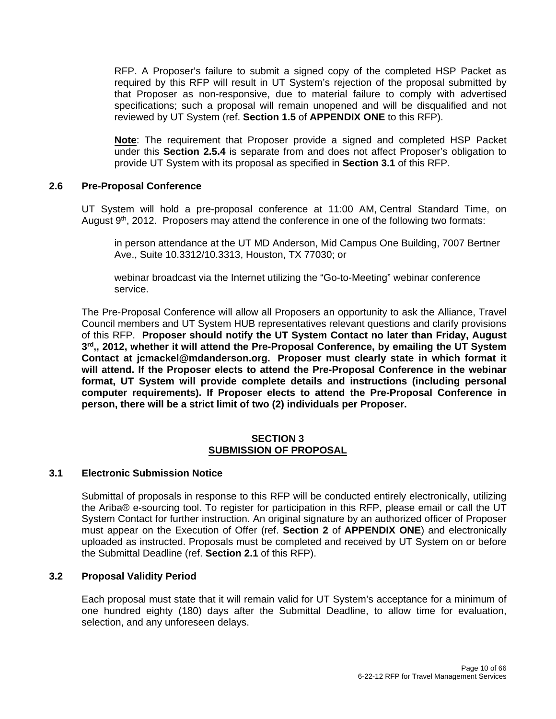RFP. A Proposer's failure to submit a signed copy of the completed HSP Packet as required by this RFP will result in UT System's rejection of the proposal submitted by that Proposer as non-responsive, due to material failure to comply with advertised specifications; such a proposal will remain unopened and will be disqualified and not reviewed by UT System (ref. **Section 1.5** of **APPENDIX ONE** to this RFP).

**Note**: The requirement that Proposer provide a signed and completed HSP Packet under this **Section 2.5.4** is separate from and does not affect Proposer's obligation to provide UT System with its proposal as specified in **Section 3.1** of this RFP.

#### **2.6 Pre-Proposal Conference**

UT System will hold a pre-proposal conference at 11:00 AM, Central Standard Time, on August  $9<sup>th</sup>$ , 2012. Proposers may attend the conference in one of the following two formats:

in person attendance at the UT MD Anderson, Mid Campus One Building, 7007 Bertner Ave., Suite 10.3312/10.3313, Houston, TX 77030; or

webinar broadcast via the Internet utilizing the "Go-to-Meeting" webinar conference service.

The Pre-Proposal Conference will allow all Proposers an opportunity to ask the Alliance, Travel Council members and UT System HUB representatives relevant questions and clarify provisions of this RFP. **Proposer should notify the UT System Contact no later than Friday, August 3rd,, 2012, whether it will attend the Pre-Proposal Conference, by emailing the UT System Contact at jcmackel@mdanderson.org. Proposer must clearly state in which format it will attend. If the Proposer elects to attend the Pre-Proposal Conference in the webinar format, UT System will provide complete details and instructions (including personal computer requirements). If Proposer elects to attend the Pre-Proposal Conference in person, there will be a strict limit of two (2) individuals per Proposer.** 

#### **SECTION 3 SUBMISSION OF PROPOSAL**

#### **3.1 Electronic Submission Notice**

Submittal of proposals in response to this RFP will be conducted entirely electronically, utilizing the Ariba® e-sourcing tool. To register for participation in this RFP, please email or call the UT System Contact for further instruction. An original signature by an authorized officer of Proposer must appear on the Execution of Offer (ref. **Section 2** of **APPENDIX ONE**) and electronically uploaded as instructed. Proposals must be completed and received by UT System on or before the Submittal Deadline (ref. **Section 2.1** of this RFP).

#### **3.2 Proposal Validity Period**

Each proposal must state that it will remain valid for UT System's acceptance for a minimum of one hundred eighty (180) days after the Submittal Deadline, to allow time for evaluation, selection, and any unforeseen delays.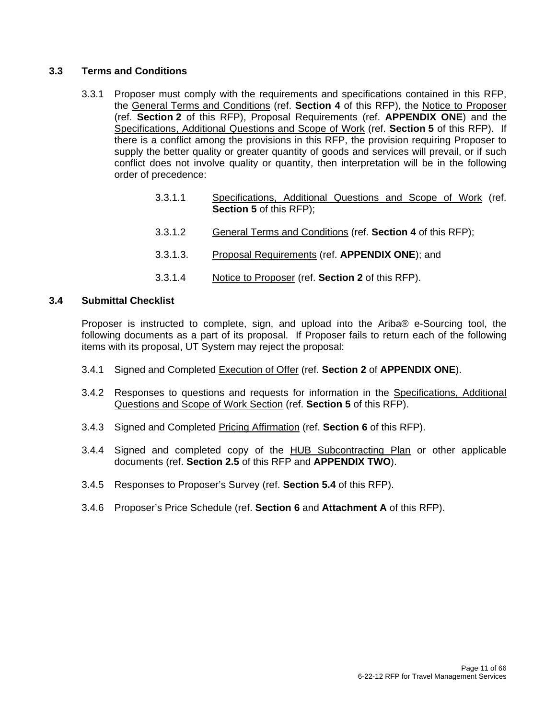#### **3.3 Terms and Conditions**

- 3.3.1 Proposer must comply with the requirements and specifications contained in this RFP, the General Terms and Conditions (ref. **Section 4** of this RFP), the Notice to Proposer (ref. **Section 2** of this RFP), Proposal Requirements (ref. **APPENDIX ONE**) and the Specifications, Additional Questions and Scope of Work (ref. **Section 5** of this RFP). If there is a conflict among the provisions in this RFP, the provision requiring Proposer to supply the better quality or greater quantity of goods and services will prevail, or if such conflict does not involve quality or quantity, then interpretation will be in the following order of precedence:
	- 3.3.1.1 Specifications, Additional Questions and Scope of Work (ref. **Section 5** of this RFP);
	- 3.3.1.2 General Terms and Conditions (ref. **Section 4** of this RFP);
	- 3.3.1.3. Proposal Requirements (ref. **APPENDIX ONE**); and
	- 3.3.1.4 Notice to Proposer (ref. **Section 2** of this RFP).

#### **3.4 Submittal Checklist**

Proposer is instructed to complete, sign, and upload into the Ariba® e-Sourcing tool, the following documents as a part of its proposal. If Proposer fails to return each of the following items with its proposal, UT System may reject the proposal:

- 3.4.1 Signed and Completed Execution of Offer (ref. **Section 2** of **APPENDIX ONE**).
- 3.4.2 Responses to questions and requests for information in the Specifications, Additional Questions and Scope of Work Section (ref. **Section 5** of this RFP).
- 3.4.3 Signed and Completed Pricing Affirmation (ref. **Section 6** of this RFP).
- 3.4.4 Signed and completed copy of the HUB Subcontracting Plan or other applicable documents (ref. **Section 2.5** of this RFP and **APPENDIX TWO**).
- 3.4.5 Responses to Proposer's Survey (ref. **Section 5.4** of this RFP).
- 3.4.6 Proposer's Price Schedule (ref. **Section 6** and **Attachment A** of this RFP).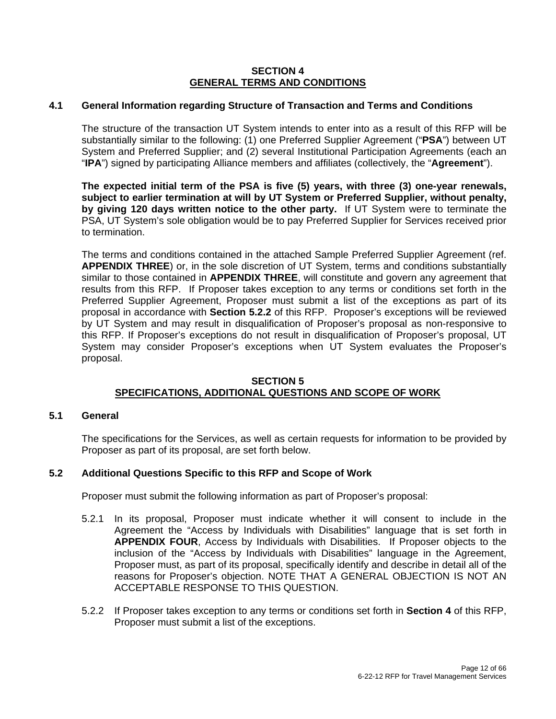#### **SECTION 4 GENERAL TERMS AND CONDITIONS**

#### **4.1 General Information regarding Structure of Transaction and Terms and Conditions**

The structure of the transaction UT System intends to enter into as a result of this RFP will be substantially similar to the following: (1) one Preferred Supplier Agreement ("**PSA**") between UT System and Preferred Supplier; and (2) several Institutional Participation Agreements (each an "**IPA**") signed by participating Alliance members and affiliates (collectively, the "**Agreement**").

**The expected initial term of the PSA is five (5) years, with three (3) one-year renewals, subject to earlier termination at will by UT System or Preferred Supplier, without penalty, by giving 120 days written notice to the other party.** If UT System were to terminate the PSA, UT System's sole obligation would be to pay Preferred Supplier for Services received prior to termination.

The terms and conditions contained in the attached Sample Preferred Supplier Agreement (ref. **APPENDIX THREE**) or, in the sole discretion of UT System, terms and conditions substantially similar to those contained in **APPENDIX THREE**, will constitute and govern any agreement that results from this RFP. If Proposer takes exception to any terms or conditions set forth in the Preferred Supplier Agreement, Proposer must submit a list of the exceptions as part of its proposal in accordance with **Section 5.2.2** of this RFP. Proposer's exceptions will be reviewed by UT System and may result in disqualification of Proposer's proposal as non-responsive to this RFP. If Proposer's exceptions do not result in disqualification of Proposer's proposal, UT System may consider Proposer's exceptions when UT System evaluates the Proposer's proposal.

#### **SECTION 5 SPECIFICATIONS, ADDITIONAL QUESTIONS AND SCOPE OF WORK**

#### **5.1 General**

The specifications for the Services, as well as certain requests for information to be provided by Proposer as part of its proposal, are set forth below.

#### **5.2 Additional Questions Specific to this RFP and Scope of Work**

Proposer must submit the following information as part of Proposer's proposal:

- 5.2.1 In its proposal, Proposer must indicate whether it will consent to include in the Agreement the "Access by Individuals with Disabilities" language that is set forth in **APPENDIX FOUR**, Access by Individuals with Disabilities. If Proposer objects to the inclusion of the "Access by Individuals with Disabilities" language in the Agreement, Proposer must, as part of its proposal, specifically identify and describe in detail all of the reasons for Proposer's objection. NOTE THAT A GENERAL OBJECTION IS NOT AN ACCEPTABLE RESPONSE TO THIS QUESTION.
- 5.2.2 If Proposer takes exception to any terms or conditions set forth in **Section 4** of this RFP, Proposer must submit a list of the exceptions.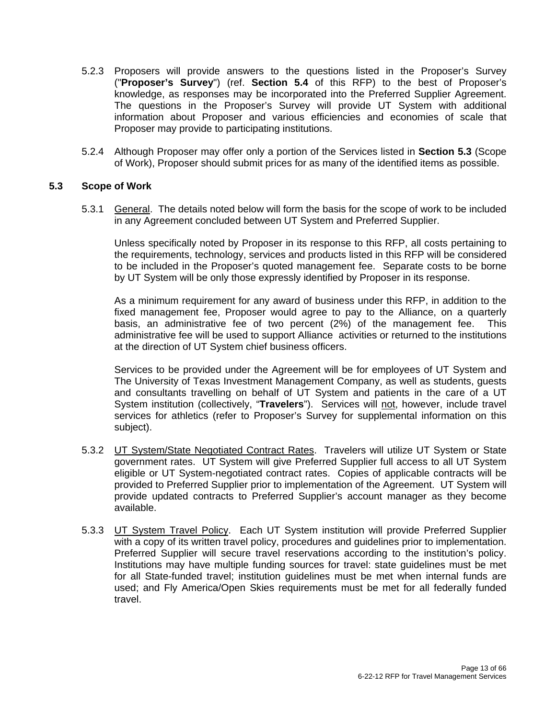- 5.2.3 Proposers will provide answers to the questions listed in the Proposer's Survey ("**Proposer's Survey**") (ref. **Section 5.4** of this RFP) to the best of Proposer's knowledge, as responses may be incorporated into the Preferred Supplier Agreement. The questions in the Proposer's Survey will provide UT System with additional information about Proposer and various efficiencies and economies of scale that Proposer may provide to participating institutions.
- 5.2.4 Although Proposer may offer only a portion of the Services listed in **Section 5.3** (Scope of Work), Proposer should submit prices for as many of the identified items as possible.

#### **5.3 Scope of Work**

5.3.1 General. The details noted below will form the basis for the scope of work to be included in any Agreement concluded between UT System and Preferred Supplier.

Unless specifically noted by Proposer in its response to this RFP, all costs pertaining to the requirements, technology, services and products listed in this RFP will be considered to be included in the Proposer's quoted management fee. Separate costs to be borne by UT System will be only those expressly identified by Proposer in its response.

As a minimum requirement for any award of business under this RFP, in addition to the fixed management fee, Proposer would agree to pay to the Alliance, on a quarterly basis, an administrative fee of two percent (2%) of the management fee. This administrative fee will be used to support Alliance activities or returned to the institutions at the direction of UT System chief business officers.

Services to be provided under the Agreement will be for employees of UT System and The University of Texas Investment Management Company, as well as students, guests and consultants travelling on behalf of UT System and patients in the care of a UT System institution (collectively, "**Travelers**"). Services will not, however, include travel services for athletics (refer to Proposer's Survey for supplemental information on this subject).

- 5.3.2 UT System/State Negotiated Contract Rates. Travelers will utilize UT System or State government rates. UT System will give Preferred Supplier full access to all UT System eligible or UT System-negotiated contract rates. Copies of applicable contracts will be provided to Preferred Supplier prior to implementation of the Agreement. UT System will provide updated contracts to Preferred Supplier's account manager as they become available.
- 5.3.3 UT System Travel Policy. Each UT System institution will provide Preferred Supplier with a copy of its written travel policy, procedures and guidelines prior to implementation. Preferred Supplier will secure travel reservations according to the institution's policy. Institutions may have multiple funding sources for travel: state guidelines must be met for all State-funded travel; institution guidelines must be met when internal funds are used; and Fly America/Open Skies requirements must be met for all federally funded travel.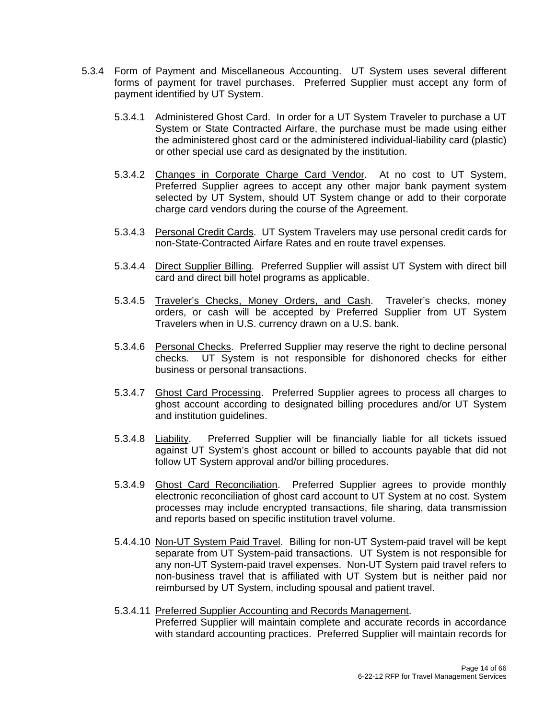- 5.3.4 Form of Payment and Miscellaneous Accounting. UT System uses several different forms of payment for travel purchases. Preferred Supplier must accept any form of payment identified by UT System.
	- 5.3.4.1 Administered Ghost Card. In order for a UT System Traveler to purchase a UT System or State Contracted Airfare, the purchase must be made using either the administered ghost card or the administered individual-liability card (plastic) or other special use card as designated by the institution.
	- 5.3.4.2 Changes in Corporate Charge Card Vendor. At no cost to UT System, Preferred Supplier agrees to accept any other major bank payment system selected by UT System, should UT System change or add to their corporate charge card vendors during the course of the Agreement.
	- 5.3.4.3 Personal Credit Cards. UT System Travelers may use personal credit cards for non-State-Contracted Airfare Rates and en route travel expenses.
	- 5.3.4.4 Direct Supplier Billing. Preferred Supplier will assist UT System with direct bill card and direct bill hotel programs as applicable.
	- 5.3.4.5 Traveler's Checks, Money Orders, and Cash. Traveler's checks, money orders, or cash will be accepted by Preferred Supplier from UT System Travelers when in U.S. currency drawn on a U.S. bank.
	- 5.3.4.6 Personal Checks. Preferred Supplier may reserve the right to decline personal checks. UT System is not responsible for dishonored checks for either business or personal transactions.
	- 5.3.4.7 Ghost Card Processing. Preferred Supplier agrees to process all charges to ghost account according to designated billing procedures and/or UT System and institution guidelines.
	- 5.3.4.8 Liability. Preferred Supplier will be financially liable for all tickets issued against UT System's ghost account or billed to accounts payable that did not follow UT System approval and/or billing procedures.
	- 5.3.4.9 Ghost Card Reconciliation. Preferred Supplier agrees to provide monthly electronic reconciliation of ghost card account to UT System at no cost. System processes may include encrypted transactions, file sharing, data transmission and reports based on specific institution travel volume.
	- 5.4.4.10 Non-UT System Paid Travel. Billing for non-UT System-paid travel will be kept separate from UT System-paid transactions. UT System is not responsible for any non-UT System-paid travel expenses. Non-UT System paid travel refers to non-business travel that is affiliated with UT System but is neither paid nor reimbursed by UT System, including spousal and patient travel.
	- 5.3.4.11 Preferred Supplier Accounting and Records Management. Preferred Supplier will maintain complete and accurate records in accordance with standard accounting practices. Preferred Supplier will maintain records for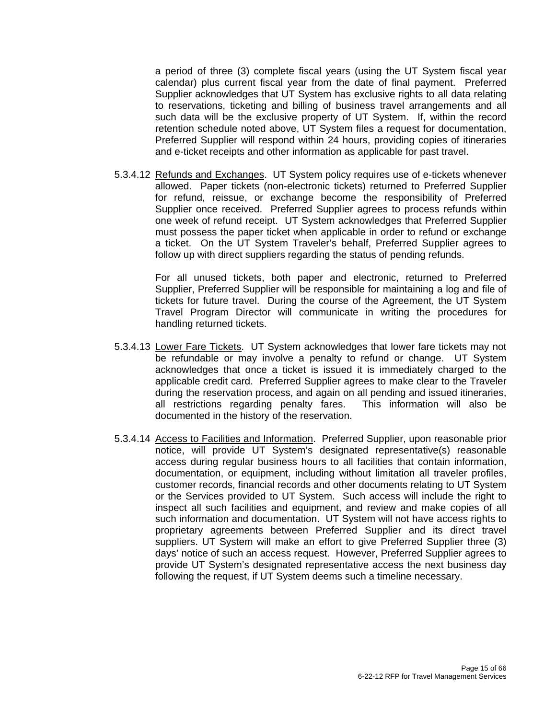a period of three (3) complete fiscal years (using the UT System fiscal year calendar) plus current fiscal year from the date of final payment. Preferred Supplier acknowledges that UT System has exclusive rights to all data relating to reservations, ticketing and billing of business travel arrangements and all such data will be the exclusive property of UT System. If, within the record retention schedule noted above, UT System files a request for documentation, Preferred Supplier will respond within 24 hours, providing copies of itineraries and e-ticket receipts and other information as applicable for past travel.

 5.3.4.12 Refunds and Exchanges. UT System policy requires use of e-tickets whenever allowed. Paper tickets (non-electronic tickets) returned to Preferred Supplier for refund, reissue, or exchange become the responsibility of Preferred Supplier once received. Preferred Supplier agrees to process refunds within one week of refund receipt. UT System acknowledges that Preferred Supplier must possess the paper ticket when applicable in order to refund or exchange a ticket. On the UT System Traveler's behalf, Preferred Supplier agrees to follow up with direct suppliers regarding the status of pending refunds.

> For all unused tickets, both paper and electronic, returned to Preferred Supplier, Preferred Supplier will be responsible for maintaining a log and file of tickets for future travel. During the course of the Agreement, the UT System Travel Program Director will communicate in writing the procedures for handling returned tickets.

- 5.3.4.13 Lower Fare Tickets. UT System acknowledges that lower fare tickets may not be refundable or may involve a penalty to refund or change. UT System acknowledges that once a ticket is issued it is immediately charged to the applicable credit card. Preferred Supplier agrees to make clear to the Traveler during the reservation process, and again on all pending and issued itineraries, all restrictions regarding penalty fares. This information will also be documented in the history of the reservation.
- 5.3.4.14 Access to Facilities and Information. Preferred Supplier, upon reasonable prior notice, will provide UT System's designated representative(s) reasonable access during regular business hours to all facilities that contain information, documentation, or equipment, including without limitation all traveler profiles, customer records, financial records and other documents relating to UT System or the Services provided to UT System. Such access will include the right to inspect all such facilities and equipment, and review and make copies of all such information and documentation. UT System will not have access rights to proprietary agreements between Preferred Supplier and its direct travel suppliers. UT System will make an effort to give Preferred Supplier three (3) days' notice of such an access request. However, Preferred Supplier agrees to provide UT System's designated representative access the next business day following the request, if UT System deems such a timeline necessary.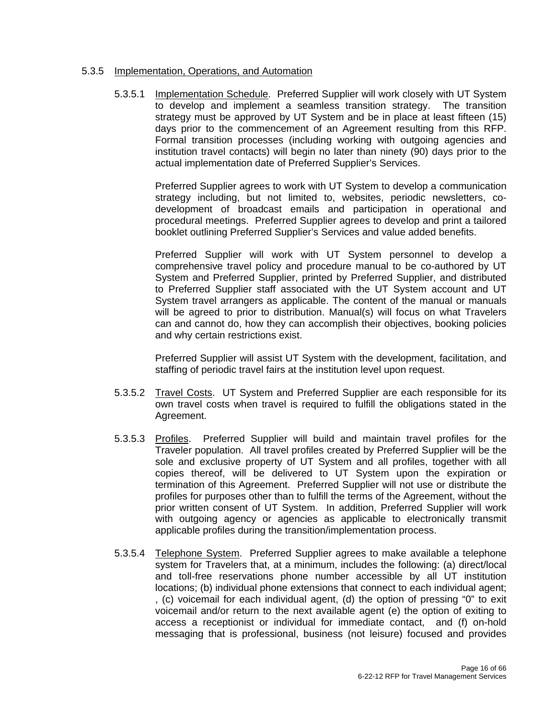#### 5.3.5 Implementation, Operations, and Automation

 5.3.5.1 Implementation Schedule. Preferred Supplier will work closely with UT System to develop and implement a seamless transition strategy. The transition strategy must be approved by UT System and be in place at least fifteen (15) days prior to the commencement of an Agreement resulting from this RFP. Formal transition processes (including working with outgoing agencies and institution travel contacts) will begin no later than ninety (90) days prior to the actual implementation date of Preferred Supplier's Services.

> Preferred Supplier agrees to work with UT System to develop a communication strategy including, but not limited to, websites, periodic newsletters, codevelopment of broadcast emails and participation in operational and procedural meetings. Preferred Supplier agrees to develop and print a tailored booklet outlining Preferred Supplier's Services and value added benefits.

> Preferred Supplier will work with UT System personnel to develop a comprehensive travel policy and procedure manual to be co-authored by UT System and Preferred Supplier, printed by Preferred Supplier, and distributed to Preferred Supplier staff associated with the UT System account and UT System travel arrangers as applicable. The content of the manual or manuals will be agreed to prior to distribution. Manual(s) will focus on what Travelers can and cannot do, how they can accomplish their objectives, booking policies and why certain restrictions exist.

> Preferred Supplier will assist UT System with the development, facilitation, and staffing of periodic travel fairs at the institution level upon request.

- 5.3.5.2 Travel Costs. UT System and Preferred Supplier are each responsible for its own travel costs when travel is required to fulfill the obligations stated in the Agreement.
- 5.3.5.3 Profiles. Preferred Supplier will build and maintain travel profiles for the Traveler population. All travel profiles created by Preferred Supplier will be the sole and exclusive property of UT System and all profiles, together with all copies thereof, will be delivered to UT System upon the expiration or termination of this Agreement. Preferred Supplier will not use or distribute the profiles for purposes other than to fulfill the terms of the Agreement, without the prior written consent of UT System. In addition, Preferred Supplier will work with outgoing agency or agencies as applicable to electronically transmit applicable profiles during the transition/implementation process.
- 5.3.5.4 Telephone System. Preferred Supplier agrees to make available a telephone system for Travelers that, at a minimum, includes the following: (a) direct/local and toll-free reservations phone number accessible by all UT institution locations; (b) individual phone extensions that connect to each individual agent; , (c) voicemail for each individual agent, (d) the option of pressing "0" to exit voicemail and/or return to the next available agent (e) the option of exiting to access a receptionist or individual for immediate contact, and (f) on-hold messaging that is professional, business (not leisure) focused and provides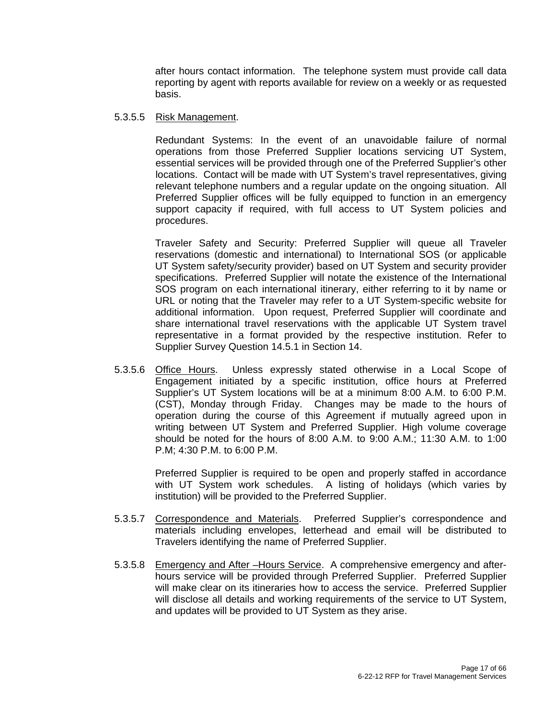after hours contact information. The telephone system must provide call data reporting by agent with reports available for review on a weekly or as requested basis.

#### 5.3.5.5 Risk Management.

 Redundant Systems: In the event of an unavoidable failure of normal operations from those Preferred Supplier locations servicing UT System, essential services will be provided through one of the Preferred Supplier's other locations. Contact will be made with UT System's travel representatives, giving relevant telephone numbers and a regular update on the ongoing situation. All Preferred Supplier offices will be fully equipped to function in an emergency support capacity if required, with full access to UT System policies and procedures.

 Traveler Safety and Security: Preferred Supplier will queue all Traveler reservations (domestic and international) to International SOS (or applicable UT System safety/security provider) based on UT System and security provider specifications. Preferred Supplier will notate the existence of the International SOS program on each international itinerary, either referring to it by name or URL or noting that the Traveler may refer to a UT System-specific website for additional information. Upon request, Preferred Supplier will coordinate and share international travel reservations with the applicable UT System travel representative in a format provided by the respective institution. Refer to Supplier Survey Question 14.5.1 in Section 14.

5.3.5.6 Office Hours. Unless expressly stated otherwise in a Local Scope of Engagement initiated by a specific institution, office hours at Preferred Supplier's UT System locations will be at a minimum 8:00 A.M. to 6:00 P.M. (CST), Monday through Friday. Changes may be made to the hours of operation during the course of this Agreement if mutually agreed upon in writing between UT System and Preferred Supplier. High volume coverage should be noted for the hours of 8:00 A.M. to 9:00 A.M.; 11:30 A.M. to 1:00 P.M; 4:30 P.M. to 6:00 P.M.

> Preferred Supplier is required to be open and properly staffed in accordance with UT System work schedules. A listing of holidays (which varies by institution) will be provided to the Preferred Supplier.

- 5.3.5.7 Correspondence and Materials. Preferred Supplier's correspondence and materials including envelopes, letterhead and email will be distributed to Travelers identifying the name of Preferred Supplier.
- 5.3.5.8 Emergency and After –Hours Service. A comprehensive emergency and afterhours service will be provided through Preferred Supplier. Preferred Supplier will make clear on its itineraries how to access the service. Preferred Supplier will disclose all details and working requirements of the service to UT System, and updates will be provided to UT System as they arise.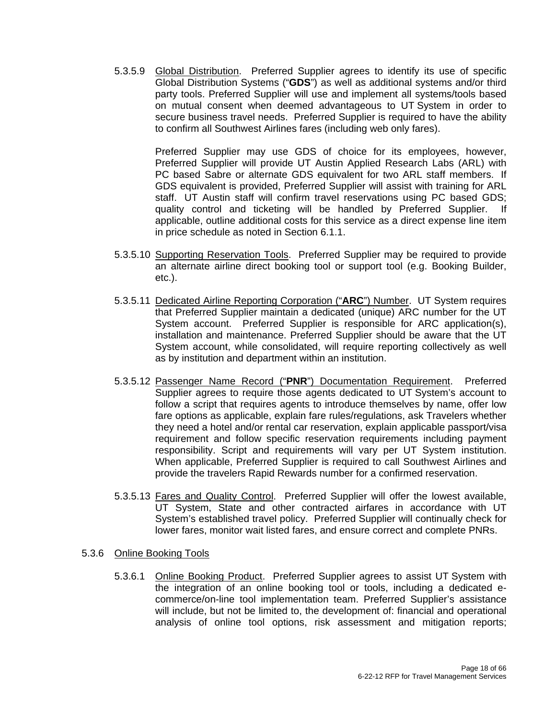5.3.5.9 Global Distribution. Preferred Supplier agrees to identify its use of specific Global Distribution Systems ("**GDS**") as well as additional systems and/or third party tools. Preferred Supplier will use and implement all systems/tools based on mutual consent when deemed advantageous to UT System in order to secure business travel needs. Preferred Supplier is required to have the ability to confirm all Southwest Airlines fares (including web only fares).

> Preferred Supplier may use GDS of choice for its employees, however, Preferred Supplier will provide UT Austin Applied Research Labs (ARL) with PC based Sabre or alternate GDS equivalent for two ARL staff members. If GDS equivalent is provided, Preferred Supplier will assist with training for ARL staff. UT Austin staff will confirm travel reservations using PC based GDS; quality control and ticketing will be handled by Preferred Supplier. If applicable, outline additional costs for this service as a direct expense line item in price schedule as noted in Section 6.1.1.

- 5.3.5.10 Supporting Reservation Tools. Preferred Supplier may be required to provide an alternate airline direct booking tool or support tool (e.g. Booking Builder, etc.).
- 5.3.5.11 Dedicated Airline Reporting Corporation ("**ARC**") Number. UT System requires that Preferred Supplier maintain a dedicated (unique) ARC number for the UT System account. Preferred Supplier is responsible for ARC application(s), installation and maintenance. Preferred Supplier should be aware that the UT System account, while consolidated, will require reporting collectively as well as by institution and department within an institution.
- 5.3.5.12 Passenger Name Record ("**PNR**") Documentation Requirement. Preferred Supplier agrees to require those agents dedicated to UT System's account to follow a script that requires agents to introduce themselves by name, offer low fare options as applicable, explain fare rules/regulations, ask Travelers whether they need a hotel and/or rental car reservation, explain applicable passport/visa requirement and follow specific reservation requirements including payment responsibility. Script and requirements will vary per UT System institution. When applicable, Preferred Supplier is required to call Southwest Airlines and provide the travelers Rapid Rewards number for a confirmed reservation.
- 5.3.5.13 Fares and Quality Control. Preferred Supplier will offer the lowest available, UT System, State and other contracted airfares in accordance with UT System's established travel policy. Preferred Supplier will continually check for lower fares, monitor wait listed fares, and ensure correct and complete PNRs.
- 5.3.6 Online Booking Tools
	- 5.3.6.1 Online Booking Product. Preferred Supplier agrees to assist UT System with the integration of an online booking tool or tools, including a dedicated ecommerce/on-line tool implementation team. Preferred Supplier's assistance will include, but not be limited to, the development of: financial and operational analysis of online tool options, risk assessment and mitigation reports;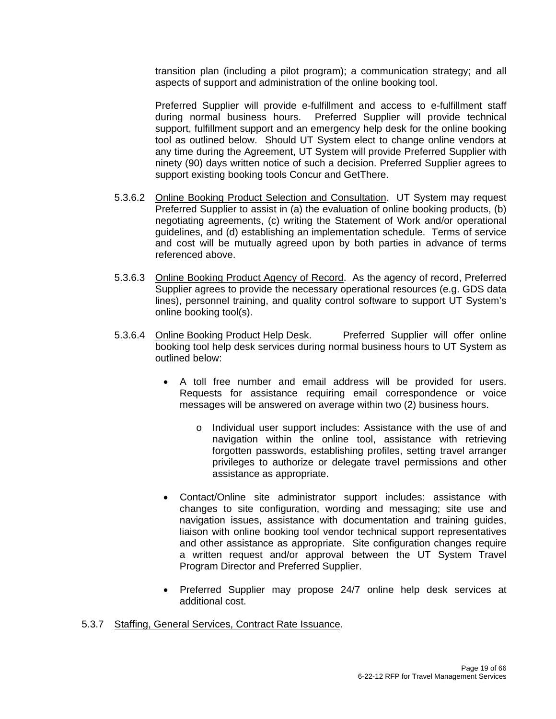transition plan (including a pilot program); a communication strategy; and all aspects of support and administration of the online booking tool.

 Preferred Supplier will provide e-fulfillment and access to e-fulfillment staff during normal business hours. Preferred Supplier will provide technical support, fulfillment support and an emergency help desk for the online booking tool as outlined below. Should UT System elect to change online vendors at any time during the Agreement, UT System will provide Preferred Supplier with ninety (90) days written notice of such a decision. Preferred Supplier agrees to support existing booking tools Concur and GetThere.

- 5.3.6.2 Online Booking Product Selection and Consultation. UT System may request Preferred Supplier to assist in (a) the evaluation of online booking products, (b) negotiating agreements, (c) writing the Statement of Work and/or operational guidelines, and (d) establishing an implementation schedule. Terms of service and cost will be mutually agreed upon by both parties in advance of terms referenced above.
- 5.3.6.3 Online Booking Product Agency of Record. As the agency of record, Preferred Supplier agrees to provide the necessary operational resources (e.g. GDS data lines), personnel training, and quality control software to support UT System's online booking tool(s).
- 5.3.6.4 Online Booking Product Help Desk. Preferred Supplier will offer online booking tool help desk services during normal business hours to UT System as outlined below:
	- A toll free number and email address will be provided for users. Requests for assistance requiring email correspondence or voice messages will be answered on average within two (2) business hours.
		- o Individual user support includes: Assistance with the use of and navigation within the online tool, assistance with retrieving forgotten passwords, establishing profiles, setting travel arranger privileges to authorize or delegate travel permissions and other assistance as appropriate.
	- Contact/Online site administrator support includes: assistance with changes to site configuration, wording and messaging; site use and navigation issues, assistance with documentation and training guides, liaison with online booking tool vendor technical support representatives and other assistance as appropriate. Site configuration changes require a written request and/or approval between the UT System Travel Program Director and Preferred Supplier.
	- Preferred Supplier may propose 24/7 online help desk services at additional cost.
- 5.3.7 Staffing, General Services, Contract Rate Issuance.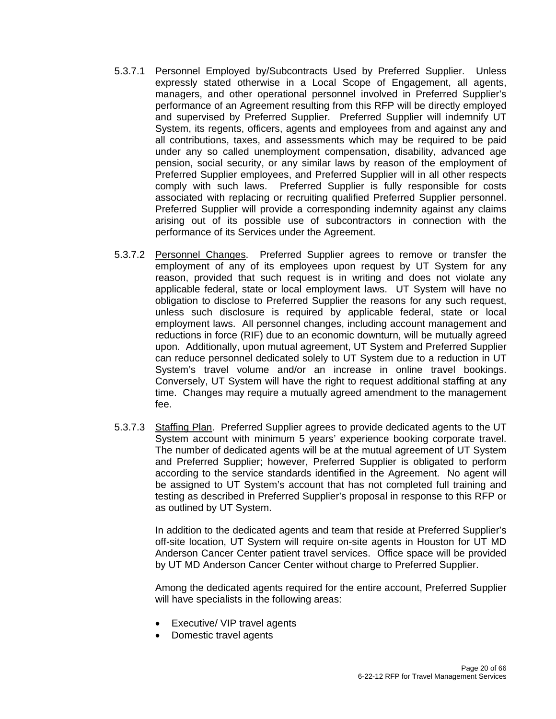- 5.3.7.1 Personnel Employed by/Subcontracts Used by Preferred Supplier. Unless expressly stated otherwise in a Local Scope of Engagement, all agents, managers, and other operational personnel involved in Preferred Supplier's performance of an Agreement resulting from this RFP will be directly employed and supervised by Preferred Supplier. Preferred Supplier will indemnify UT System, its regents, officers, agents and employees from and against any and all contributions, taxes, and assessments which may be required to be paid under any so called unemployment compensation, disability, advanced age pension, social security, or any similar laws by reason of the employment of Preferred Supplier employees, and Preferred Supplier will in all other respects comply with such laws. Preferred Supplier is fully responsible for costs associated with replacing or recruiting qualified Preferred Supplier personnel. Preferred Supplier will provide a corresponding indemnity against any claims arising out of its possible use of subcontractors in connection with the performance of its Services under the Agreement.
- 5.3.7.2 Personnel Changes. Preferred Supplier agrees to remove or transfer the employment of any of its employees upon request by UT System for any reason, provided that such request is in writing and does not violate any applicable federal, state or local employment laws. UT System will have no obligation to disclose to Preferred Supplier the reasons for any such request, unless such disclosure is required by applicable federal, state or local employment laws. All personnel changes, including account management and reductions in force (RIF) due to an economic downturn, will be mutually agreed upon. Additionally, upon mutual agreement, UT System and Preferred Supplier can reduce personnel dedicated solely to UT System due to a reduction in UT System's travel volume and/or an increase in online travel bookings. Conversely, UT System will have the right to request additional staffing at any time. Changes may require a mutually agreed amendment to the management fee.
- 5.3.7.3 Staffing Plan. Preferred Supplier agrees to provide dedicated agents to the UT System account with minimum 5 years' experience booking corporate travel. The number of dedicated agents will be at the mutual agreement of UT System and Preferred Supplier; however, Preferred Supplier is obligated to perform according to the service standards identified in the Agreement. No agent will be assigned to UT System's account that has not completed full training and testing as described in Preferred Supplier's proposal in response to this RFP or as outlined by UT System.

 In addition to the dedicated agents and team that reside at Preferred Supplier's off-site location, UT System will require on-site agents in Houston for UT MD Anderson Cancer Center patient travel services. Office space will be provided by UT MD Anderson Cancer Center without charge to Preferred Supplier.

 Among the dedicated agents required for the entire account, Preferred Supplier will have specialists in the following areas:

- Executive/ VIP travel agents
- Domestic travel agents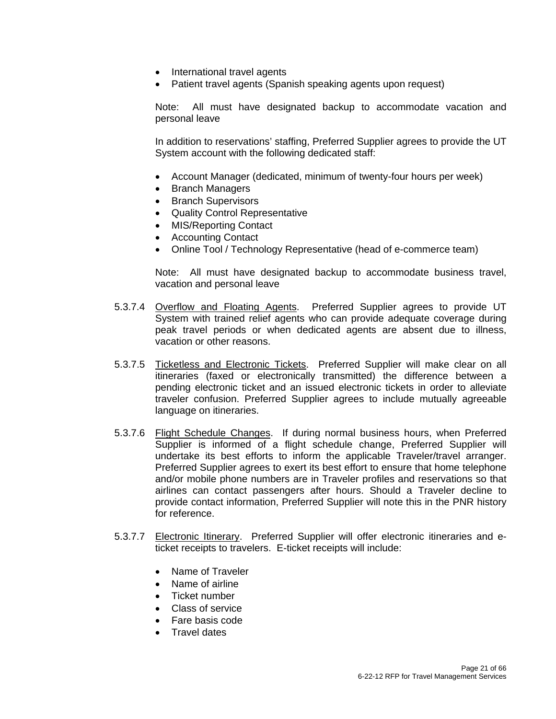- International travel agents
- Patient travel agents (Spanish speaking agents upon request)

Note: All must have designated backup to accommodate vacation and personal leave

In addition to reservations' staffing, Preferred Supplier agrees to provide the UT System account with the following dedicated staff:

- Account Manager (dedicated, minimum of twenty-four hours per week)
- Branch Managers
- Branch Supervisors
- Quality Control Representative
- MIS/Reporting Contact
- Accounting Contact
- Online Tool / Technology Representative (head of e-commerce team)

Note: All must have designated backup to accommodate business travel, vacation and personal leave

- 5.3.7.4 Overflow and Floating Agents. Preferred Supplier agrees to provide UT System with trained relief agents who can provide adequate coverage during peak travel periods or when dedicated agents are absent due to illness, vacation or other reasons.
- 5.3.7.5 Ticketless and Electronic Tickets. Preferred Supplier will make clear on all itineraries (faxed or electronically transmitted) the difference between a pending electronic ticket and an issued electronic tickets in order to alleviate traveler confusion. Preferred Supplier agrees to include mutually agreeable language on itineraries.
- 5.3.7.6 Flight Schedule Changes. If during normal business hours, when Preferred Supplier is informed of a flight schedule change, Preferred Supplier will undertake its best efforts to inform the applicable Traveler/travel arranger. Preferred Supplier agrees to exert its best effort to ensure that home telephone and/or mobile phone numbers are in Traveler profiles and reservations so that airlines can contact passengers after hours. Should a Traveler decline to provide contact information, Preferred Supplier will note this in the PNR history for reference.
- 5.3.7.7 Electronic Itinerary. Preferred Supplier will offer electronic itineraries and eticket receipts to travelers. E-ticket receipts will include:
	- Name of Traveler
	- Name of airline
	- Ticket number
	- Class of service
	- Fare basis code
	- Travel dates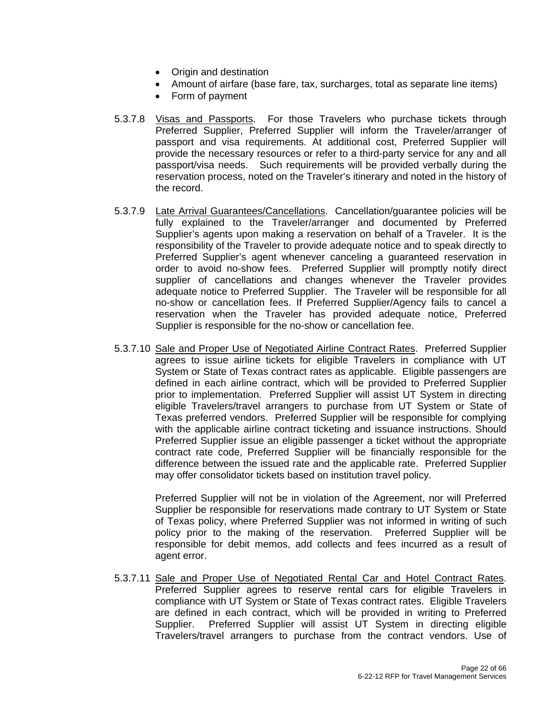- Origin and destination
- Amount of airfare (base fare, tax, surcharges, total as separate line items)
- Form of payment
- 5.3.7.8 Visas and Passports. For those Travelers who purchase tickets through Preferred Supplier, Preferred Supplier will inform the Traveler/arranger of passport and visa requirements. At additional cost, Preferred Supplier will provide the necessary resources or refer to a third-party service for any and all passport/visa needs. Such requirements will be provided verbally during the reservation process, noted on the Traveler's itinerary and noted in the history of the record.
- 5.3.7.9 Late Arrival Guarantees/Cancellations. Cancellation/guarantee policies will be fully explained to the Traveler/arranger and documented by Preferred Supplier's agents upon making a reservation on behalf of a Traveler. It is the responsibility of the Traveler to provide adequate notice and to speak directly to Preferred Supplier's agent whenever canceling a guaranteed reservation in order to avoid no-show fees. Preferred Supplier will promptly notify direct supplier of cancellations and changes whenever the Traveler provides adequate notice to Preferred Supplier. The Traveler will be responsible for all no-show or cancellation fees. If Preferred Supplier/Agency fails to cancel a reservation when the Traveler has provided adequate notice, Preferred Supplier is responsible for the no-show or cancellation fee.
- 5.3.7.10 Sale and Proper Use of Negotiated Airline Contract Rates. Preferred Supplier agrees to issue airline tickets for eligible Travelers in compliance with UT System or State of Texas contract rates as applicable. Eligible passengers are defined in each airline contract, which will be provided to Preferred Supplier prior to implementation. Preferred Supplier will assist UT System in directing eligible Travelers/travel arrangers to purchase from UT System or State of Texas preferred vendors. Preferred Supplier will be responsible for complying with the applicable airline contract ticketing and issuance instructions. Should Preferred Supplier issue an eligible passenger a ticket without the appropriate contract rate code, Preferred Supplier will be financially responsible for the difference between the issued rate and the applicable rate. Preferred Supplier may offer consolidator tickets based on institution travel policy.

Preferred Supplier will not be in violation of the Agreement, nor will Preferred Supplier be responsible for reservations made contrary to UT System or State of Texas policy, where Preferred Supplier was not informed in writing of such policy prior to the making of the reservation. Preferred Supplier will be responsible for debit memos, add collects and fees incurred as a result of agent error.

5.3.7.11 Sale and Proper Use of Negotiated Rental Car and Hotel Contract Rates. Preferred Supplier agrees to reserve rental cars for eligible Travelers in compliance with UT System or State of Texas contract rates. Eligible Travelers are defined in each contract, which will be provided in writing to Preferred Supplier. Preferred Supplier will assist UT System in directing eligible Travelers/travel arrangers to purchase from the contract vendors. Use of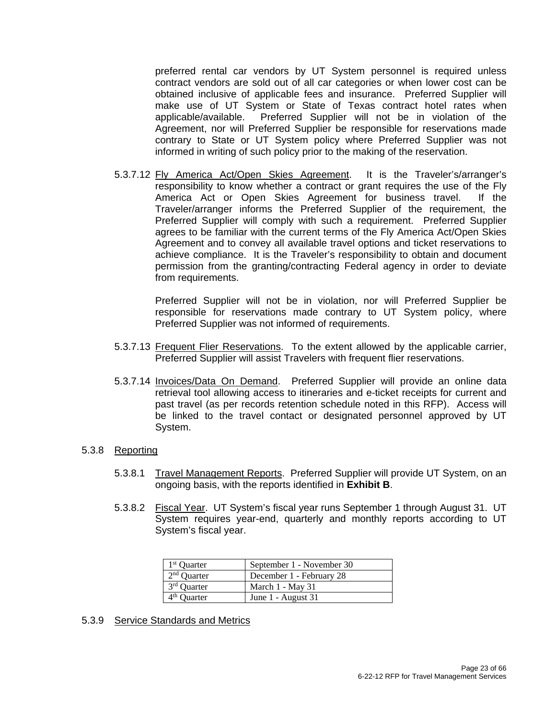preferred rental car vendors by UT System personnel is required unless contract vendors are sold out of all car categories or when lower cost can be obtained inclusive of applicable fees and insurance. Preferred Supplier will make use of UT System or State of Texas contract hotel rates when applicable/available. Preferred Supplier will not be in violation of the Agreement, nor will Preferred Supplier be responsible for reservations made contrary to State or UT System policy where Preferred Supplier was not informed in writing of such policy prior to the making of the reservation.

5.3.7.12 Fly America Act/Open Skies Agreement. It is the Traveler's/arranger's responsibility to know whether a contract or grant requires the use of the Fly America Act or Open Skies Agreement for business travel. If the Traveler/arranger informs the Preferred Supplier of the requirement, the Preferred Supplier will comply with such a requirement. Preferred Supplier agrees to be familiar with the current terms of the Fly America Act/Open Skies Agreement and to convey all available travel options and ticket reservations to achieve compliance. It is the Traveler's responsibility to obtain and document permission from the granting/contracting Federal agency in order to deviate from requirements.

> Preferred Supplier will not be in violation, nor will Preferred Supplier be responsible for reservations made contrary to UT System policy, where Preferred Supplier was not informed of requirements.

- 5.3.7.13 Frequent Flier Reservations. To the extent allowed by the applicable carrier, Preferred Supplier will assist Travelers with frequent flier reservations.
- 5.3.7.14 Invoices/Data On Demand. Preferred Supplier will provide an online data retrieval tool allowing access to itineraries and e-ticket receipts for current and past travel (as per records retention schedule noted in this RFP). Access will be linked to the travel contact or designated personnel approved by UT System.

#### 5.3.8 Reporting

- 5.3.8.1 Travel Management Reports. Preferred Supplier will provide UT System, on an ongoing basis, with the reports identified in **Exhibit B**.
- 5.3.8.2 Fiscal Year. UT System's fiscal year runs September 1 through August 31. UT System requires year-end, quarterly and monthly reports according to UT System's fiscal year.

| 1 <sup>st</sup> Quarter | September 1 - November 30 |
|-------------------------|---------------------------|
| $2nd$ Quarter           | December 1 - February 28  |
| 3 <sup>rd</sup> Quarter | March 1 - May 31          |
| 4 <sup>th</sup> Quarter | June 1 - August 31        |

#### 5.3.9 Service Standards and Metrics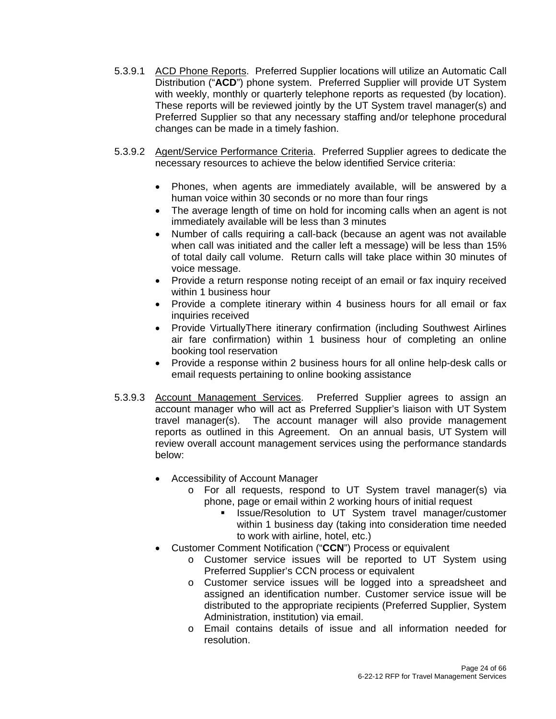- 5.3.9.1 ACD Phone Reports. Preferred Supplier locations will utilize an Automatic Call Distribution ("**ACD**") phone system. Preferred Supplier will provide UT System with weekly, monthly or quarterly telephone reports as requested (by location). These reports will be reviewed jointly by the UT System travel manager(s) and Preferred Supplier so that any necessary staffing and/or telephone procedural changes can be made in a timely fashion.
- 5.3.9.2 Agent/Service Performance Criteria. Preferred Supplier agrees to dedicate the necessary resources to achieve the below identified Service criteria:
	- Phones, when agents are immediately available, will be answered by a human voice within 30 seconds or no more than four rings
	- The average length of time on hold for incoming calls when an agent is not immediately available will be less than 3 minutes
	- Number of calls requiring a call-back (because an agent was not available when call was initiated and the caller left a message) will be less than 15% of total daily call volume. Return calls will take place within 30 minutes of voice message.
	- Provide a return response noting receipt of an email or fax inquiry received within 1 business hour
	- Provide a complete itinerary within 4 business hours for all email or fax inquiries received
	- Provide VirtuallyThere itinerary confirmation (including Southwest Airlines air fare confirmation) within 1 business hour of completing an online booking tool reservation
	- Provide a response within 2 business hours for all online help-desk calls or email requests pertaining to online booking assistance
- 5.3.9.3 Account Management Services. Preferred Supplier agrees to assign an account manager who will act as Preferred Supplier's liaison with UT System travel manager(s). The account manager will also provide management reports as outlined in this Agreement. On an annual basis, UT System will review overall account management services using the performance standards below:
	- Accessibility of Account Manager
		- o For all requests, respond to UT System travel manager(s) via phone, page or email within 2 working hours of initial request
			- Issue/Resolution to UT System travel manager/customer within 1 business day (taking into consideration time needed to work with airline, hotel, etc.)
	- Customer Comment Notification ("**CCN**") Process or equivalent
		- o Customer service issues will be reported to UT System using Preferred Supplier's CCN process or equivalent
		- o Customer service issues will be logged into a spreadsheet and assigned an identification number. Customer service issue will be distributed to the appropriate recipients (Preferred Supplier, System Administration, institution) via email.
		- o Email contains details of issue and all information needed for resolution.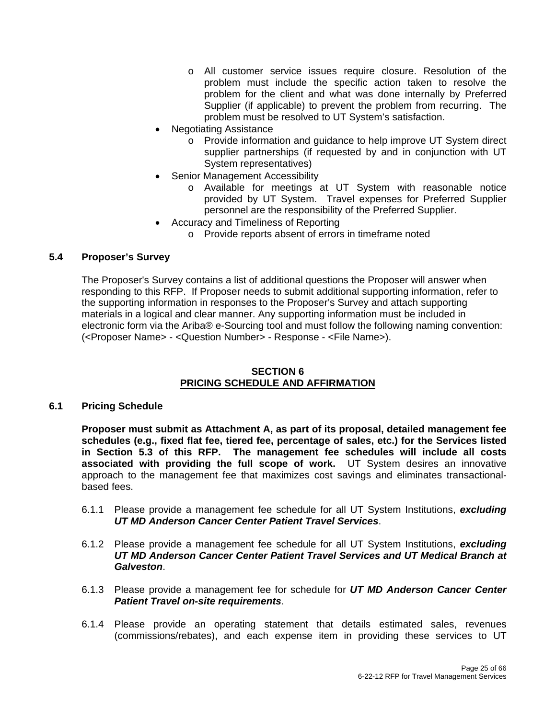- o All customer service issues require closure. Resolution of the problem must include the specific action taken to resolve the problem for the client and what was done internally by Preferred Supplier (if applicable) to prevent the problem from recurring. The problem must be resolved to UT System's satisfaction.
- Negotiating Assistance
	- o Provide information and guidance to help improve UT System direct supplier partnerships (if requested by and in conjunction with UT System representatives)
- Senior Management Accessibility
	- o Available for meetings at UT System with reasonable notice provided by UT System. Travel expenses for Preferred Supplier personnel are the responsibility of the Preferred Supplier.
- Accuracy and Timeliness of Reporting
	- o Provide reports absent of errors in timeframe noted

#### **5.4 Proposer's Survey**

The Proposer's Survey contains a list of additional questions the Proposer will answer when responding to this RFP. If Proposer needs to submit additional supporting information, refer to the supporting information in responses to the Proposer's Survey and attach supporting materials in a logical and clear manner. Any supporting information must be included in electronic form via the Ariba® e-Sourcing tool and must follow the following naming convention: (<Proposer Name> - <Question Number> - Response - <File Name>).

#### **SECTION 6 PRICING SCHEDULE AND AFFIRMATION**

#### **6.1 Pricing Schedule**

**Proposer must submit as Attachment A, as part of its proposal, detailed management fee schedules (e.g., fixed flat fee, tiered fee, percentage of sales, etc.) for the Services listed in Section 5.3 of this RFP. The management fee schedules will include all costs associated with providing the full scope of work.** UT System desires an innovative approach to the management fee that maximizes cost savings and eliminates transactionalbased fees.

- 6.1.1 Please provide a management fee schedule for all UT System Institutions, *excluding UT MD Anderson Cancer Center Patient Travel Services*.
- 6.1.2 Please provide a management fee schedule for all UT System Institutions, *excluding UT MD Anderson Cancer Center Patient Travel Services and UT Medical Branch at Galveston*.
- 6.1.3 Please provide a management fee for schedule for *UT MD Anderson Cancer Center Patient Travel on-site requirements*.
- 6.1.4 Please provide an operating statement that details estimated sales, revenues (commissions/rebates), and each expense item in providing these services to UT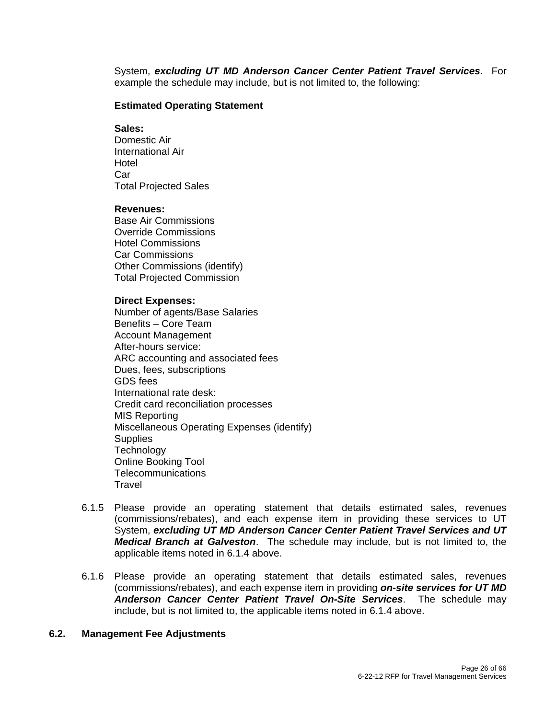System, *excluding UT MD Anderson Cancer Center Patient Travel Services*. For example the schedule may include, but is not limited to, the following:

#### **Estimated Operating Statement**

#### **Sales:**

Domestic Air International Air Hotel Car Total Projected Sales

#### **Revenues:**

Base Air Commissions Override Commissions Hotel Commissions Car Commissions Other Commissions (identify) Total Projected Commission

#### **Direct Expenses:**

Number of agents/Base Salaries Benefits – Core Team Account Management After-hours service: ARC accounting and associated fees Dues, fees, subscriptions GDS fees International rate desk: Credit card reconciliation processes MIS Reporting Miscellaneous Operating Expenses (identify) **Supplies Technology** Online Booking Tool Telecommunications **Travel** 

- 6.1.5 Please provide an operating statement that details estimated sales, revenues (commissions/rebates), and each expense item in providing these services to UT System, *excluding UT MD Anderson Cancer Center Patient Travel Services and UT Medical Branch at Galveston*. The schedule may include, but is not limited to, the applicable items noted in 6.1.4 above.
- 6.1.6 Please provide an operating statement that details estimated sales, revenues (commissions/rebates), and each expense item in providing *on-site services for UT MD Anderson Cancer Center Patient Travel On-Site Services*. The schedule may include, but is not limited to, the applicable items noted in 6.1.4 above.

#### **6.2. Management Fee Adjustments**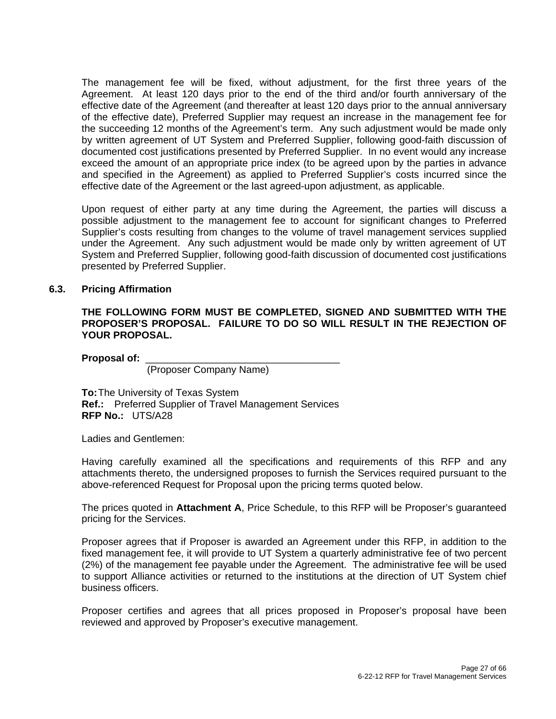The management fee will be fixed, without adjustment, for the first three years of the Agreement. At least 120 days prior to the end of the third and/or fourth anniversary of the effective date of the Agreement (and thereafter at least 120 days prior to the annual anniversary of the effective date), Preferred Supplier may request an increase in the management fee for the succeeding 12 months of the Agreement's term. Any such adjustment would be made only by written agreement of UT System and Preferred Supplier, following good-faith discussion of documented cost justifications presented by Preferred Supplier. In no event would any increase exceed the amount of an appropriate price index (to be agreed upon by the parties in advance and specified in the Agreement) as applied to Preferred Supplier's costs incurred since the effective date of the Agreement or the last agreed-upon adjustment, as applicable.

Upon request of either party at any time during the Agreement, the parties will discuss a possible adjustment to the management fee to account for significant changes to Preferred Supplier's costs resulting from changes to the volume of travel management services supplied under the Agreement. Any such adjustment would be made only by written agreement of UT System and Preferred Supplier, following good-faith discussion of documented cost justifications presented by Preferred Supplier.

#### **6.3. Pricing Affirmation**

#### **THE FOLLOWING FORM MUST BE COMPLETED, SIGNED AND SUBMITTED WITH THE PROPOSER'S PROPOSAL. FAILURE TO DO SO WILL RESULT IN THE REJECTION OF YOUR PROPOSAL.**

**Proposal of:** \_\_\_\_\_\_\_\_\_\_\_\_\_\_\_\_\_\_\_\_\_\_\_\_\_\_\_\_\_\_\_\_\_\_\_

(Proposer Company Name)

**To:** The University of Texas System  **Ref.:** Preferred Supplier of Travel Management Services **RFP No.:** UTS/A28

Ladies and Gentlemen:

Having carefully examined all the specifications and requirements of this RFP and any attachments thereto, the undersigned proposes to furnish the Services required pursuant to the above-referenced Request for Proposal upon the pricing terms quoted below.

The prices quoted in **Attachment A**, Price Schedule, to this RFP will be Proposer's guaranteed pricing for the Services.

Proposer agrees that if Proposer is awarded an Agreement under this RFP, in addition to the fixed management fee, it will provide to UT System a quarterly administrative fee of two percent (2%) of the management fee payable under the Agreement. The administrative fee will be used to support Alliance activities or returned to the institutions at the direction of UT System chief business officers.

Proposer certifies and agrees that all prices proposed in Proposer's proposal have been reviewed and approved by Proposer's executive management.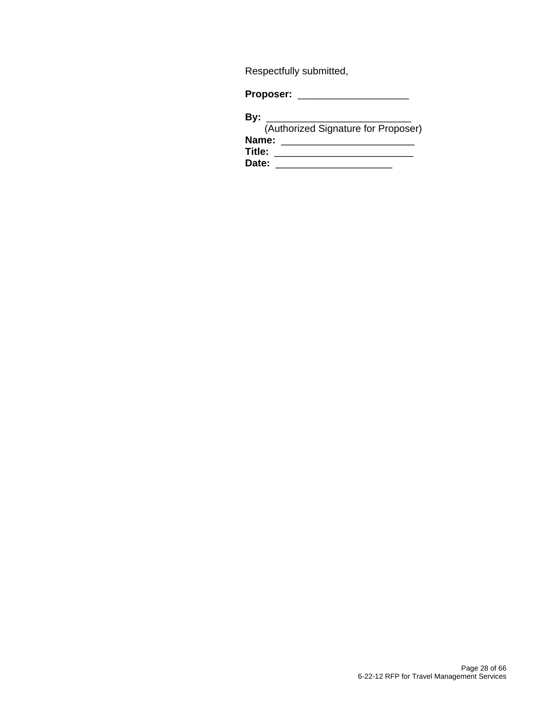Respectfully submitted,

**Proposer:** \_\_\_\_\_\_\_\_\_\_\_\_\_\_\_\_\_\_\_\_

### **By:** \_\_\_\_\_\_\_\_\_\_\_\_\_\_\_\_\_\_\_\_\_\_\_\_\_\_

| (Authorized Signature for Proposer) |  |
|-------------------------------------|--|
| Name:                               |  |
| Title:                              |  |
| Date:                               |  |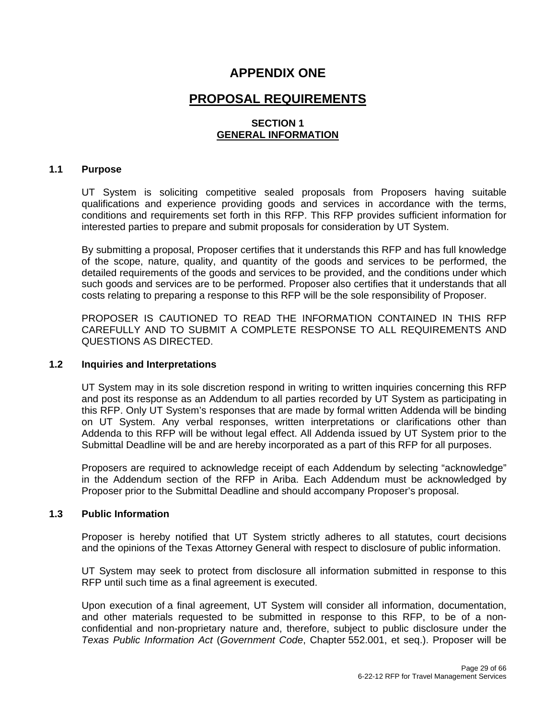## **APPENDIX ONE**

## **PROPOSAL REQUIREMENTS**

#### **SECTION 1 GENERAL INFORMATION**

#### **1.1 Purpose**

UT System is soliciting competitive sealed proposals from Proposers having suitable qualifications and experience providing goods and services in accordance with the terms, conditions and requirements set forth in this RFP. This RFP provides sufficient information for interested parties to prepare and submit proposals for consideration by UT System.

By submitting a proposal, Proposer certifies that it understands this RFP and has full knowledge of the scope, nature, quality, and quantity of the goods and services to be performed, the detailed requirements of the goods and services to be provided, and the conditions under which such goods and services are to be performed. Proposer also certifies that it understands that all costs relating to preparing a response to this RFP will be the sole responsibility of Proposer.

PROPOSER IS CAUTIONED TO READ THE INFORMATION CONTAINED IN THIS RFP CAREFULLY AND TO SUBMIT A COMPLETE RESPONSE TO ALL REQUIREMENTS AND QUESTIONS AS DIRECTED.

#### **1.2 Inquiries and Interpretations**

UT System may in its sole discretion respond in writing to written inquiries concerning this RFP and post its response as an Addendum to all parties recorded by UT System as participating in this RFP. Only UT System's responses that are made by formal written Addenda will be binding on UT System. Any verbal responses, written interpretations or clarifications other than Addenda to this RFP will be without legal effect. All Addenda issued by UT System prior to the Submittal Deadline will be and are hereby incorporated as a part of this RFP for all purposes.

Proposers are required to acknowledge receipt of each Addendum by selecting "acknowledge" in the Addendum section of the RFP in Ariba. Each Addendum must be acknowledged by Proposer prior to the Submittal Deadline and should accompany Proposer's proposal.

#### **1.3 Public Information**

Proposer is hereby notified that UT System strictly adheres to all statutes, court decisions and the opinions of the Texas Attorney General with respect to disclosure of public information.

UT System may seek to protect from disclosure all information submitted in response to this RFP until such time as a final agreement is executed.

Upon execution of a final agreement, UT System will consider all information, documentation, and other materials requested to be submitted in response to this RFP, to be of a nonconfidential and non-proprietary nature and, therefore, subject to public disclosure under the *Texas Public Information Act* (*Government Code*, Chapter 552.001, et seq.). Proposer will be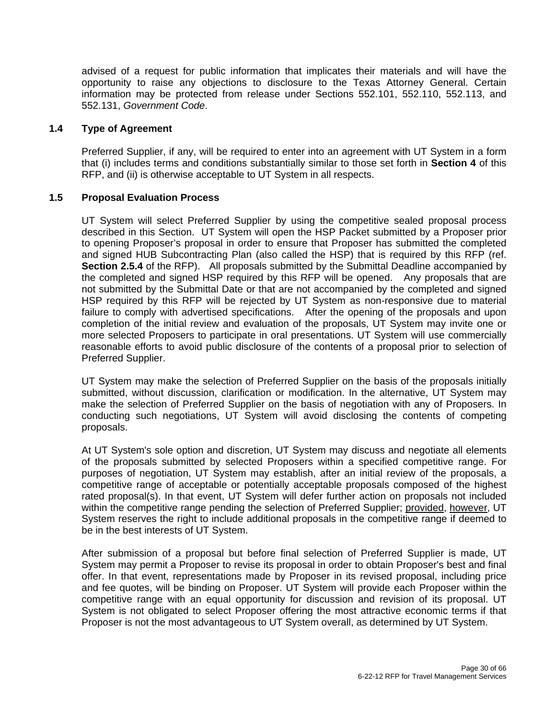advised of a request for public information that implicates their materials and will have the opportunity to raise any objections to disclosure to the Texas Attorney General. Certain information may be protected from release under Sections 552.101, 552.110, 552.113, and 552.131, *Government Code*.

#### **1.4 Type of Agreement**

Preferred Supplier, if any, will be required to enter into an agreement with UT System in a form that (i) includes terms and conditions substantially similar to those set forth in **Section 4** of this RFP, and (ii) is otherwise acceptable to UT System in all respects.

#### **1.5 Proposal Evaluation Process**

UT System will select Preferred Supplier by using the competitive sealed proposal process described in this Section. UT System will open the HSP Packet submitted by a Proposer prior to opening Proposer's proposal in order to ensure that Proposer has submitted the completed and signed HUB Subcontracting Plan (also called the HSP) that is required by this RFP (ref. **Section 2.5.4** of the RFP). All proposals submitted by the Submittal Deadline accompanied by the completed and signed HSP required by this RFP will be opened. Any proposals that are not submitted by the Submittal Date or that are not accompanied by the completed and signed HSP required by this RFP will be rejected by UT System as non-responsive due to material failure to comply with advertised specifications. After the opening of the proposals and upon completion of the initial review and evaluation of the proposals, UT System may invite one or more selected Proposers to participate in oral presentations. UT System will use commercially reasonable efforts to avoid public disclosure of the contents of a proposal prior to selection of Preferred Supplier.

UT System may make the selection of Preferred Supplier on the basis of the proposals initially submitted, without discussion, clarification or modification. In the alternative, UT System may make the selection of Preferred Supplier on the basis of negotiation with any of Proposers. In conducting such negotiations, UT System will avoid disclosing the contents of competing proposals.

At UT System's sole option and discretion, UT System may discuss and negotiate all elements of the proposals submitted by selected Proposers within a specified competitive range. For purposes of negotiation, UT System may establish, after an initial review of the proposals, a competitive range of acceptable or potentially acceptable proposals composed of the highest rated proposal(s). In that event, UT System will defer further action on proposals not included within the competitive range pending the selection of Preferred Supplier; provided, however, UT System reserves the right to include additional proposals in the competitive range if deemed to be in the best interests of UT System.

After submission of a proposal but before final selection of Preferred Supplier is made, UT System may permit a Proposer to revise its proposal in order to obtain Proposer's best and final offer. In that event, representations made by Proposer in its revised proposal, including price and fee quotes, will be binding on Proposer. UT System will provide each Proposer within the competitive range with an equal opportunity for discussion and revision of its proposal. UT System is not obligated to select Proposer offering the most attractive economic terms if that Proposer is not the most advantageous to UT System overall, as determined by UT System.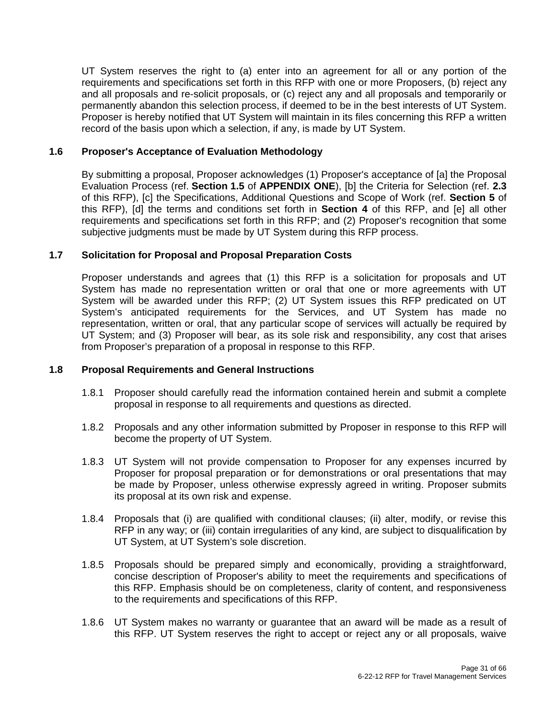UT System reserves the right to (a) enter into an agreement for all or any portion of the requirements and specifications set forth in this RFP with one or more Proposers, (b) reject any and all proposals and re-solicit proposals, or (c) reject any and all proposals and temporarily or permanently abandon this selection process, if deemed to be in the best interests of UT System. Proposer is hereby notified that UT System will maintain in its files concerning this RFP a written record of the basis upon which a selection, if any, is made by UT System.

#### **1.6 Proposer's Acceptance of Evaluation Methodology**

By submitting a proposal, Proposer acknowledges (1) Proposer's acceptance of [a] the Proposal Evaluation Process (ref. **Section 1.5** of **APPENDIX ONE**), [b] the Criteria for Selection (ref. **2.3**  of this RFP), [c] the Specifications, Additional Questions and Scope of Work (ref. **Section 5** of this RFP), [d] the terms and conditions set forth in **Section 4** of this RFP, and [e] all other requirements and specifications set forth in this RFP; and (2) Proposer's recognition that some subjective judgments must be made by UT System during this RFP process.

#### **1.7 Solicitation for Proposal and Proposal Preparation Costs**

Proposer understands and agrees that (1) this RFP is a solicitation for proposals and UT System has made no representation written or oral that one or more agreements with UT System will be awarded under this RFP; (2) UT System issues this RFP predicated on UT System's anticipated requirements for the Services, and UT System has made no representation, written or oral, that any particular scope of services will actually be required by UT System; and (3) Proposer will bear, as its sole risk and responsibility, any cost that arises from Proposer's preparation of a proposal in response to this RFP.

#### **1.8 Proposal Requirements and General Instructions**

- 1.8.1 Proposer should carefully read the information contained herein and submit a complete proposal in response to all requirements and questions as directed.
- 1.8.2 Proposals and any other information submitted by Proposer in response to this RFP will become the property of UT System.
- 1.8.3 UT System will not provide compensation to Proposer for any expenses incurred by Proposer for proposal preparation or for demonstrations or oral presentations that may be made by Proposer, unless otherwise expressly agreed in writing. Proposer submits its proposal at its own risk and expense.
- 1.8.4 Proposals that (i) are qualified with conditional clauses; (ii) alter, modify, or revise this RFP in any way; or (iii) contain irregularities of any kind, are subject to disqualification by UT System, at UT System's sole discretion.
- 1.8.5 Proposals should be prepared simply and economically, providing a straightforward, concise description of Proposer's ability to meet the requirements and specifications of this RFP. Emphasis should be on completeness, clarity of content, and responsiveness to the requirements and specifications of this RFP.
- 1.8.6 UT System makes no warranty or guarantee that an award will be made as a result of this RFP. UT System reserves the right to accept or reject any or all proposals, waive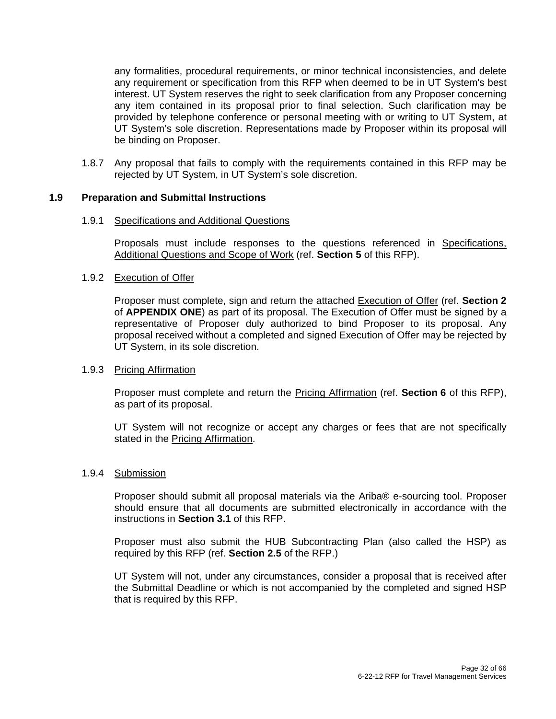any formalities, procedural requirements, or minor technical inconsistencies, and delete any requirement or specification from this RFP when deemed to be in UT System's best interest. UT System reserves the right to seek clarification from any Proposer concerning any item contained in its proposal prior to final selection. Such clarification may be provided by telephone conference or personal meeting with or writing to UT System, at UT System's sole discretion. Representations made by Proposer within its proposal will be binding on Proposer.

1.8.7 Any proposal that fails to comply with the requirements contained in this RFP may be rejected by UT System, in UT System's sole discretion.

#### **1.9 Preparation and Submittal Instructions**

#### 1.9.1 Specifications and Additional Questions

Proposals must include responses to the questions referenced in Specifications, Additional Questions and Scope of Work (ref. **Section 5** of this RFP).

#### 1.9.2 Execution of Offer

Proposer must complete, sign and return the attached Execution of Offer (ref. **Section 2**  of **APPENDIX ONE**) as part of its proposal. The Execution of Offer must be signed by a representative of Proposer duly authorized to bind Proposer to its proposal. Any proposal received without a completed and signed Execution of Offer may be rejected by UT System, in its sole discretion.

#### 1.9.3 Pricing Affirmation

Proposer must complete and return the Pricing Affirmation (ref. **Section 6** of this RFP), as part of its proposal.

UT System will not recognize or accept any charges or fees that are not specifically stated in the Pricing Affirmation.

#### 1.9.4 Submission

Proposer should submit all proposal materials via the Ariba® e-sourcing tool. Proposer should ensure that all documents are submitted electronically in accordance with the instructions in **Section 3.1** of this RFP.

Proposer must also submit the HUB Subcontracting Plan (also called the HSP) as required by this RFP (ref. **Section 2.5** of the RFP.)

UT System will not, under any circumstances, consider a proposal that is received after the Submittal Deadline or which is not accompanied by the completed and signed HSP that is required by this RFP.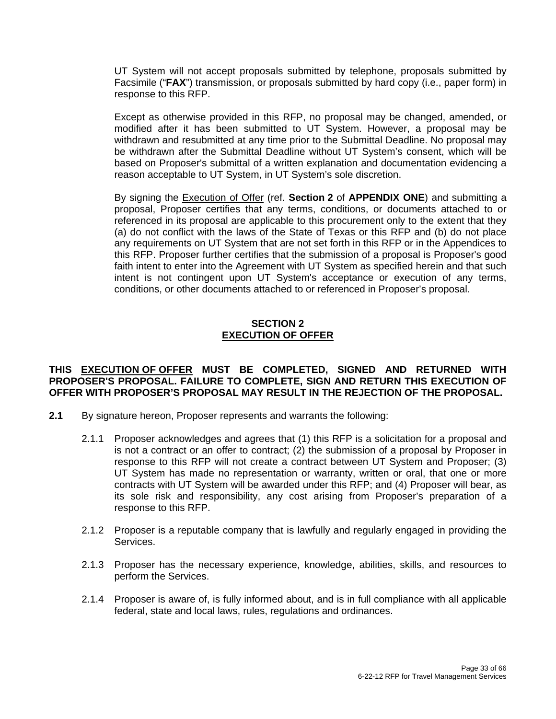UT System will not accept proposals submitted by telephone, proposals submitted by Facsimile ("**FAX**") transmission, or proposals submitted by hard copy (i.e., paper form) in response to this RFP.

Except as otherwise provided in this RFP, no proposal may be changed, amended, or modified after it has been submitted to UT System. However, a proposal may be withdrawn and resubmitted at any time prior to the Submittal Deadline. No proposal may be withdrawn after the Submittal Deadline without UT System's consent, which will be based on Proposer's submittal of a written explanation and documentation evidencing a reason acceptable to UT System, in UT System's sole discretion.

By signing the Execution of Offer (ref. **Section 2** of **APPENDIX ONE**) and submitting a proposal, Proposer certifies that any terms, conditions, or documents attached to or referenced in its proposal are applicable to this procurement only to the extent that they (a) do not conflict with the laws of the State of Texas or this RFP and (b) do not place any requirements on UT System that are not set forth in this RFP or in the Appendices to this RFP. Proposer further certifies that the submission of a proposal is Proposer's good faith intent to enter into the Agreement with UT System as specified herein and that such intent is not contingent upon UT System's acceptance or execution of any terms, conditions, or other documents attached to or referenced in Proposer's proposal.

#### **SECTION 2 EXECUTION OF OFFER**

#### **THIS EXECUTION OF OFFER MUST BE COMPLETED, SIGNED AND RETURNED WITH PROPOSER'S PROPOSAL. FAILURE TO COMPLETE, SIGN AND RETURN THIS EXECUTION OF OFFER WITH PROPOSER'S PROPOSAL MAY RESULT IN THE REJECTION OF THE PROPOSAL.**

- **2.1** By signature hereon, Proposer represents and warrants the following:
	- 2.1.1 Proposer acknowledges and agrees that (1) this RFP is a solicitation for a proposal and is not a contract or an offer to contract; (2) the submission of a proposal by Proposer in response to this RFP will not create a contract between UT System and Proposer; (3) UT System has made no representation or warranty, written or oral, that one or more contracts with UT System will be awarded under this RFP; and (4) Proposer will bear, as its sole risk and responsibility, any cost arising from Proposer's preparation of a response to this RFP.
	- 2.1.2 Proposer is a reputable company that is lawfully and regularly engaged in providing the Services.
	- 2.1.3 Proposer has the necessary experience, knowledge, abilities, skills, and resources to perform the Services.
	- 2.1.4 Proposer is aware of, is fully informed about, and is in full compliance with all applicable federal, state and local laws, rules, regulations and ordinances.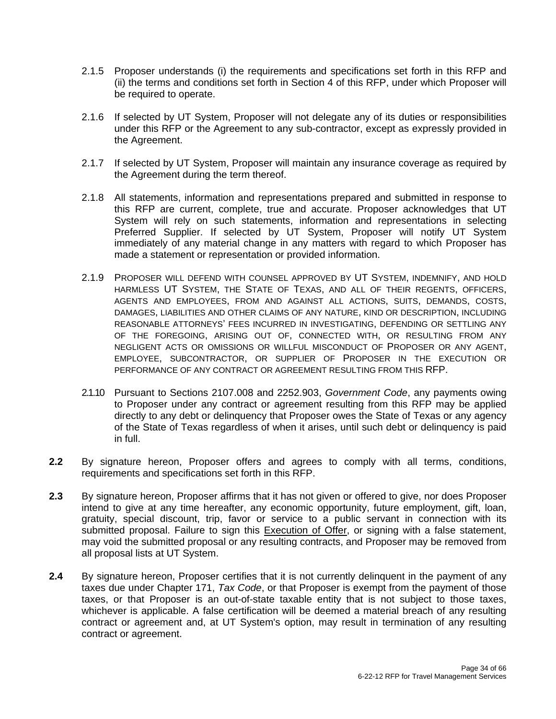- 2.1.5 Proposer understands (i) the requirements and specifications set forth in this RFP and (ii) the terms and conditions set forth in Section 4 of this RFP, under which Proposer will be required to operate.
- 2.1.6 If selected by UT System, Proposer will not delegate any of its duties or responsibilities under this RFP or the Agreement to any sub-contractor, except as expressly provided in the Agreement.
- 2.1.7 If selected by UT System, Proposer will maintain any insurance coverage as required by the Agreement during the term thereof.
- 2.1.8 All statements, information and representations prepared and submitted in response to this RFP are current, complete, true and accurate. Proposer acknowledges that UT System will rely on such statements, information and representations in selecting Preferred Supplier. If selected by UT System, Proposer will notify UT System immediately of any material change in any matters with regard to which Proposer has made a statement or representation or provided information.
- 2.1.9 PROPOSER WILL DEFEND WITH COUNSEL APPROVED BY UT SYSTEM, INDEMNIFY, AND HOLD HARMLESS UT SYSTEM, THE STATE OF TEXAS, AND ALL OF THEIR REGENTS, OFFICERS, AGENTS AND EMPLOYEES, FROM AND AGAINST ALL ACTIONS, SUITS, DEMANDS, COSTS, DAMAGES, LIABILITIES AND OTHER CLAIMS OF ANY NATURE, KIND OR DESCRIPTION, INCLUDING REASONABLE ATTORNEYS' FEES INCURRED IN INVESTIGATING, DEFENDING OR SETTLING ANY OF THE FOREGOING, ARISING OUT OF, CONNECTED WITH, OR RESULTING FROM ANY NEGLIGENT ACTS OR OMISSIONS OR WILLFUL MISCONDUCT OF PROPOSER OR ANY AGENT, EMPLOYEE, SUBCONTRACTOR, OR SUPPLIER OF PROPOSER IN THE EXECUTION OR PERFORMANCE OF ANY CONTRACT OR AGREEMENT RESULTING FROM THIS RFP.
- 2.1.10 Pursuant to Sections 2107.008 and 2252.903, *Government Code*, any payments owing to Proposer under any contract or agreement resulting from this RFP may be applied directly to any debt or delinquency that Proposer owes the State of Texas or any agency of the State of Texas regardless of when it arises, until such debt or delinquency is paid in full.
- **2.2** By signature hereon, Proposer offers and agrees to comply with all terms, conditions, requirements and specifications set forth in this RFP.
- **2.3** By signature hereon, Proposer affirms that it has not given or offered to give, nor does Proposer intend to give at any time hereafter, any economic opportunity, future employment, gift, loan, gratuity, special discount, trip, favor or service to a public servant in connection with its submitted proposal. Failure to sign this Execution of Offer, or signing with a false statement, may void the submitted proposal or any resulting contracts, and Proposer may be removed from all proposal lists at UT System.
- **2.4** By signature hereon, Proposer certifies that it is not currently delinquent in the payment of any taxes due under Chapter 171, *Tax Code*, or that Proposer is exempt from the payment of those taxes, or that Proposer is an out-of-state taxable entity that is not subject to those taxes, whichever is applicable. A false certification will be deemed a material breach of any resulting contract or agreement and, at UT System's option, may result in termination of any resulting contract or agreement.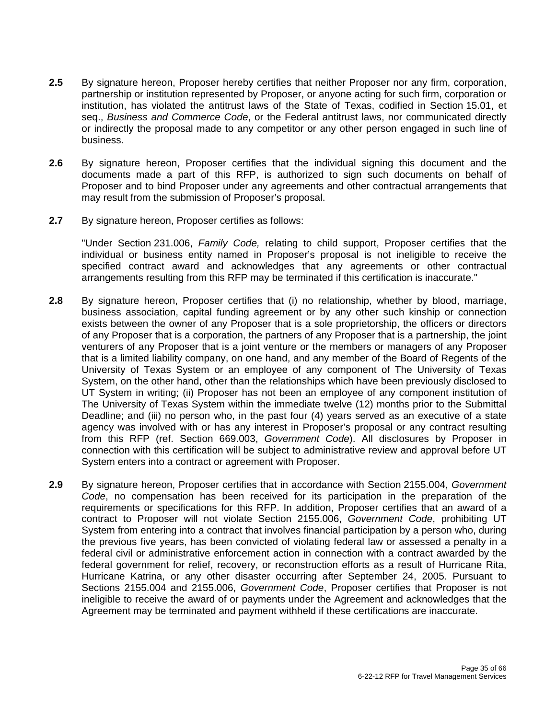- **2.5** By signature hereon, Proposer hereby certifies that neither Proposer nor any firm, corporation, partnership or institution represented by Proposer, or anyone acting for such firm, corporation or institution, has violated the antitrust laws of the State of Texas, codified in Section 15.01, et seq., *Business and Commerce Code*, or the Federal antitrust laws, nor communicated directly or indirectly the proposal made to any competitor or any other person engaged in such line of business.
- **2.6** By signature hereon, Proposer certifies that the individual signing this document and the documents made a part of this RFP, is authorized to sign such documents on behalf of Proposer and to bind Proposer under any agreements and other contractual arrangements that may result from the submission of Proposer's proposal.
- **2.7** By signature hereon, Proposer certifies as follows:

"Under Section 231.006, *Family Code,* relating to child support, Proposer certifies that the individual or business entity named in Proposer's proposal is not ineligible to receive the specified contract award and acknowledges that any agreements or other contractual arrangements resulting from this RFP may be terminated if this certification is inaccurate."

- **2.8** By signature hereon, Proposer certifies that (i) no relationship, whether by blood, marriage, business association, capital funding agreement or by any other such kinship or connection exists between the owner of any Proposer that is a sole proprietorship, the officers or directors of any Proposer that is a corporation, the partners of any Proposer that is a partnership, the joint venturers of any Proposer that is a joint venture or the members or managers of any Proposer that is a limited liability company, on one hand, and any member of the Board of Regents of the University of Texas System or an employee of any component of The University of Texas System, on the other hand, other than the relationships which have been previously disclosed to UT System in writing; (ii) Proposer has not been an employee of any component institution of The University of Texas System within the immediate twelve (12) months prior to the Submittal Deadline; and (iii) no person who, in the past four (4) years served as an executive of a state agency was involved with or has any interest in Proposer's proposal or any contract resulting from this RFP (ref. Section 669.003, *Government Code*). All disclosures by Proposer in connection with this certification will be subject to administrative review and approval before UT System enters into a contract or agreement with Proposer.
- **2.9** By signature hereon, Proposer certifies that in accordance with Section 2155.004, *Government Code*, no compensation has been received for its participation in the preparation of the requirements or specifications for this RFP. In addition, Proposer certifies that an award of a contract to Proposer will not violate Section 2155.006, *Government Code*, prohibiting UT System from entering into a contract that involves financial participation by a person who, during the previous five years, has been convicted of violating federal law or assessed a penalty in a federal civil or administrative enforcement action in connection with a contract awarded by the federal government for relief, recovery, or reconstruction efforts as a result of Hurricane Rita, Hurricane Katrina, or any other disaster occurring after September 24, 2005. Pursuant to Sections 2155.004 and 2155.006, *Government Code*, Proposer certifies that Proposer is not ineligible to receive the award of or payments under the Agreement and acknowledges that the Agreement may be terminated and payment withheld if these certifications are inaccurate.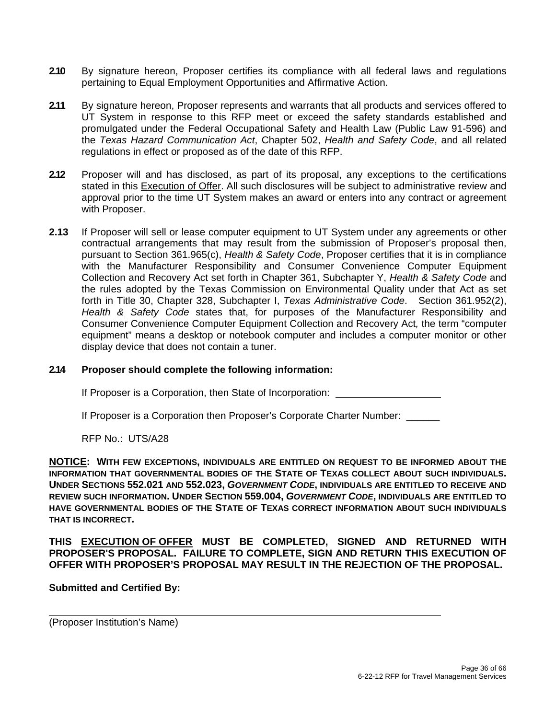- **2.10** By signature hereon, Proposer certifies its compliance with all federal laws and regulations pertaining to Equal Employment Opportunities and Affirmative Action.
- **2.11** By signature hereon, Proposer represents and warrants that all products and services offered to UT System in response to this RFP meet or exceed the safety standards established and promulgated under the Federal Occupational Safety and Health Law (Public Law 91-596) and the *Texas Hazard Communication Act*, Chapter 502, *Health and Safety Code*, and all related regulations in effect or proposed as of the date of this RFP.
- **2.12** Proposer will and has disclosed, as part of its proposal, any exceptions to the certifications stated in this Execution of Offer. All such disclosures will be subject to administrative review and approval prior to the time UT System makes an award or enters into any contract or agreement with Proposer.
- **2.13** If Proposer will sell or lease computer equipment to UT System under any agreements or other contractual arrangements that may result from the submission of Proposer's proposal then, pursuant to Section 361.965(c), *Health & Safety Code*, Proposer certifies that it is in compliance with the Manufacturer Responsibility and Consumer Convenience Computer Equipment Collection and Recovery Act set forth in Chapter 361, Subchapter Y, *Health & Safety Code* and the rules adopted by the Texas Commission on Environmental Quality under that Act as set forth in Title 30, Chapter 328, Subchapter I, *Texas Administrative Code*. Section 361.952(2), *Health & Safety Code* states that, for purposes of the Manufacturer Responsibility and Consumer Convenience Computer Equipment Collection and Recovery Act*,* the term "computer equipment" means a desktop or notebook computer and includes a computer monitor or other display device that does not contain a tuner.

#### **2.14 Proposer should complete the following information:**

If Proposer is a Corporation, then State of Incorporation:

If Proposer is a Corporation then Proposer's Corporate Charter Number: \_\_\_\_\_\_

RFP No.: UTS/A28

**NOTICE: WITH FEW EXCEPTIONS, INDIVIDUALS ARE ENTITLED ON REQUEST TO BE INFORMED ABOUT THE INFORMATION THAT GOVERNMENTAL BODIES OF THE STATE OF TEXAS COLLECT ABOUT SUCH INDIVIDUALS. UNDER SECTIONS 552.021 AND 552.023,** *GOVERNMENT CODE***, INDIVIDUALS ARE ENTITLED TO RECEIVE AND REVIEW SUCH INFORMATION. UNDER SECTION 559.004,** *GOVERNMENT CODE***, INDIVIDUALS ARE ENTITLED TO HAVE GOVERNMENTAL BODIES OF THE STATE OF TEXAS CORRECT INFORMATION ABOUT SUCH INDIVIDUALS THAT IS INCORRECT.** 

**THIS EXECUTION OF OFFER MUST BE COMPLETED, SIGNED AND RETURNED WITH PROPOSER'S PROPOSAL. FAILURE TO COMPLETE, SIGN AND RETURN THIS EXECUTION OF OFFER WITH PROPOSER'S PROPOSAL MAY RESULT IN THE REJECTION OF THE PROPOSAL.** 

#### **Submitted and Certified By:**

(Proposer Institution's Name)

 $\overline{a}$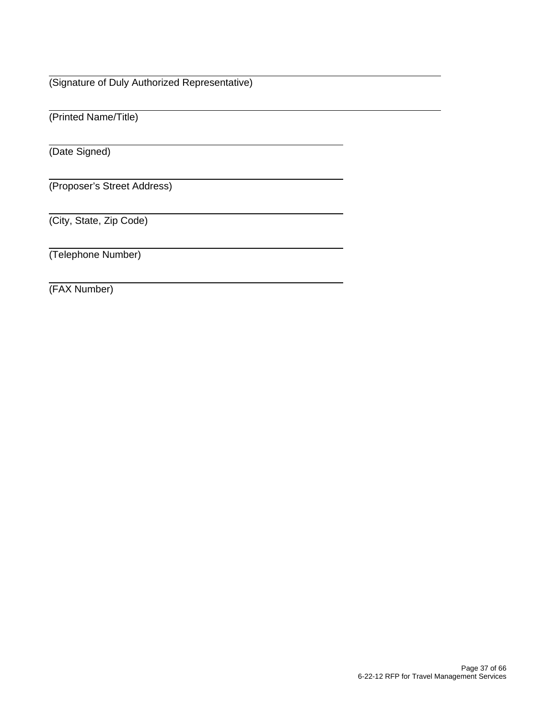(Signature of Duly Authorized Representative)

(Printed Name/Title)

(Date Signed)

 $\overline{a}$ 

 $\overline{a}$ 

(Proposer's Street Address)

(City, State, Zip Code)

(Telephone Number)

(FAX Number)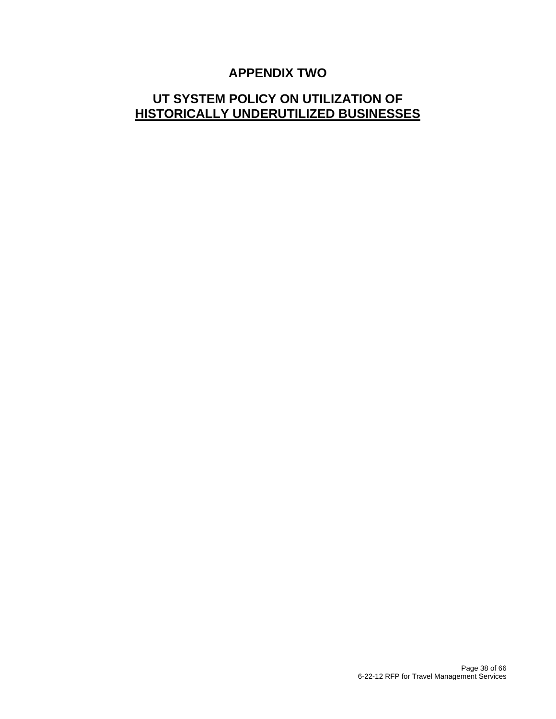## **APPENDIX TWO**

## **UT SYSTEM POLICY ON UTILIZATION OF HISTORICALLY UNDERUTILIZED BUSINESSES**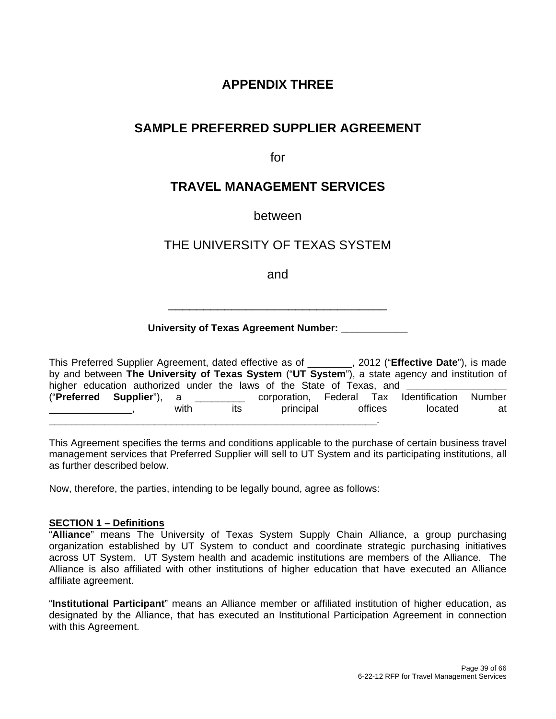## **APPENDIX THREE**

## **SAMPLE PREFERRED SUPPLIER AGREEMENT**

for

## **TRAVEL MANAGEMENT SERVICES**

between

## THE UNIVERSITY OF TEXAS SYSTEM

and

\_\_\_\_\_\_\_\_\_\_\_\_\_\_\_\_\_\_\_\_\_\_\_\_\_\_\_\_\_\_\_

#### **University of Texas Agreement Number: \_\_\_\_\_\_\_\_\_\_\_\_**

This Preferred Supplier Agreement, dated effective as of \_\_\_\_\_\_\_\_, 2012 ("**Effective Date**"), is made by and between **The University of Texas System** ("**UT System**"), a state agency and institution of higher education authorized under the laws of the State of Texas, and ("**Preferred Supplier**"), a \_\_\_\_\_\_\_\_\_ corporation, Federal Tax Identification Number \_\_\_\_\_\_\_\_\_\_\_\_\_\_\_, with its principal offices located at \_\_\_\_\_\_\_\_\_\_\_\_\_\_\_\_\_\_\_\_\_\_\_\_\_\_\_\_\_\_\_\_\_\_\_\_\_\_\_\_\_\_\_\_\_\_\_\_\_\_\_\_\_\_\_\_\_\_\_.

This Agreement specifies the terms and conditions applicable to the purchase of certain business travel management services that Preferred Supplier will sell to UT System and its participating institutions, all as further described below.

Now, therefore, the parties, intending to be legally bound, agree as follows:

#### **SECTION 1 – Definitions**

"**Alliance**" means The University of Texas System Supply Chain Alliance, a group purchasing organization established by UT System to conduct and coordinate strategic purchasing initiatives across UT System. UT System health and academic institutions are members of the Alliance. The Alliance is also affiliated with other institutions of higher education that have executed an Alliance affiliate agreement.

"**Institutional Participant**" means an Alliance member or affiliated institution of higher education, as designated by the Alliance, that has executed an Institutional Participation Agreement in connection with this Agreement.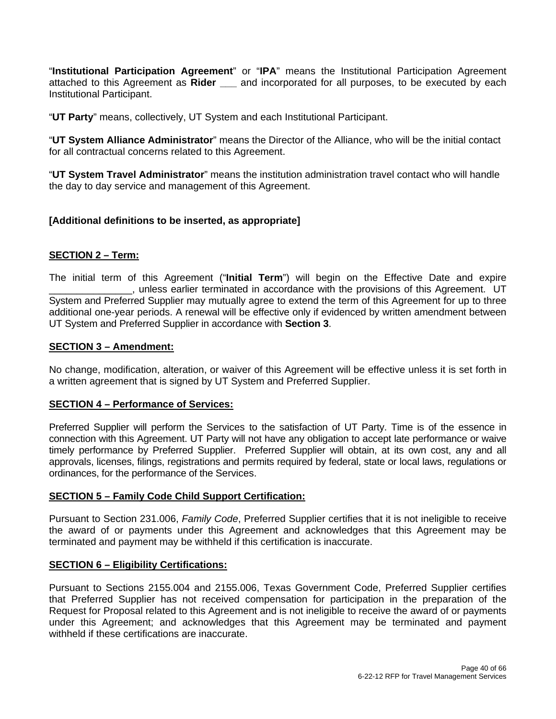"**Institutional Participation Agreement**" or "**IPA**" means the Institutional Participation Agreement attached to this Agreement as **Rider \_\_\_** and incorporated for all purposes, to be executed by each Institutional Participant.

"**UT Party**" means, collectively, UT System and each Institutional Participant.

"**UT System Alliance Administrator**" means the Director of the Alliance, who will be the initial contact for all contractual concerns related to this Agreement.

"**UT System Travel Administrator**" means the institution administration travel contact who will handle the day to day service and management of this Agreement.

#### **[Additional definitions to be inserted, as appropriate]**

#### **SECTION 2 – Term:**

The initial term of this Agreement ("**Initial Term**") will begin on the Effective Date and expire \_\_\_\_\_\_\_\_\_\_\_\_\_\_\_, unless earlier terminated in accordance with the provisions of this Agreement. UT System and Preferred Supplier may mutually agree to extend the term of this Agreement for up to three additional one-year periods. A renewal will be effective only if evidenced by written amendment between UT System and Preferred Supplier in accordance with **Section 3**.

#### **SECTION 3 – Amendment:**

No change, modification, alteration, or waiver of this Agreement will be effective unless it is set forth in a written agreement that is signed by UT System and Preferred Supplier.

#### **SECTION 4 – Performance of Services:**

Preferred Supplier will perform the Services to the satisfaction of UT Party. Time is of the essence in connection with this Agreement. UT Party will not have any obligation to accept late performance or waive timely performance by Preferred Supplier. Preferred Supplier will obtain, at its own cost, any and all approvals, licenses, filings, registrations and permits required by federal, state or local laws, regulations or ordinances, for the performance of the Services.

#### **SECTION 5 – Family Code Child Support Certification:**

Pursuant to Section 231.006, *Family Code*, Preferred Supplier certifies that it is not ineligible to receive the award of or payments under this Agreement and acknowledges that this Agreement may be terminated and payment may be withheld if this certification is inaccurate.

#### **SECTION 6 – Eligibility Certifications:**

Pursuant to Sections 2155.004 and 2155.006, Texas Government Code, Preferred Supplier certifies that Preferred Supplier has not received compensation for participation in the preparation of the Request for Proposal related to this Agreement and is not ineligible to receive the award of or payments under this Agreement; and acknowledges that this Agreement may be terminated and payment withheld if these certifications are inaccurate.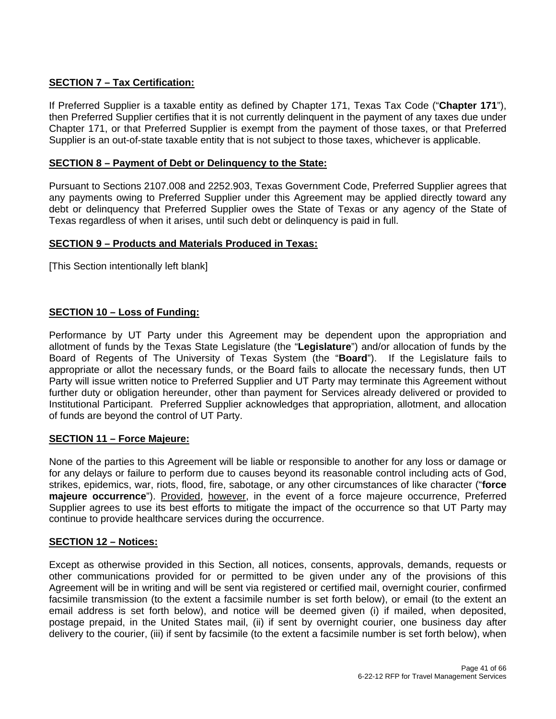#### **SECTION 7 – Tax Certification:**

If Preferred Supplier is a taxable entity as defined by Chapter 171, Texas Tax Code ("**Chapter 171**"), then Preferred Supplier certifies that it is not currently delinquent in the payment of any taxes due under Chapter 171, or that Preferred Supplier is exempt from the payment of those taxes, or that Preferred Supplier is an out-of-state taxable entity that is not subject to those taxes, whichever is applicable.

#### **SECTION 8 – Payment of Debt or Delinquency to the State:**

Pursuant to Sections 2107.008 and 2252.903, Texas Government Code, Preferred Supplier agrees that any payments owing to Preferred Supplier under this Agreement may be applied directly toward any debt or delinquency that Preferred Supplier owes the State of Texas or any agency of the State of Texas regardless of when it arises, until such debt or delinquency is paid in full.

#### **SECTION 9 – Products and Materials Produced in Texas:**

[This Section intentionally left blank]

#### **SECTION 10 – Loss of Funding:**

Performance by UT Party under this Agreement may be dependent upon the appropriation and allotment of funds by the Texas State Legislature (the "**Legislature**") and/or allocation of funds by the Board of Regents of The University of Texas System (the "**Board**"). If the Legislature fails to appropriate or allot the necessary funds, or the Board fails to allocate the necessary funds, then UT Party will issue written notice to Preferred Supplier and UT Party may terminate this Agreement without further duty or obligation hereunder, other than payment for Services already delivered or provided to Institutional Participant. Preferred Supplier acknowledges that appropriation, allotment, and allocation of funds are beyond the control of UT Party.

#### **SECTION 11 – Force Majeure:**

None of the parties to this Agreement will be liable or responsible to another for any loss or damage or for any delays or failure to perform due to causes beyond its reasonable control including acts of God, strikes, epidemics, war, riots, flood, fire, sabotage, or any other circumstances of like character ("**force majeure occurrence**"). Provided, however, in the event of a force majeure occurrence, Preferred Supplier agrees to use its best efforts to mitigate the impact of the occurrence so that UT Party may continue to provide healthcare services during the occurrence.

#### **SECTION 12 – Notices:**

Except as otherwise provided in this Section, all notices, consents, approvals, demands, requests or other communications provided for or permitted to be given under any of the provisions of this Agreement will be in writing and will be sent via registered or certified mail, overnight courier, confirmed facsimile transmission (to the extent a facsimile number is set forth below), or email (to the extent an email address is set forth below), and notice will be deemed given (i) if mailed, when deposited, postage prepaid, in the United States mail, (ii) if sent by overnight courier, one business day after delivery to the courier, (iii) if sent by facsimile (to the extent a facsimile number is set forth below), when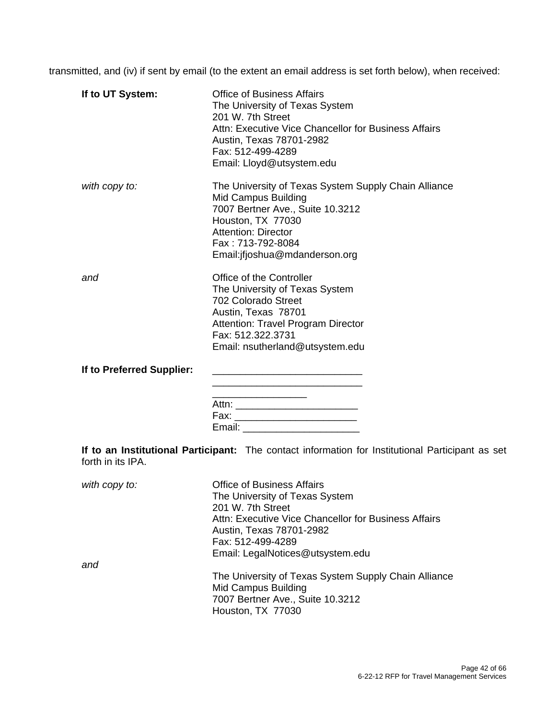transmitted, and (iv) if sent by email (to the extent an email address is set forth below), when received:

| If to UT System:          | <b>Office of Business Affairs</b><br>The University of Texas System<br>201 W. 7th Street<br>Attn: Executive Vice Chancellor for Business Affairs<br>Austin, Texas 78701-2982<br>Fax: 512-499-4289<br>Email: Lloyd@utsystem.edu  |
|---------------------------|---------------------------------------------------------------------------------------------------------------------------------------------------------------------------------------------------------------------------------|
| with copy to:             | The University of Texas System Supply Chain Alliance<br><b>Mid Campus Building</b><br>7007 Bertner Ave., Suite 10.3212<br>Houston, TX 77030<br><b>Attention: Director</b><br>Fax: 713-792-8084<br>Email:jfjoshua@mdanderson.org |
| and                       | Office of the Controller<br>The University of Texas System<br>702 Colorado Street<br>Austin, Texas 78701<br>Attention: Travel Program Director<br>Fax: 512.322.3731<br>Email: nsutherland@utsystem.edu                          |
| If to Preferred Supplier: | Email: __________________________                                                                                                                                                                                               |
| forth in its IPA.         | If to an Institutional Participant: The contact information for Institutional Participant as set                                                                                                                                |
| $with$ conv $to$ .        | Office of Rusingss Affairs                                                                                                                                                                                                      |

| with copy to: | <b>Office of Business Affairs</b>                    |
|---------------|------------------------------------------------------|
|               | The University of Texas System                       |
|               | 201 W. 7th Street                                    |
|               | Attn: Executive Vice Chancellor for Business Affairs |
|               | Austin, Texas 78701-2982                             |
|               | Fax: 512-499-4289                                    |
|               | Email: LegalNotices@utsystem.edu                     |
| and           |                                                      |
|               | The University of Texas System Supply Chain Alliance |
|               | <b>Mid Campus Building</b>                           |
|               | 7007 Bertner Ave., Suite 10.3212                     |
|               | Houston, TX 77030                                    |
|               |                                                      |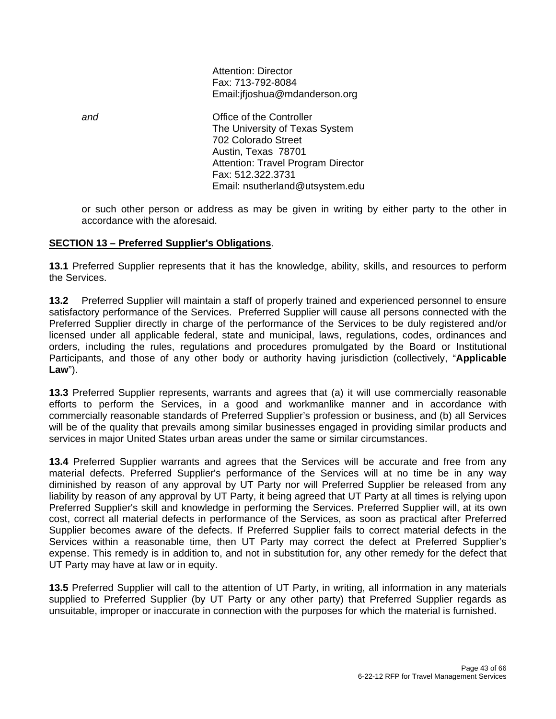Attention: Director Fax: 713-792-8084 Email:jfjoshua@mdanderson.org

*and* Office of the Controller The University of Texas System 702 Colorado Street Austin, Texas 78701 Attention: Travel Program Director Fax: 512.322.3731 Email: nsutherland@utsystem.edu

or such other person or address as may be given in writing by either party to the other in accordance with the aforesaid.

#### **SECTION 13 – Preferred Supplier's Obligations**.

**13.1** Preferred Supplier represents that it has the knowledge, ability, skills, and resources to perform the Services.

**13.2** Preferred Supplier will maintain a staff of properly trained and experienced personnel to ensure satisfactory performance of the Services. Preferred Supplier will cause all persons connected with the Preferred Supplier directly in charge of the performance of the Services to be duly registered and/or licensed under all applicable federal, state and municipal, laws, regulations, codes, ordinances and orders, including the rules, regulations and procedures promulgated by the Board or Institutional Participants, and those of any other body or authority having jurisdiction (collectively, "**Applicable Law**").

**13.3** Preferred Supplier represents, warrants and agrees that (a) it will use commercially reasonable efforts to perform the Services, in a good and workmanlike manner and in accordance with commercially reasonable standards of Preferred Supplier's profession or business, and (b) all Services will be of the quality that prevails among similar businesses engaged in providing similar products and services in major United States urban areas under the same or similar circumstances.

**13.4** Preferred Supplier warrants and agrees that the Services will be accurate and free from any material defects. Preferred Supplier's performance of the Services will at no time be in any way diminished by reason of any approval by UT Party nor will Preferred Supplier be released from any liability by reason of any approval by UT Party, it being agreed that UT Party at all times is relying upon Preferred Supplier's skill and knowledge in performing the Services. Preferred Supplier will, at its own cost, correct all material defects in performance of the Services, as soon as practical after Preferred Supplier becomes aware of the defects. If Preferred Supplier fails to correct material defects in the Services within a reasonable time, then UT Party may correct the defect at Preferred Supplier's expense. This remedy is in addition to, and not in substitution for, any other remedy for the defect that UT Party may have at law or in equity.

**13.5** Preferred Supplier will call to the attention of UT Party, in writing, all information in any materials supplied to Preferred Supplier (by UT Party or any other party) that Preferred Supplier regards as unsuitable, improper or inaccurate in connection with the purposes for which the material is furnished.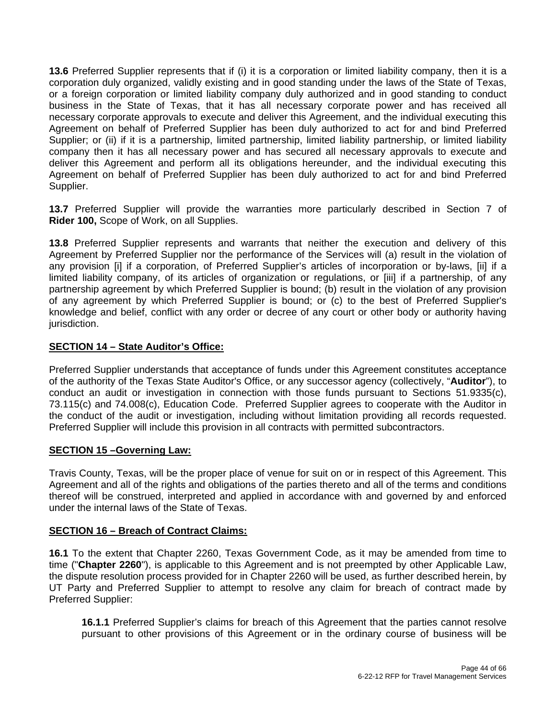**13.6** Preferred Supplier represents that if (i) it is a corporation or limited liability company, then it is a corporation duly organized, validly existing and in good standing under the laws of the State of Texas, or a foreign corporation or limited liability company duly authorized and in good standing to conduct business in the State of Texas, that it has all necessary corporate power and has received all necessary corporate approvals to execute and deliver this Agreement, and the individual executing this Agreement on behalf of Preferred Supplier has been duly authorized to act for and bind Preferred Supplier; or (ii) if it is a partnership, limited partnership, limited liability partnership, or limited liability company then it has all necessary power and has secured all necessary approvals to execute and deliver this Agreement and perform all its obligations hereunder, and the individual executing this Agreement on behalf of Preferred Supplier has been duly authorized to act for and bind Preferred Supplier.

**13.7** Preferred Supplier will provide the warranties more particularly described in Section 7 of **Rider 100,** Scope of Work, on all Supplies.

**13.8** Preferred Supplier represents and warrants that neither the execution and delivery of this Agreement by Preferred Supplier nor the performance of the Services will (a) result in the violation of any provision [i] if a corporation, of Preferred Supplier's articles of incorporation or by-laws, [ii] if a limited liability company, of its articles of organization or regulations, or [iii] if a partnership, of any partnership agreement by which Preferred Supplier is bound; (b) result in the violation of any provision of any agreement by which Preferred Supplier is bound; or (c) to the best of Preferred Supplier's knowledge and belief, conflict with any order or decree of any court or other body or authority having jurisdiction.

#### **SECTION 14 – State Auditor's Office:**

Preferred Supplier understands that acceptance of funds under this Agreement constitutes acceptance of the authority of the Texas State Auditor's Office, or any successor agency (collectively, "**Auditor**"), to conduct an audit or investigation in connection with those funds pursuant to Sections 51.9335(c), 73.115(c) and 74.008(c), Education Code. Preferred Supplier agrees to cooperate with the Auditor in the conduct of the audit or investigation, including without limitation providing all records requested. Preferred Supplier will include this provision in all contracts with permitted subcontractors.

#### **SECTION 15 –Governing Law:**

Travis County, Texas, will be the proper place of venue for suit on or in respect of this Agreement. This Agreement and all of the rights and obligations of the parties thereto and all of the terms and conditions thereof will be construed, interpreted and applied in accordance with and governed by and enforced under the internal laws of the State of Texas.

#### **SECTION 16 – Breach of Contract Claims:**

**16.1** To the extent that Chapter 2260, Texas Government Code, as it may be amended from time to time ("**Chapter 2260**"), is applicable to this Agreement and is not preempted by other Applicable Law, the dispute resolution process provided for in Chapter 2260 will be used, as further described herein, by UT Party and Preferred Supplier to attempt to resolve any claim for breach of contract made by Preferred Supplier:

**16.1.1** Preferred Supplier's claims for breach of this Agreement that the parties cannot resolve pursuant to other provisions of this Agreement or in the ordinary course of business will be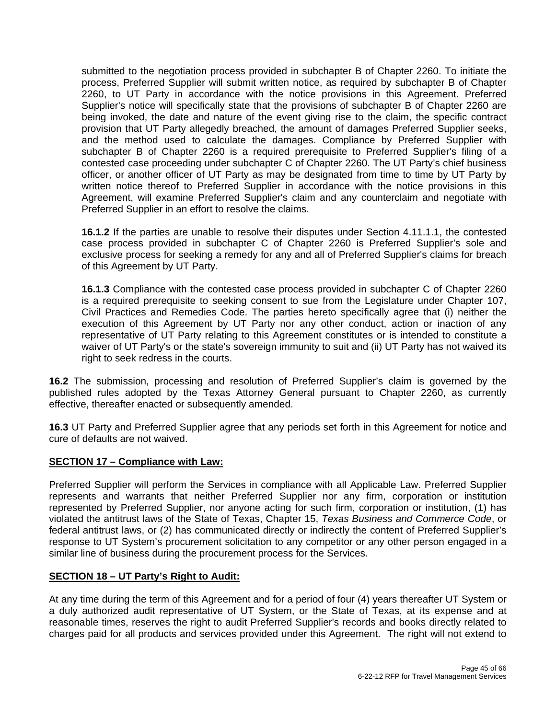submitted to the negotiation process provided in subchapter B of Chapter 2260. To initiate the process, Preferred Supplier will submit written notice, as required by subchapter B of Chapter 2260, to UT Party in accordance with the notice provisions in this Agreement. Preferred Supplier's notice will specifically state that the provisions of subchapter B of Chapter 2260 are being invoked, the date and nature of the event giving rise to the claim, the specific contract provision that UT Party allegedly breached, the amount of damages Preferred Supplier seeks, and the method used to calculate the damages. Compliance by Preferred Supplier with subchapter B of Chapter 2260 is a required prerequisite to Preferred Supplier's filing of a contested case proceeding under subchapter C of Chapter 2260. The UT Party's chief business officer, or another officer of UT Party as may be designated from time to time by UT Party by written notice thereof to Preferred Supplier in accordance with the notice provisions in this Agreement, will examine Preferred Supplier's claim and any counterclaim and negotiate with Preferred Supplier in an effort to resolve the claims.

**16.1.2** If the parties are unable to resolve their disputes under Section 4.11.1.1, the contested case process provided in subchapter C of Chapter 2260 is Preferred Supplier's sole and exclusive process for seeking a remedy for any and all of Preferred Supplier's claims for breach of this Agreement by UT Party.

**16.1.3** Compliance with the contested case process provided in subchapter C of Chapter 2260 is a required prerequisite to seeking consent to sue from the Legislature under Chapter 107, Civil Practices and Remedies Code. The parties hereto specifically agree that (i) neither the execution of this Agreement by UT Party nor any other conduct, action or inaction of any representative of UT Party relating to this Agreement constitutes or is intended to constitute a waiver of UT Party's or the state's sovereign immunity to suit and (ii) UT Party has not waived its right to seek redress in the courts.

**16.2** The submission, processing and resolution of Preferred Supplier's claim is governed by the published rules adopted by the Texas Attorney General pursuant to Chapter 2260, as currently effective, thereafter enacted or subsequently amended.

**16.3** UT Party and Preferred Supplier agree that any periods set forth in this Agreement for notice and cure of defaults are not waived.

#### **SECTION 17 – Compliance with Law:**

Preferred Supplier will perform the Services in compliance with all Applicable Law. Preferred Supplier represents and warrants that neither Preferred Supplier nor any firm, corporation or institution represented by Preferred Supplier, nor anyone acting for such firm, corporation or institution, (1) has violated the antitrust laws of the State of Texas, Chapter 15, *Texas Business and Commerce Code*, or federal antitrust laws, or (2) has communicated directly or indirectly the content of Preferred Supplier's response to UT System's procurement solicitation to any competitor or any other person engaged in a similar line of business during the procurement process for the Services.

#### **SECTION 18 – UT Party's Right to Audit:**

At any time during the term of this Agreement and for a period of four (4) years thereafter UT System or a duly authorized audit representative of UT System, or the State of Texas, at its expense and at reasonable times, reserves the right to audit Preferred Supplier's records and books directly related to charges paid for all products and services provided under this Agreement. The right will not extend to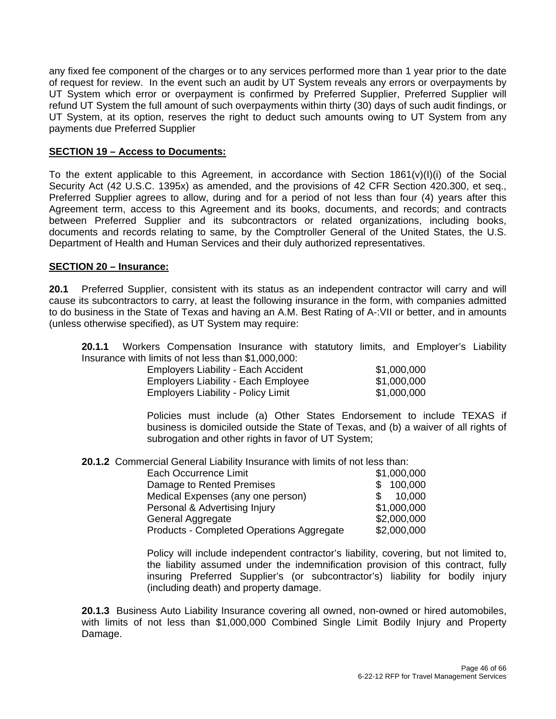any fixed fee component of the charges or to any services performed more than 1 year prior to the date of request for review. In the event such an audit by UT System reveals any errors or overpayments by UT System which error or overpayment is confirmed by Preferred Supplier, Preferred Supplier will refund UT System the full amount of such overpayments within thirty (30) days of such audit findings, or UT System, at its option, reserves the right to deduct such amounts owing to UT System from any payments due Preferred Supplier

#### **SECTION 19 – Access to Documents:**

To the extent applicable to this Agreement, in accordance with Section  $1861(v)(I)(i)$  of the Social Security Act (42 U.S.C. 1395x) as amended, and the provisions of 42 CFR Section 420.300, et seq., Preferred Supplier agrees to allow, during and for a period of not less than four (4) years after this Agreement term, access to this Agreement and its books, documents, and records; and contracts between Preferred Supplier and its subcontractors or related organizations, including books, documents and records relating to same, by the Comptroller General of the United States, the U.S. Department of Health and Human Services and their duly authorized representatives.

#### **SECTION 20 – Insurance:**

**20.1** Preferred Supplier, consistent with its status as an independent contractor will carry and will cause its subcontractors to carry, at least the following insurance in the form, with companies admitted to do business in the State of Texas and having an A.M. Best Rating of A-:VII or better, and in amounts (unless otherwise specified), as UT System may require:

**20.1.1** Workers Compensation Insurance with statutory limits, and Employer's Liability Insurance with limits of not less than \$1,000,000:

| <b>Employers Liability - Each Accident</b> | \$1,000,000 |
|--------------------------------------------|-------------|
| <b>Employers Liability - Each Employee</b> | \$1,000,000 |
| <b>Employers Liability - Policy Limit</b>  | \$1,000,000 |

Policies must include (a) Other States Endorsement to include TEXAS if business is domiciled outside the State of Texas, and (b) a waiver of all rights of subrogation and other rights in favor of UT System;

**20.1.2** Commercial General Liability Insurance with limits of not less than:

| Each Occurrence Limit                     | \$1,000,000 |
|-------------------------------------------|-------------|
| Damage to Rented Premises                 | \$100,000   |
| Medical Expenses (any one person)         | \$ 10,000   |
| Personal & Advertising Injury             | \$1,000,000 |
| General Aggregate                         | \$2,000,000 |
| Products - Completed Operations Aggregate | \$2,000,000 |

Policy will include independent contractor's liability, covering, but not limited to, the liability assumed under the indemnification provision of this contract, fully insuring Preferred Supplier's (or subcontractor's) liability for bodily injury (including death) and property damage.

**20.1.3** Business Auto Liability Insurance covering all owned, non-owned or hired automobiles, with limits of not less than \$1,000,000 Combined Single Limit Bodily Injury and Property Damage.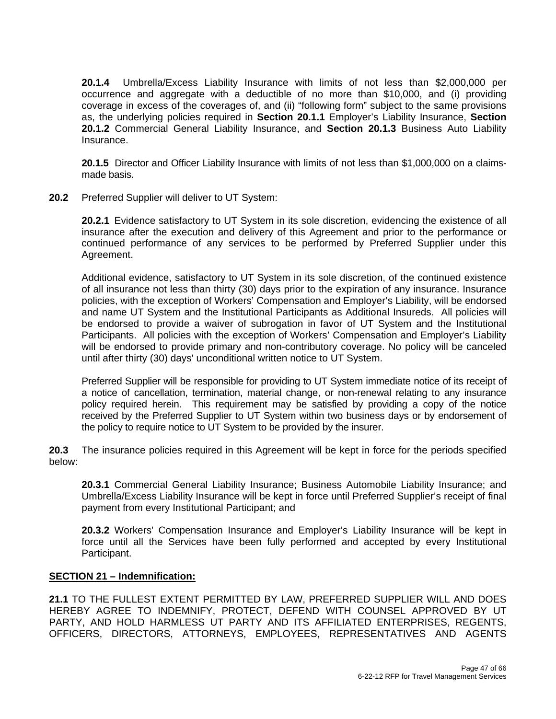**20.1.4** Umbrella/Excess Liability Insurance with limits of not less than \$2,000,000 per occurrence and aggregate with a deductible of no more than \$10,000, and (i) providing coverage in excess of the coverages of, and (ii) "following form" subject to the same provisions as, the underlying policies required in **Section 20.1.1** Employer's Liability Insurance, **Section 20.1.2** Commercial General Liability Insurance, and **Section 20.1.3** Business Auto Liability Insurance.

**20.1.5** Director and Officer Liability Insurance with limits of not less than \$1,000,000 on a claimsmade basis.

**20.2** Preferred Supplier will deliver to UT System:

**20.2.1** Evidence satisfactory to UT System in its sole discretion, evidencing the existence of all insurance after the execution and delivery of this Agreement and prior to the performance or continued performance of any services to be performed by Preferred Supplier under this Agreement.

Additional evidence, satisfactory to UT System in its sole discretion, of the continued existence of all insurance not less than thirty (30) days prior to the expiration of any insurance. Insurance policies, with the exception of Workers' Compensation and Employer's Liability, will be endorsed and name UT System and the Institutional Participants as Additional Insureds. All policies will be endorsed to provide a waiver of subrogation in favor of UT System and the Institutional Participants. All policies with the exception of Workers' Compensation and Employer's Liability will be endorsed to provide primary and non-contributory coverage. No policy will be canceled until after thirty (30) days' unconditional written notice to UT System.

Preferred Supplier will be responsible for providing to UT System immediate notice of its receipt of a notice of cancellation, termination, material change, or non-renewal relating to any insurance policy required herein. This requirement may be satisfied by providing a copy of the notice received by the Preferred Supplier to UT System within two business days or by endorsement of the policy to require notice to UT System to be provided by the insurer.

**20.3** The insurance policies required in this Agreement will be kept in force for the periods specified below:

**20.3.1** Commercial General Liability Insurance; Business Automobile Liability Insurance; and Umbrella/Excess Liability Insurance will be kept in force until Preferred Supplier's receipt of final payment from every Institutional Participant; and

**20.3.2** Workers' Compensation Insurance and Employer's Liability Insurance will be kept in force until all the Services have been fully performed and accepted by every Institutional Participant.

#### **SECTION 21 – Indemnification:**

**21.1** TO THE FULLEST EXTENT PERMITTED BY LAW, PREFERRED SUPPLIER WILL AND DOES HEREBY AGREE TO INDEMNIFY, PROTECT, DEFEND WITH COUNSEL APPROVED BY UT PARTY, AND HOLD HARMLESS UT PARTY AND ITS AFFILIATED ENTERPRISES, REGENTS, OFFICERS, DIRECTORS, ATTORNEYS, EMPLOYEES, REPRESENTATIVES AND AGENTS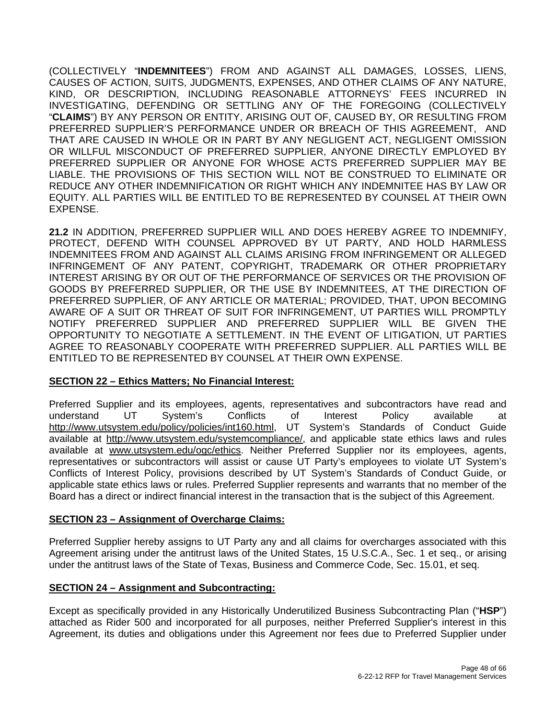(COLLECTIVELY "**INDEMNITEES**") FROM AND AGAINST ALL DAMAGES, LOSSES, LIENS, CAUSES OF ACTION, SUITS, JUDGMENTS, EXPENSES, AND OTHER CLAIMS OF ANY NATURE, KIND, OR DESCRIPTION, INCLUDING REASONABLE ATTORNEYS' FEES INCURRED IN INVESTIGATING, DEFENDING OR SETTLING ANY OF THE FOREGOING (COLLECTIVELY "**CLAIMS**") BY ANY PERSON OR ENTITY, ARISING OUT OF, CAUSED BY, OR RESULTING FROM PREFERRED SUPPLIER'S PERFORMANCE UNDER OR BREACH OF THIS AGREEMENT, AND THAT ARE CAUSED IN WHOLE OR IN PART BY ANY NEGLIGENT ACT, NEGLIGENT OMISSION OR WILLFUL MISCONDUCT OF PREFERRED SUPPLIER, ANYONE DIRECTLY EMPLOYED BY PREFERRED SUPPLIER OR ANYONE FOR WHOSE ACTS PREFERRED SUPPLIER MAY BE LIABLE. THE PROVISIONS OF THIS SECTION WILL NOT BE CONSTRUED TO ELIMINATE OR REDUCE ANY OTHER INDEMNIFICATION OR RIGHT WHICH ANY INDEMNITEE HAS BY LAW OR EQUITY. ALL PARTIES WILL BE ENTITLED TO BE REPRESENTED BY COUNSEL AT THEIR OWN EXPENSE.

**21.2** IN ADDITION, PREFERRED SUPPLIER WILL AND DOES HEREBY AGREE TO INDEMNIFY, PROTECT, DEFEND WITH COUNSEL APPROVED BY UT PARTY, AND HOLD HARMLESS INDEMNITEES FROM AND AGAINST ALL CLAIMS ARISING FROM INFRINGEMENT OR ALLEGED INFRINGEMENT OF ANY PATENT, COPYRIGHT, TRADEMARK OR OTHER PROPRIETARY INTEREST ARISING BY OR OUT OF THE PERFORMANCE OF SERVICES OR THE PROVISION OF GOODS BY PREFERRED SUPPLIER, OR THE USE BY INDEMNITEES, AT THE DIRECTION OF PREFERRED SUPPLIER, OF ANY ARTICLE OR MATERIAL; PROVIDED, THAT, UPON BECOMING AWARE OF A SUIT OR THREAT OF SUIT FOR INFRINGEMENT, UT PARTIES WILL PROMPTLY NOTIFY PREFERRED SUPPLIER AND PREFERRED SUPPLIER WILL BE GIVEN THE OPPORTUNITY TO NEGOTIATE A SETTLEMENT. IN THE EVENT OF LITIGATION, UT PARTIES AGREE TO REASONABLY COOPERATE WITH PREFERRED SUPPLIER. ALL PARTIES WILL BE ENTITLED TO BE REPRESENTED BY COUNSEL AT THEIR OWN EXPENSE.

#### **SECTION 22 – Ethics Matters; No Financial Interest:**

Preferred Supplier and its employees, agents, representatives and subcontractors have read and understand UT System's Conflicts of Interest Policy available at http://www.utsystem.edu/policy/policies/int160.html, UT System's Standards of Conduct Guide available at http://www.utsystem.edu/systemcompliance/, and applicable state ethics laws and rules available at www.utsystem.edu/ogc/ethics. Neither Preferred Supplier nor its employees, agents, representatives or subcontractors will assist or cause UT Party's employees to violate UT System's Conflicts of Interest Policy, provisions described by UT System's Standards of Conduct Guide, or applicable state ethics laws or rules. Preferred Supplier represents and warrants that no member of the Board has a direct or indirect financial interest in the transaction that is the subject of this Agreement.

#### **SECTION 23 – Assignment of Overcharge Claims:**

Preferred Supplier hereby assigns to UT Party any and all claims for overcharges associated with this Agreement arising under the antitrust laws of the United States, 15 U.S.C.A., Sec. 1 et seq., or arising under the antitrust laws of the State of Texas, Business and Commerce Code, Sec. 15.01, et seq.

#### **SECTION 24 – Assignment and Subcontracting:**

Except as specifically provided in any Historically Underutilized Business Subcontracting Plan ("**HSP**") attached as Rider 500 and incorporated for all purposes, neither Preferred Supplier's interest in this Agreement, its duties and obligations under this Agreement nor fees due to Preferred Supplier under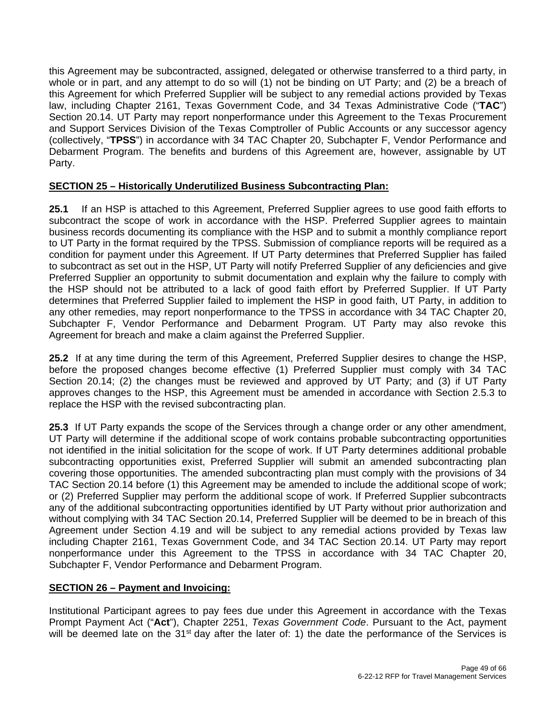this Agreement may be subcontracted, assigned, delegated or otherwise transferred to a third party, in whole or in part, and any attempt to do so will (1) not be binding on UT Party; and (2) be a breach of this Agreement for which Preferred Supplier will be subject to any remedial actions provided by Texas law, including Chapter 2161, Texas Government Code, and 34 Texas Administrative Code ("**TAC**") Section 20.14. UT Party may report nonperformance under this Agreement to the Texas Procurement and Support Services Division of the Texas Comptroller of Public Accounts or any successor agency (collectively, "**TPSS**") in accordance with 34 TAC Chapter 20, Subchapter F, Vendor Performance and Debarment Program. The benefits and burdens of this Agreement are, however, assignable by UT Party.

#### **SECTION 25 – Historically Underutilized Business Subcontracting Plan:**

**25.1** If an HSP is attached to this Agreement, Preferred Supplier agrees to use good faith efforts to subcontract the scope of work in accordance with the HSP. Preferred Supplier agrees to maintain business records documenting its compliance with the HSP and to submit a monthly compliance report to UT Party in the format required by the TPSS. Submission of compliance reports will be required as a condition for payment under this Agreement. If UT Party determines that Preferred Supplier has failed to subcontract as set out in the HSP, UT Party will notify Preferred Supplier of any deficiencies and give Preferred Supplier an opportunity to submit documentation and explain why the failure to comply with the HSP should not be attributed to a lack of good faith effort by Preferred Supplier. If UT Party determines that Preferred Supplier failed to implement the HSP in good faith, UT Party, in addition to any other remedies, may report nonperformance to the TPSS in accordance with 34 TAC Chapter 20, Subchapter F, Vendor Performance and Debarment Program. UT Party may also revoke this Agreement for breach and make a claim against the Preferred Supplier.

**25.2** If at any time during the term of this Agreement, Preferred Supplier desires to change the HSP, before the proposed changes become effective (1) Preferred Supplier must comply with 34 TAC Section 20.14; (2) the changes must be reviewed and approved by UT Party; and (3) if UT Party approves changes to the HSP, this Agreement must be amended in accordance with Section 2.5.3 to replace the HSP with the revised subcontracting plan.

**25.3** If UT Party expands the scope of the Services through a change order or any other amendment, UT Party will determine if the additional scope of work contains probable subcontracting opportunities not identified in the initial solicitation for the scope of work. If UT Party determines additional probable subcontracting opportunities exist, Preferred Supplier will submit an amended subcontracting plan covering those opportunities. The amended subcontracting plan must comply with the provisions of 34 TAC Section 20.14 before (1) this Agreement may be amended to include the additional scope of work; or (2) Preferred Supplier may perform the additional scope of work. If Preferred Supplier subcontracts any of the additional subcontracting opportunities identified by UT Party without prior authorization and without complying with 34 TAC Section 20.14, Preferred Supplier will be deemed to be in breach of this Agreement under Section 4.19 and will be subject to any remedial actions provided by Texas law including Chapter 2161, Texas Government Code, and 34 TAC Section 20.14. UT Party may report nonperformance under this Agreement to the TPSS in accordance with 34 TAC Chapter 20, Subchapter F, Vendor Performance and Debarment Program.

#### **SECTION 26 – Payment and Invoicing:**

Institutional Participant agrees to pay fees due under this Agreement in accordance with the Texas Prompt Payment Act ("**Act**"), Chapter 2251, *Texas Government Code*. Pursuant to the Act, payment will be deemed late on the 31<sup>st</sup> day after the later of: 1) the date the performance of the Services is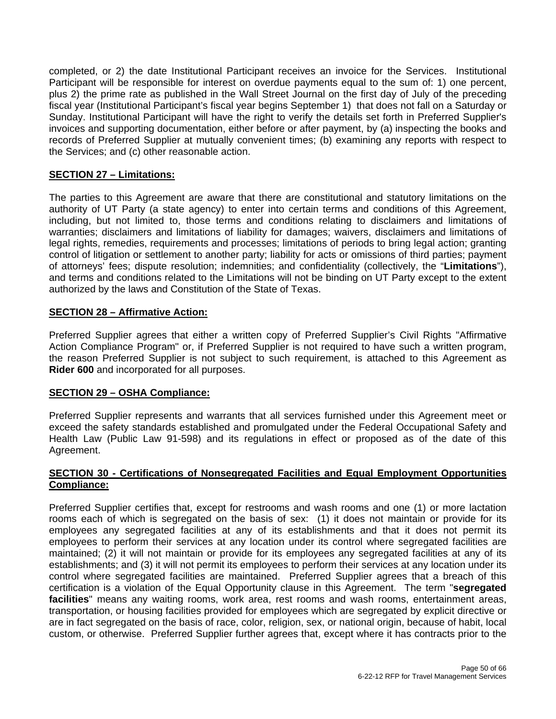completed, or 2) the date Institutional Participant receives an invoice for the Services. Institutional Participant will be responsible for interest on overdue payments equal to the sum of: 1) one percent, plus 2) the prime rate as published in the Wall Street Journal on the first day of July of the preceding fiscal year (Institutional Participant's fiscal year begins September 1) that does not fall on a Saturday or Sunday. Institutional Participant will have the right to verify the details set forth in Preferred Supplier's invoices and supporting documentation, either before or after payment, by (a) inspecting the books and records of Preferred Supplier at mutually convenient times; (b) examining any reports with respect to the Services; and (c) other reasonable action.

#### **SECTION 27 – Limitations:**

The parties to this Agreement are aware that there are constitutional and statutory limitations on the authority of UT Party (a state agency) to enter into certain terms and conditions of this Agreement, including, but not limited to, those terms and conditions relating to disclaimers and limitations of warranties; disclaimers and limitations of liability for damages; waivers, disclaimers and limitations of legal rights, remedies, requirements and processes; limitations of periods to bring legal action; granting control of litigation or settlement to another party; liability for acts or omissions of third parties; payment of attorneys' fees; dispute resolution; indemnities; and confidentiality (collectively, the "**Limitations**"), and terms and conditions related to the Limitations will not be binding on UT Party except to the extent authorized by the laws and Constitution of the State of Texas.

#### **SECTION 28 – Affirmative Action:**

Preferred Supplier agrees that either a written copy of Preferred Supplier's Civil Rights "Affirmative Action Compliance Program" or, if Preferred Supplier is not required to have such a written program, the reason Preferred Supplier is not subject to such requirement, is attached to this Agreement as **Rider 600** and incorporated for all purposes.

#### **SECTION 29 – OSHA Compliance:**

Preferred Supplier represents and warrants that all services furnished under this Agreement meet or exceed the safety standards established and promulgated under the Federal Occupational Safety and Health Law (Public Law 91-598) and its regulations in effect or proposed as of the date of this Agreement.

#### **SECTION 30 - Certifications of Nonsegregated Facilities and Equal Employment Opportunities Compliance:**

Preferred Supplier certifies that, except for restrooms and wash rooms and one (1) or more lactation rooms each of which is segregated on the basis of sex: (1) it does not maintain or provide for its employees any segregated facilities at any of its establishments and that it does not permit its employees to perform their services at any location under its control where segregated facilities are maintained; (2) it will not maintain or provide for its employees any segregated facilities at any of its establishments; and (3) it will not permit its employees to perform their services at any location under its control where segregated facilities are maintained. Preferred Supplier agrees that a breach of this certification is a violation of the Equal Opportunity clause in this Agreement. The term "**segregated facilities**" means any waiting rooms, work area, rest rooms and wash rooms, entertainment areas, transportation, or housing facilities provided for employees which are segregated by explicit directive or are in fact segregated on the basis of race, color, religion, sex, or national origin, because of habit, local custom, or otherwise. Preferred Supplier further agrees that, except where it has contracts prior to the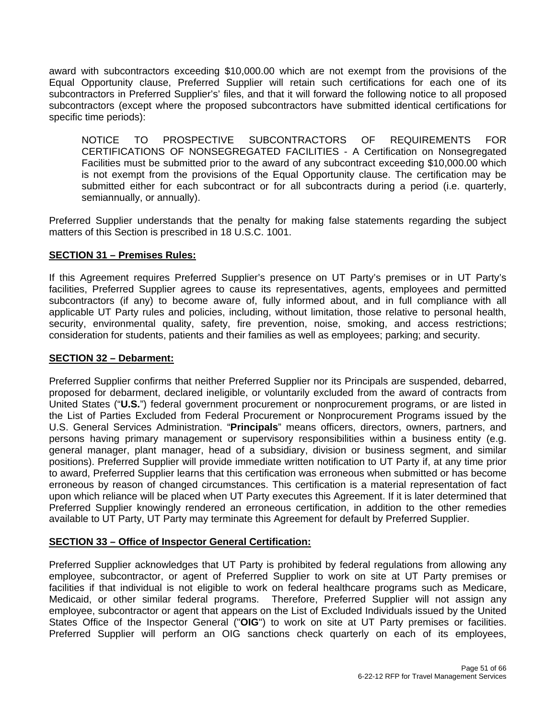award with subcontractors exceeding \$10,000.00 which are not exempt from the provisions of the Equal Opportunity clause, Preferred Supplier will retain such certifications for each one of its subcontractors in Preferred Supplier's' files, and that it will forward the following notice to all proposed subcontractors (except where the proposed subcontractors have submitted identical certifications for specific time periods):

NOTICE TO PROSPECTIVE SUBCONTRACTORS OF REQUIREMENTS FOR CERTIFICATIONS OF NONSEGREGATED FACILITIES - A Certification on Nonsegregated Facilities must be submitted prior to the award of any subcontract exceeding \$10,000.00 which is not exempt from the provisions of the Equal Opportunity clause. The certification may be submitted either for each subcontract or for all subcontracts during a period (i.e. quarterly, semiannually, or annually).

Preferred Supplier understands that the penalty for making false statements regarding the subject matters of this Section is prescribed in 18 U.S.C. 1001.

#### **SECTION 31 – Premises Rules:**

If this Agreement requires Preferred Supplier's presence on UT Party's premises or in UT Party's facilities, Preferred Supplier agrees to cause its representatives, agents, employees and permitted subcontractors (if any) to become aware of, fully informed about, and in full compliance with all applicable UT Party rules and policies, including, without limitation, those relative to personal health, security, environmental quality, safety, fire prevention, noise, smoking, and access restrictions; consideration for students, patients and their families as well as employees; parking; and security.

#### **SECTION 32 – Debarment:**

Preferred Supplier confirms that neither Preferred Supplier nor its Principals are suspended, debarred, proposed for debarment, declared ineligible, or voluntarily excluded from the award of contracts from United States ("**U.S.**") federal government procurement or nonprocurement programs, or are listed in the List of Parties Excluded from Federal Procurement or Nonprocurement Programs issued by the U.S. General Services Administration. "**Principals**" means officers, directors, owners, partners, and persons having primary management or supervisory responsibilities within a business entity (e.g. general manager, plant manager, head of a subsidiary, division or business segment, and similar positions). Preferred Supplier will provide immediate written notification to UT Party if, at any time prior to award, Preferred Supplier learns that this certification was erroneous when submitted or has become erroneous by reason of changed circumstances. This certification is a material representation of fact upon which reliance will be placed when UT Party executes this Agreement. If it is later determined that Preferred Supplier knowingly rendered an erroneous certification, in addition to the other remedies available to UT Party, UT Party may terminate this Agreement for default by Preferred Supplier.

#### **SECTION 33 – Office of Inspector General Certification:**

Preferred Supplier acknowledges that UT Party is prohibited by federal regulations from allowing any employee, subcontractor, or agent of Preferred Supplier to work on site at UT Party premises or facilities if that individual is not eligible to work on federal healthcare programs such as Medicare, Medicaid, or other similar federal programs. Therefore, Preferred Supplier will not assign any employee, subcontractor or agent that appears on the List of Excluded Individuals issued by the United States Office of the Inspector General ("**OIG**") to work on site at UT Party premises or facilities. Preferred Supplier will perform an OIG sanctions check quarterly on each of its employees,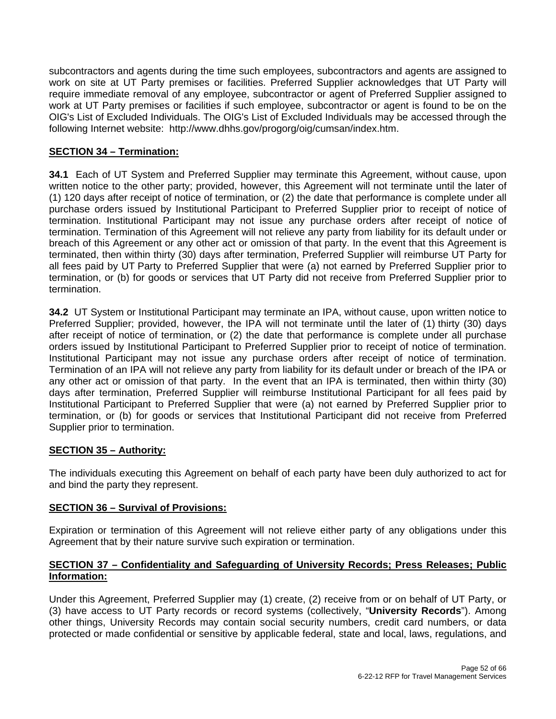subcontractors and agents during the time such employees, subcontractors and agents are assigned to work on site at UT Party premises or facilities. Preferred Supplier acknowledges that UT Party will require immediate removal of any employee, subcontractor or agent of Preferred Supplier assigned to work at UT Party premises or facilities if such employee, subcontractor or agent is found to be on the OIG's List of Excluded Individuals. The OIG's List of Excluded Individuals may be accessed through the following Internet website: http://www.dhhs.gov/progorg/oig/cumsan/index.htm.

#### **SECTION 34 – Termination:**

**34.1** Each of UT System and Preferred Supplier may terminate this Agreement, without cause, upon written notice to the other party; provided, however, this Agreement will not terminate until the later of (1) 120 days after receipt of notice of termination, or (2) the date that performance is complete under all purchase orders issued by Institutional Participant to Preferred Supplier prior to receipt of notice of termination. Institutional Participant may not issue any purchase orders after receipt of notice of termination. Termination of this Agreement will not relieve any party from liability for its default under or breach of this Agreement or any other act or omission of that party. In the event that this Agreement is terminated, then within thirty (30) days after termination, Preferred Supplier will reimburse UT Party for all fees paid by UT Party to Preferred Supplier that were (a) not earned by Preferred Supplier prior to termination, or (b) for goods or services that UT Party did not receive from Preferred Supplier prior to termination.

**34.2** UT System or Institutional Participant may terminate an IPA, without cause, upon written notice to Preferred Supplier; provided, however, the IPA will not terminate until the later of (1) thirty (30) days after receipt of notice of termination, or (2) the date that performance is complete under all purchase orders issued by Institutional Participant to Preferred Supplier prior to receipt of notice of termination. Institutional Participant may not issue any purchase orders after receipt of notice of termination. Termination of an IPA will not relieve any party from liability for its default under or breach of the IPA or any other act or omission of that party. In the event that an IPA is terminated, then within thirty (30) days after termination, Preferred Supplier will reimburse Institutional Participant for all fees paid by Institutional Participant to Preferred Supplier that were (a) not earned by Preferred Supplier prior to termination, or (b) for goods or services that Institutional Participant did not receive from Preferred Supplier prior to termination.

#### **SECTION 35 – Authority:**

The individuals executing this Agreement on behalf of each party have been duly authorized to act for and bind the party they represent.

#### **SECTION 36 – Survival of Provisions:**

Expiration or termination of this Agreement will not relieve either party of any obligations under this Agreement that by their nature survive such expiration or termination.

#### **SECTION 37 – Confidentiality and Safeguarding of University Records; Press Releases; Public Information:**

Under this Agreement, Preferred Supplier may (1) create, (2) receive from or on behalf of UT Party, or (3) have access to UT Party records or record systems (collectively, "**University Records**"). Among other things, University Records may contain social security numbers, credit card numbers, or data protected or made confidential or sensitive by applicable federal, state and local, laws, regulations, and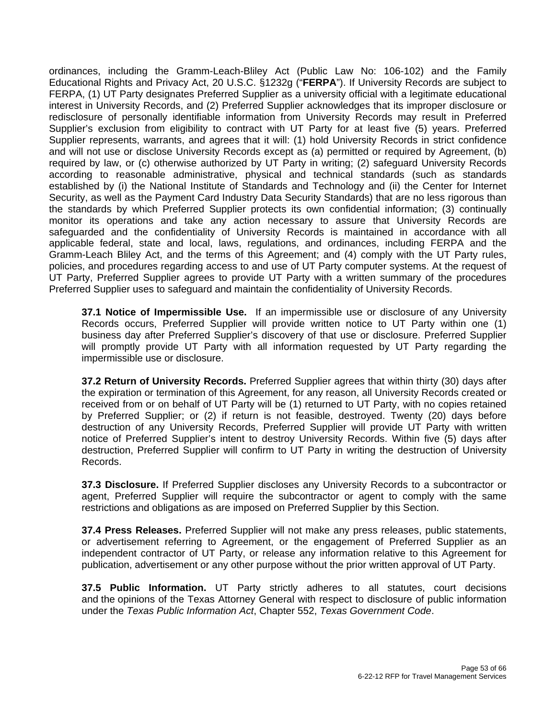ordinances, including the Gramm-Leach-Bliley Act (Public Law No: 106-102) and the Family Educational Rights and Privacy Act, 20 U.S.C. §1232g ("**FERPA**"). If University Records are subject to FERPA, (1) UT Party designates Preferred Supplier as a university official with a legitimate educational interest in University Records, and (2) Preferred Supplier acknowledges that its improper disclosure or redisclosure of personally identifiable information from University Records may result in Preferred Supplier's exclusion from eligibility to contract with UT Party for at least five (5) years. Preferred Supplier represents, warrants, and agrees that it will: (1) hold University Records in strict confidence and will not use or disclose University Records except as (a) permitted or required by Agreement, (b) required by law, or (c) otherwise authorized by UT Party in writing; (2) safeguard University Records according to reasonable administrative, physical and technical standards (such as standards established by (i) the National Institute of Standards and Technology and (ii) the Center for Internet Security, as well as the Payment Card Industry Data Security Standards) that are no less rigorous than the standards by which Preferred Supplier protects its own confidential information; (3) continually monitor its operations and take any action necessary to assure that University Records are safeguarded and the confidentiality of University Records is maintained in accordance with all applicable federal, state and local, laws, regulations, and ordinances, including FERPA and the Gramm-Leach Bliley Act, and the terms of this Agreement; and (4) comply with the UT Party rules, policies, and procedures regarding access to and use of UT Party computer systems. At the request of UT Party, Preferred Supplier agrees to provide UT Party with a written summary of the procedures Preferred Supplier uses to safeguard and maintain the confidentiality of University Records.

**37.1 Notice of Impermissible Use.** If an impermissible use or disclosure of any University Records occurs, Preferred Supplier will provide written notice to UT Party within one (1) business day after Preferred Supplier's discovery of that use or disclosure. Preferred Supplier will promptly provide UT Party with all information requested by UT Party regarding the impermissible use or disclosure.

**37.2 Return of University Records.** Preferred Supplier agrees that within thirty (30) days after the expiration or termination of this Agreement, for any reason, all University Records created or received from or on behalf of UT Party will be (1) returned to UT Party, with no copies retained by Preferred Supplier; or (2) if return is not feasible, destroyed. Twenty (20) days before destruction of any University Records, Preferred Supplier will provide UT Party with written notice of Preferred Supplier's intent to destroy University Records. Within five (5) days after destruction, Preferred Supplier will confirm to UT Party in writing the destruction of University Records.

**37.3 Disclosure.** If Preferred Supplier discloses any University Records to a subcontractor or agent, Preferred Supplier will require the subcontractor or agent to comply with the same restrictions and obligations as are imposed on Preferred Supplier by this Section.

**37.4 Press Releases.** Preferred Supplier will not make any press releases, public statements, or advertisement referring to Agreement, or the engagement of Preferred Supplier as an independent contractor of UT Party, or release any information relative to this Agreement for publication, advertisement or any other purpose without the prior written approval of UT Party.

**37.5 Public Information.** UT Party strictly adheres to all statutes, court decisions and the opinions of the Texas Attorney General with respect to disclosure of public information under the *Texas Public Information Act*, Chapter 552, *Texas Government Code*.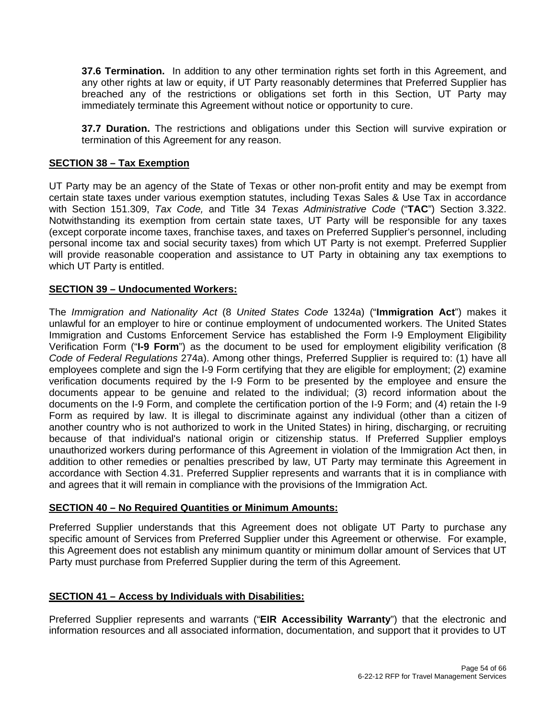**37.6 Termination.** In addition to any other termination rights set forth in this Agreement, and any other rights at law or equity, if UT Party reasonably determines that Preferred Supplier has breached any of the restrictions or obligations set forth in this Section, UT Party may immediately terminate this Agreement without notice or opportunity to cure.

**37.7 Duration.** The restrictions and obligations under this Section will survive expiration or termination of this Agreement for any reason.

#### **SECTION 38 – Tax Exemption**

UT Party may be an agency of the State of Texas or other non-profit entity and may be exempt from certain state taxes under various exemption statutes, including Texas Sales & Use Tax in accordance with Section 151.309, *Tax Code,* and Title 34 *Texas Administrative Code* ("**TAC**") Section 3.322. Notwithstanding its exemption from certain state taxes, UT Party will be responsible for any taxes (except corporate income taxes, franchise taxes, and taxes on Preferred Supplier's personnel, including personal income tax and social security taxes) from which UT Party is not exempt. Preferred Supplier will provide reasonable cooperation and assistance to UT Party in obtaining any tax exemptions to which UT Party is entitled.

#### **SECTION 39 – Undocumented Workers:**

The *Immigration and Nationality Act* (8 *United States Code* 1324a) ("**Immigration Act**") makes it unlawful for an employer to hire or continue employment of undocumented workers. The United States Immigration and Customs Enforcement Service has established the Form I-9 Employment Eligibility Verification Form ("**I-9 Form**") as the document to be used for employment eligibility verification (8 *Code of Federal Regulations* 274a). Among other things, Preferred Supplier is required to: (1) have all employees complete and sign the I-9 Form certifying that they are eligible for employment; (2) examine verification documents required by the I-9 Form to be presented by the employee and ensure the documents appear to be genuine and related to the individual; (3) record information about the documents on the I-9 Form, and complete the certification portion of the I-9 Form; and (4) retain the I-9 Form as required by law. It is illegal to discriminate against any individual (other than a citizen of another country who is not authorized to work in the United States) in hiring, discharging, or recruiting because of that individual's national origin or citizenship status. If Preferred Supplier employs unauthorized workers during performance of this Agreement in violation of the Immigration Act then, in addition to other remedies or penalties prescribed by law, UT Party may terminate this Agreement in accordance with Section 4.31. Preferred Supplier represents and warrants that it is in compliance with and agrees that it will remain in compliance with the provisions of the Immigration Act.

#### **SECTION 40 – No Required Quantities or Minimum Amounts:**

Preferred Supplier understands that this Agreement does not obligate UT Party to purchase any specific amount of Services from Preferred Supplier under this Agreement or otherwise. For example, this Agreement does not establish any minimum quantity or minimum dollar amount of Services that UT Party must purchase from Preferred Supplier during the term of this Agreement.

#### **SECTION 41 – Access by Individuals with Disabilities:**

Preferred Supplier represents and warrants ("**EIR Accessibility Warranty**") that the electronic and information resources and all associated information, documentation, and support that it provides to UT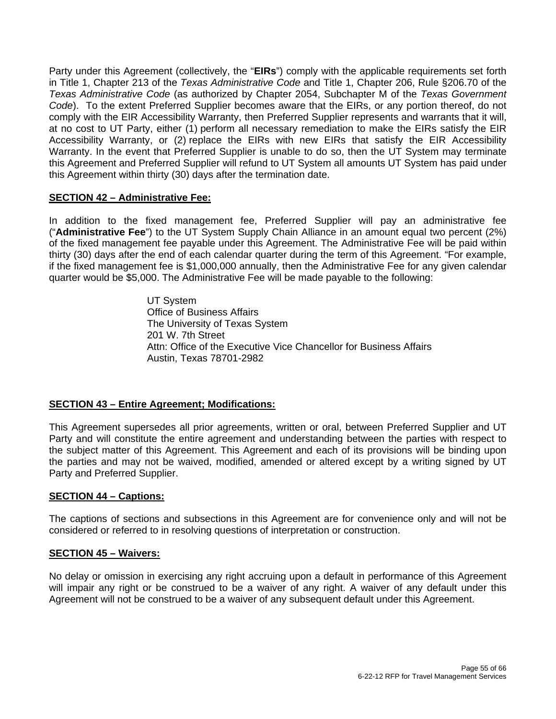Party under this Agreement (collectively, the "**EIRs**") comply with the applicable requirements set forth in Title 1, Chapter 213 of the *Texas Administrative Code* and Title 1, Chapter 206, Rule §206.70 of the *Texas Administrative Code* (as authorized by Chapter 2054, Subchapter M of the *Texas Government Code*). To the extent Preferred Supplier becomes aware that the EIRs, or any portion thereof, do not comply with the EIR Accessibility Warranty, then Preferred Supplier represents and warrants that it will, at no cost to UT Party, either (1) perform all necessary remediation to make the EIRs satisfy the EIR Accessibility Warranty, or (2) replace the EIRs with new EIRs that satisfy the EIR Accessibility Warranty. In the event that Preferred Supplier is unable to do so, then the UT System may terminate this Agreement and Preferred Supplier will refund to UT System all amounts UT System has paid under this Agreement within thirty (30) days after the termination date.

#### **SECTION 42 – Administrative Fee:**

In addition to the fixed management fee, Preferred Supplier will pay an administrative fee ("**Administrative Fee**") to the UT System Supply Chain Alliance in an amount equal two percent (2%) of the fixed management fee payable under this Agreement. The Administrative Fee will be paid within thirty (30) days after the end of each calendar quarter during the term of this Agreement. "For example, if the fixed management fee is \$1,000,000 annually, then the Administrative Fee for any given calendar quarter would be \$5,000. The Administrative Fee will be made payable to the following:

> UT System Office of Business Affairs The University of Texas System 201 W. 7th Street Attn: Office of the Executive Vice Chancellor for Business Affairs Austin, Texas 78701-2982

#### **SECTION 43 – Entire Agreement; Modifications:**

This Agreement supersedes all prior agreements, written or oral, between Preferred Supplier and UT Party and will constitute the entire agreement and understanding between the parties with respect to the subject matter of this Agreement. This Agreement and each of its provisions will be binding upon the parties and may not be waived, modified, amended or altered except by a writing signed by UT Party and Preferred Supplier.

#### **SECTION 44 – Captions:**

The captions of sections and subsections in this Agreement are for convenience only and will not be considered or referred to in resolving questions of interpretation or construction.

#### **SECTION 45 – Waivers:**

No delay or omission in exercising any right accruing upon a default in performance of this Agreement will impair any right or be construed to be a waiver of any right. A waiver of any default under this Agreement will not be construed to be a waiver of any subsequent default under this Agreement.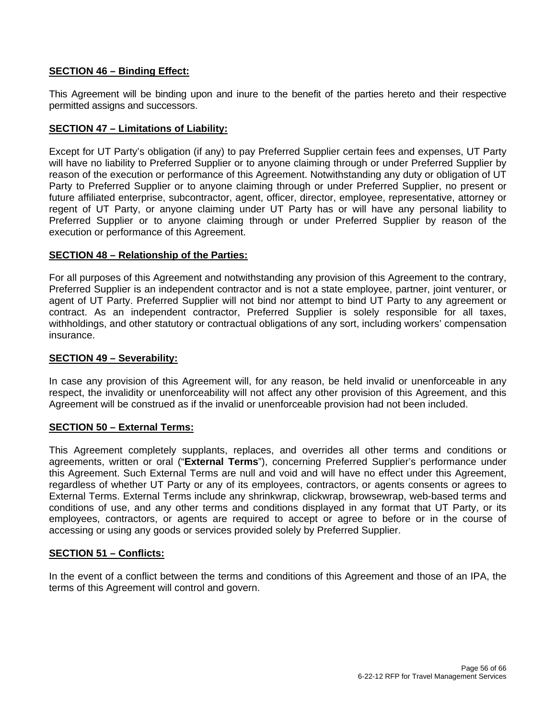#### **SECTION 46 – Binding Effect:**

This Agreement will be binding upon and inure to the benefit of the parties hereto and their respective permitted assigns and successors.

#### **SECTION 47 – Limitations of Liability:**

Except for UT Party's obligation (if any) to pay Preferred Supplier certain fees and expenses, UT Party will have no liability to Preferred Supplier or to anyone claiming through or under Preferred Supplier by reason of the execution or performance of this Agreement. Notwithstanding any duty or obligation of UT Party to Preferred Supplier or to anyone claiming through or under Preferred Supplier, no present or future affiliated enterprise, subcontractor, agent, officer, director, employee, representative, attorney or regent of UT Party, or anyone claiming under UT Party has or will have any personal liability to Preferred Supplier or to anyone claiming through or under Preferred Supplier by reason of the execution or performance of this Agreement.

#### **SECTION 48 – Relationship of the Parties:**

For all purposes of this Agreement and notwithstanding any provision of this Agreement to the contrary, Preferred Supplier is an independent contractor and is not a state employee, partner, joint venturer, or agent of UT Party. Preferred Supplier will not bind nor attempt to bind UT Party to any agreement or contract. As an independent contractor, Preferred Supplier is solely responsible for all taxes, withholdings, and other statutory or contractual obligations of any sort, including workers' compensation insurance.

#### **SECTION 49 – Severability:**

In case any provision of this Agreement will, for any reason, be held invalid or unenforceable in any respect, the invalidity or unenforceability will not affect any other provision of this Agreement, and this Agreement will be construed as if the invalid or unenforceable provision had not been included.

#### **SECTION 50 – External Terms:**

This Agreement completely supplants, replaces, and overrides all other terms and conditions or agreements, written or oral ("**External Terms**"), concerning Preferred Supplier's performance under this Agreement. Such External Terms are null and void and will have no effect under this Agreement, regardless of whether UT Party or any of its employees, contractors, or agents consents or agrees to External Terms. External Terms include any shrinkwrap, clickwrap, browsewrap, web-based terms and conditions of use, and any other terms and conditions displayed in any format that UT Party, or its employees, contractors, or agents are required to accept or agree to before or in the course of accessing or using any goods or services provided solely by Preferred Supplier.

#### **SECTION 51 – Conflicts:**

In the event of a conflict between the terms and conditions of this Agreement and those of an IPA, the terms of this Agreement will control and govern.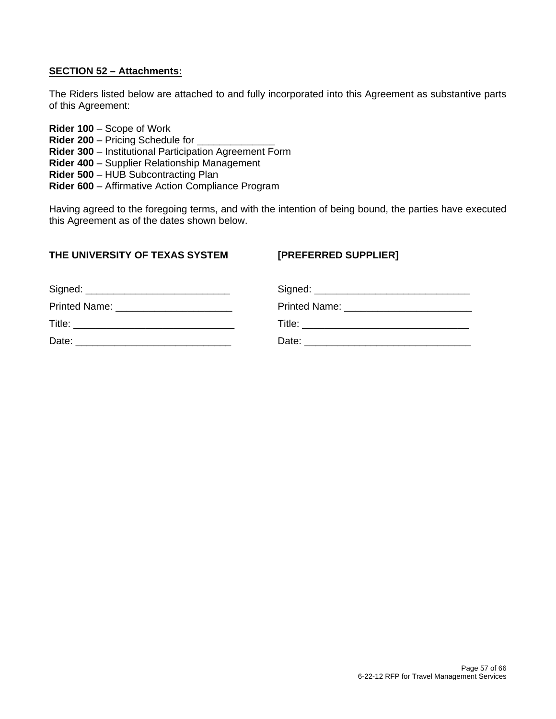#### **SECTION 52 – Attachments:**

The Riders listed below are attached to and fully incorporated into this Agreement as substantive parts of this Agreement:

**Rider 100** – Scope of Work **Rider 200 – Pricing Schedule for Rider 300** – Institutional Participation Agreement Form **Rider 400** – Supplier Relationship Management **Rider 500** – HUB Subcontracting Plan **Rider 600** – Affirmative Action Compliance Program

Having agreed to the foregoing terms, and with the intention of being bound, the parties have executed this Agreement as of the dates shown below.

#### **THE UNIVERSITY OF TEXAS SYSTEM [PREFERRED SUPPLIER]**

| Printed Name: _________________________ |       |
|-----------------------------------------|-------|
|                                         |       |
| Date:                                   | Date: |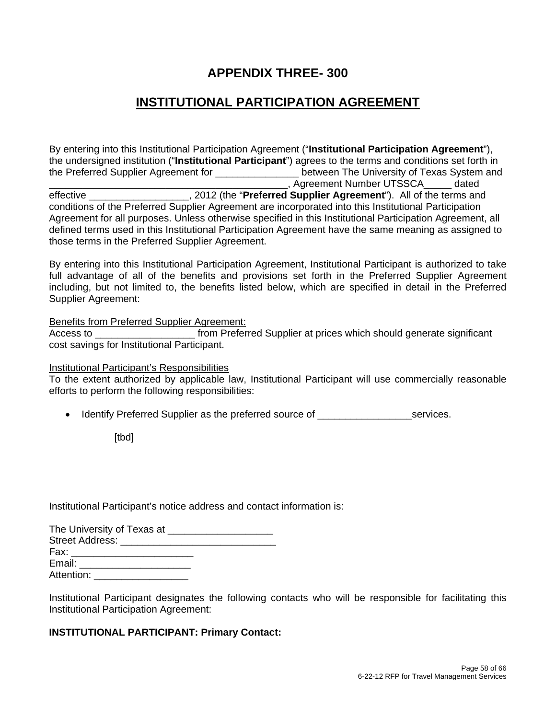## **APPENDIX THREE- 300**

## **INSTITUTIONAL PARTICIPATION AGREEMENT**

By entering into this Institutional Participation Agreement ("**Institutional Participation Agreement**"), the undersigned institution ("**Institutional Participant**") agrees to the terms and conditions set forth in the Preferred Supplier Agreement for \_\_\_\_\_\_\_\_\_\_\_\_\_\_\_ between The University of Texas System and \_\_\_\_\_\_\_\_\_\_\_\_\_\_\_\_\_\_\_\_\_\_\_\_\_\_\_\_\_\_\_\_\_\_\_\_\_\_\_\_\_\_\_, Agreement Number UTSSCA\_\_\_\_\_ dated effective **Example 2012** (the "**Preferred Supplier Agreement**"). All of the terms and conditions of the Preferred Supplier Agreement are incorporated into this Institutional Participation Agreement for all purposes. Unless otherwise specified in this Institutional Participation Agreement, all defined terms used in this Institutional Participation Agreement have the same meaning as assigned to those terms in the Preferred Supplier Agreement.

By entering into this Institutional Participation Agreement, Institutional Participant is authorized to take full advantage of all of the benefits and provisions set forth in the Preferred Supplier Agreement including, but not limited to, the benefits listed below, which are specified in detail in the Preferred Supplier Agreement:

Benefits from Preferred Supplier Agreement:

Access to **Exercise 1** from Preferred Supplier at prices which should generate significant cost savings for Institutional Participant.

Institutional Participant's Responsibilities

To the extent authorized by applicable law, Institutional Participant will use commercially reasonable efforts to perform the following responsibilities:

• Identify Preferred Supplier as the preferred source of \_\_\_\_\_\_\_\_\_\_\_\_\_\_\_\_\_\_\_\_\_services.

[tbd]

Institutional Participant's notice address and contact information is:

| The University of Texas at ______________________                                                                                                                                                                              |
|--------------------------------------------------------------------------------------------------------------------------------------------------------------------------------------------------------------------------------|
|                                                                                                                                                                                                                                |
| Fax: ________________________                                                                                                                                                                                                  |
| Email: Email: Email: Email: Email: Email: Email: Email: Email: Email: Email: Email: Email: Email: Email: Email: Email: Email: Email: Email: Email: Email: Email: Email: Email: Email: Email: Email: Email: Email: Email: Email |
| Attention:                                                                                                                                                                                                                     |

Institutional Participant designates the following contacts who will be responsible for facilitating this Institutional Participation Agreement:

#### **INSTITUTIONAL PARTICIPANT: Primary Contact:**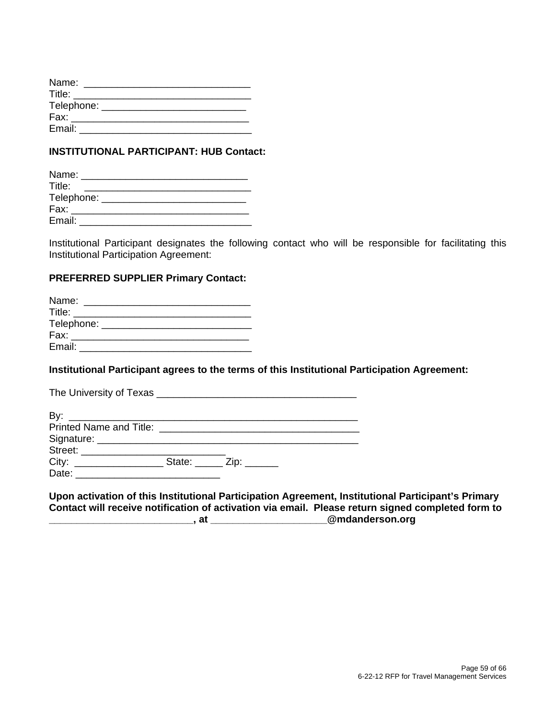| Name:      |  |  |  |
|------------|--|--|--|
| Title:     |  |  |  |
| Telephone: |  |  |  |
| Fax:       |  |  |  |
| Email:     |  |  |  |

#### **INSTITUTIONAL PARTICIPANT: HUB Contact:**

| Name:                 |  |  |
|-----------------------|--|--|
| Title:                |  |  |
| Telephone: __________ |  |  |
| Fax:                  |  |  |
| Email:                |  |  |

Institutional Participant designates the following contact who will be responsible for facilitating this Institutional Participation Agreement:

#### **PREFERRED SUPPLIER Primary Contact:**

| Name:                            |  |  |  |
|----------------------------------|--|--|--|
| <b>Title:</b> Title:             |  |  |  |
| Telephone: _____________________ |  |  |  |
| Fax:                             |  |  |  |
| Email:                           |  |  |  |

#### **Institutional Participant agrees to the terms of this Institutional Participation Agreement:**

#### **Upon activation of this Institutional Participation Agreement, Institutional Participant's Primary Contact will receive notification of activation via email. Please return signed completed form to \_\_\_\_\_\_\_\_\_\_\_\_\_\_\_\_\_\_\_\_\_\_\_\_\_\_, at \_\_\_\_\_\_\_\_\_\_\_\_\_\_\_\_\_\_\_\_\_@mdanderson.org**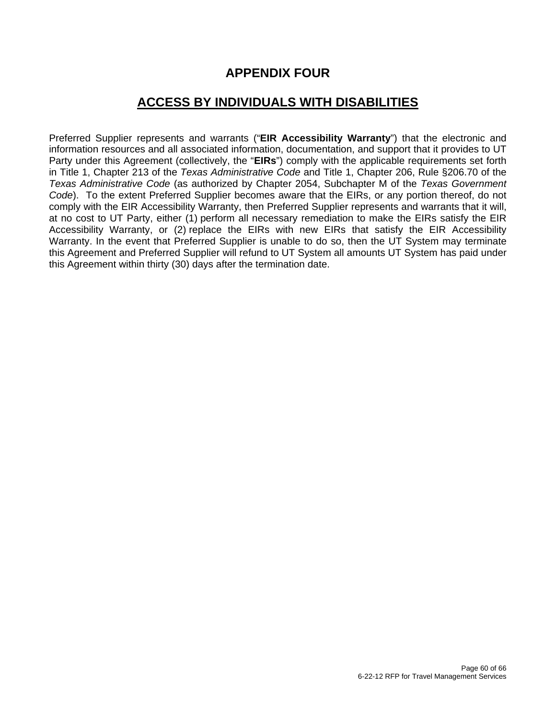## **APPENDIX FOUR**

## **ACCESS BY INDIVIDUALS WITH DISABILITIES**

Preferred Supplier represents and warrants ("**EIR Accessibility Warranty**") that the electronic and information resources and all associated information, documentation, and support that it provides to UT Party under this Agreement (collectively, the "**EIRs**") comply with the applicable requirements set forth in Title 1, Chapter 213 of the *Texas Administrative Code* and Title 1, Chapter 206, Rule §206.70 of the *Texas Administrative Code* (as authorized by Chapter 2054, Subchapter M of the *Texas Government Code*). To the extent Preferred Supplier becomes aware that the EIRs, or any portion thereof, do not comply with the EIR Accessibility Warranty, then Preferred Supplier represents and warrants that it will, at no cost to UT Party, either (1) perform all necessary remediation to make the EIRs satisfy the EIR Accessibility Warranty, or (2) replace the EIRs with new EIRs that satisfy the EIR Accessibility Warranty. In the event that Preferred Supplier is unable to do so, then the UT System may terminate this Agreement and Preferred Supplier will refund to UT System all amounts UT System has paid under this Agreement within thirty (30) days after the termination date.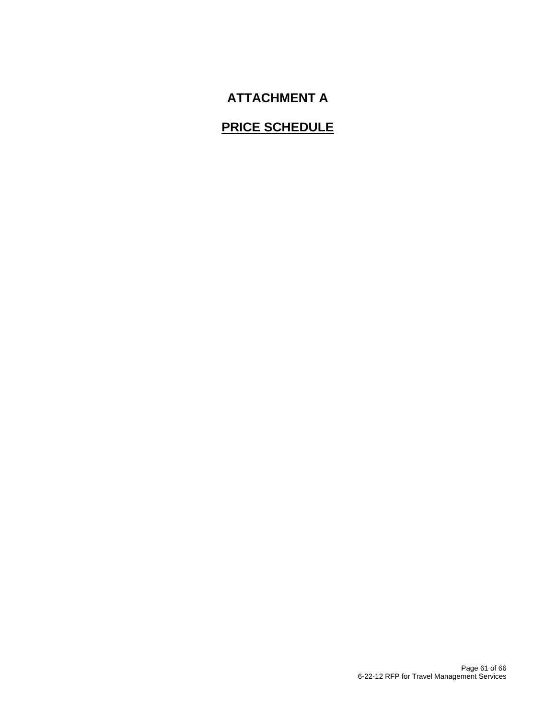## **ATTACHMENT A**

## **PRICE SCHEDULE**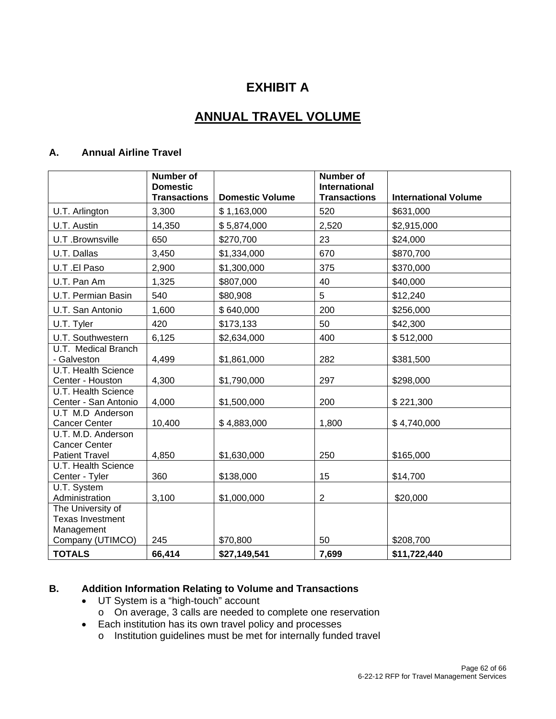## **EXHIBIT A**

## **ANNUAL TRAVEL VOLUME**

#### **A. Annual Airline Travel**

|                                                                     | <b>Number of</b><br><b>Domestic</b><br><b>Transactions</b> | <b>Domestic Volume</b> | <b>Number of</b><br><b>International</b><br><b>Transactions</b> | <b>International Volume</b> |
|---------------------------------------------------------------------|------------------------------------------------------------|------------------------|-----------------------------------------------------------------|-----------------------------|
| U.T. Arlington                                                      | 3,300                                                      | \$1,163,000            | 520                                                             | \$631,000                   |
| U.T. Austin                                                         | 14,350                                                     | \$5,874,000            | 2,520                                                           | \$2,915,000                 |
| U.T.Brownsville                                                     | 650                                                        | \$270,700              | 23                                                              | \$24,000                    |
| U.T. Dallas                                                         | 3,450                                                      | \$1,334,000            | 670                                                             | \$870,700                   |
| U.T.El Paso                                                         | 2,900                                                      | \$1,300,000            | 375                                                             | \$370,000                   |
| U.T. Pan Am                                                         | 1,325                                                      | \$807,000              | 40                                                              | \$40,000                    |
| U.T. Permian Basin                                                  | 540                                                        | \$80,908               | 5                                                               | \$12,240                    |
| U.T. San Antonio                                                    | 1,600                                                      | \$640,000              | 200                                                             | \$256,000                   |
| U.T. Tyler                                                          | 420                                                        | \$173,133              | 50                                                              | \$42,300                    |
| U.T. Southwestern                                                   | 6,125                                                      | \$2,634,000            | 400                                                             | \$512,000                   |
| U.T. Medical Branch<br>- Galveston                                  | 4,499                                                      | \$1,861,000            | 282                                                             | \$381,500                   |
| <b>U.T. Health Science</b><br>Center - Houston                      | 4,300                                                      | \$1,790,000            | 297                                                             | \$298,000                   |
| U.T. Health Science<br>Center - San Antonio                         | 4,000                                                      | \$1,500,000            | 200                                                             | \$221,300                   |
| U.T M.D Anderson<br><b>Cancer Center</b>                            | 10,400                                                     | \$4,883,000            | 1,800                                                           | \$4,740,000                 |
| U.T. M.D. Anderson<br><b>Cancer Center</b><br><b>Patient Travel</b> | 4,850                                                      | \$1,630,000            | 250                                                             | \$165,000                   |
| U.T. Health Science<br>Center - Tyler                               | 360                                                        | \$138,000              | 15                                                              | \$14,700                    |
| U.T. System<br>Administration                                       | 3,100                                                      | \$1,000,000            | $\boldsymbol{2}$                                                | \$20,000                    |
| The University of<br><b>Texas Investment</b><br>Management          |                                                            |                        |                                                                 |                             |
| Company (UTIMCO)                                                    | 245                                                        | \$70,800               | 50                                                              | \$208,700                   |
| <b>TOTALS</b>                                                       | 66,414                                                     | \$27,149,541           | 7,699                                                           | \$11,722,440                |

#### **B. Addition Information Relating to Volume and Transactions**

- UT System is a "high-touch" account
- o On average, 3 calls are needed to complete one reservation
- Each institution has its own travel policy and processes
	- o Institution guidelines must be met for internally funded travel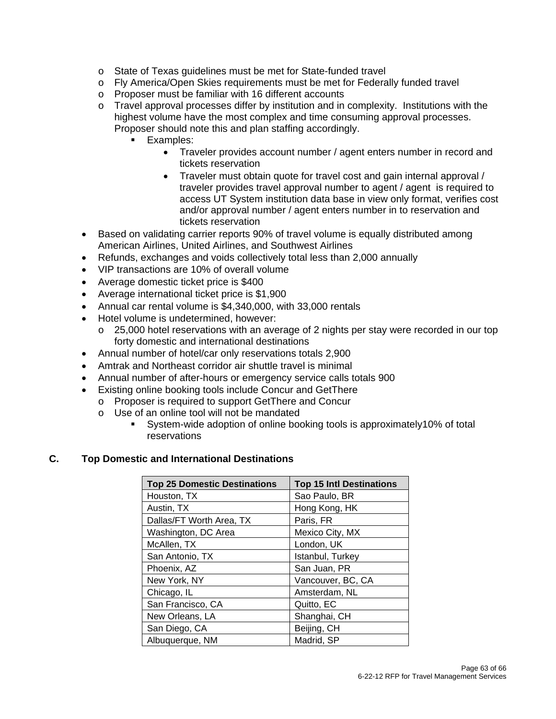- o State of Texas guidelines must be met for State-funded travel
- o Fly America/Open Skies requirements must be met for Federally funded travel
- o Proposer must be familiar with 16 different accounts
- o Travel approval processes differ by institution and in complexity. Institutions with the highest volume have the most complex and time consuming approval processes. Proposer should note this and plan staffing accordingly.
	- **Examples:** 
		- Traveler provides account number / agent enters number in record and tickets reservation
		- Traveler must obtain quote for travel cost and gain internal approval / traveler provides travel approval number to agent / agent is required to access UT System institution data base in view only format, verifies cost and/or approval number / agent enters number in to reservation and tickets reservation
- Based on validating carrier reports 90% of travel volume is equally distributed among American Airlines, United Airlines, and Southwest Airlines
- Refunds, exchanges and voids collectively total less than 2,000 annually
- VIP transactions are 10% of overall volume
- Average domestic ticket price is \$400
- Average international ticket price is \$1,900
- Annual car rental volume is \$4,340,000, with 33,000 rentals
- Hotel volume is undetermined, however:
	- o 25,000 hotel reservations with an average of 2 nights per stay were recorded in our top forty domestic and international destinations
- Annual number of hotel/car only reservations totals 2,900
- Amtrak and Northeast corridor air shuttle travel is minimal
- Annual number of after-hours or emergency service calls totals 900
- Existing online booking tools include Concur and GetThere
- o Proposer is required to support GetThere and Concur
	- o Use of an online tool will not be mandated
		- System-wide adoption of online booking tools is approximately10% of total reservations

#### **C. Top Domestic and International Destinations**

| <b>Top 25 Domestic Destinations</b> | <b>Top 15 Intl Destinations</b> |
|-------------------------------------|---------------------------------|
| Houston, TX                         | Sao Paulo, BR                   |
| Austin, TX                          | Hong Kong, HK                   |
| Dallas/FT Worth Area, TX            | Paris, FR                       |
| Washington, DC Area                 | Mexico City, MX                 |
| McAllen, TX                         | London, UK                      |
| San Antonio, TX                     | Istanbul, Turkey                |
| Phoenix, AZ                         | San Juan, PR                    |
| New York, NY                        | Vancouver, BC, CA               |
| Chicago, IL                         | Amsterdam, NL                   |
| San Francisco, CA                   | Quitto, EC                      |
| New Orleans, LA                     | Shanghai, CH                    |
| San Diego, CA                       | Beijing, CH                     |
| Albuquerque, NM                     | Madrid, SP                      |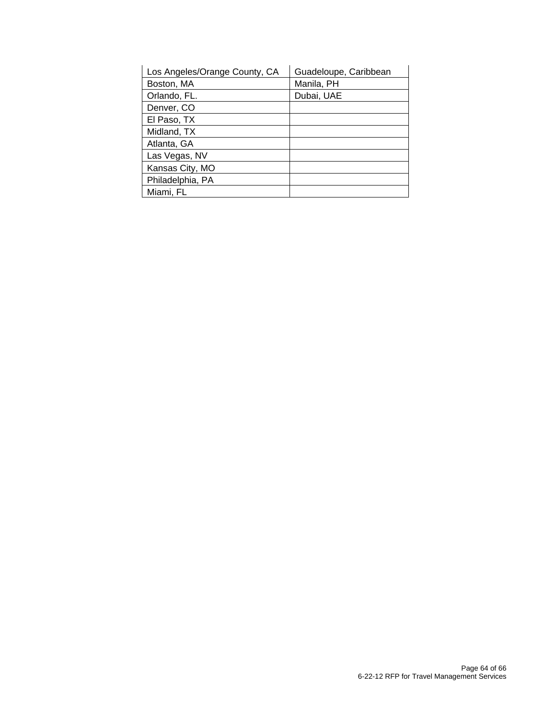| Los Angeles/Orange County, CA | Guadeloupe, Caribbean |
|-------------------------------|-----------------------|
| Boston, MA                    | Manila, PH            |
| Orlando, FL.                  | Dubai, UAE            |
| Denver, CO                    |                       |
| El Paso, TX                   |                       |
| Midland, TX                   |                       |
| Atlanta, GA                   |                       |
| Las Vegas, NV                 |                       |
| Kansas City, MO               |                       |
| Philadelphia, PA              |                       |
| Miami, FL                     |                       |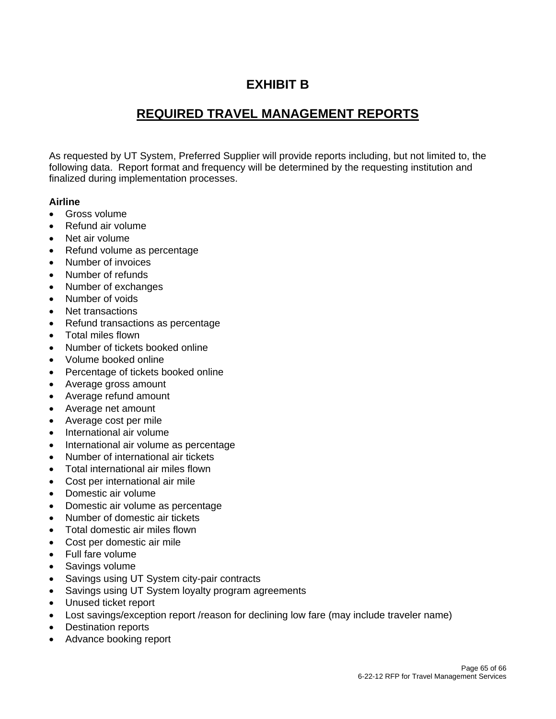## **EXHIBIT B**

## **REQUIRED TRAVEL MANAGEMENT REPORTS**

As requested by UT System, Preferred Supplier will provide reports including, but not limited to, the following data. Report format and frequency will be determined by the requesting institution and finalized during implementation processes.

#### **Airline**

- Gross volume
- Refund air volume
- Net air volume
- Refund volume as percentage
- Number of invoices
- Number of refunds
- Number of exchanges
- Number of voids
- Net transactions
- Refund transactions as percentage
- Total miles flown
- Number of tickets booked online
- Volume booked online
- Percentage of tickets booked online
- Average gross amount
- Average refund amount
- Average net amount
- Average cost per mile
- International air volume
- International air volume as percentage
- Number of international air tickets
- Total international air miles flown
- Cost per international air mile
- Domestic air volume
- Domestic air volume as percentage
- Number of domestic air tickets
- Total domestic air miles flown
- Cost per domestic air mile
- Full fare volume
- Savings volume
- Savings using UT System city-pair contracts
- Savings using UT System loyalty program agreements
- Unused ticket report
- Lost savings/exception report /reason for declining low fare (may include traveler name)
- Destination reports
- Advance booking report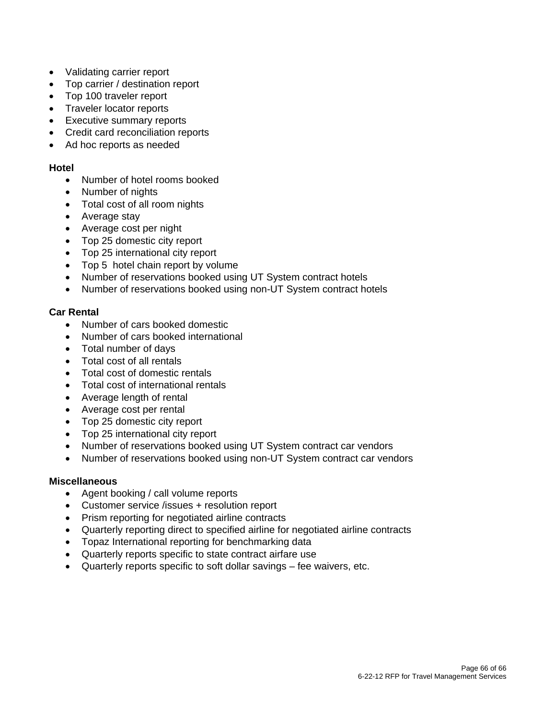- Validating carrier report
- Top carrier / destination report
- Top 100 traveler report
- Traveler locator reports
- Executive summary reports
- Credit card reconciliation reports
- Ad hoc reports as needed

#### **Hotel**

- Number of hotel rooms booked
- Number of nights
- Total cost of all room nights
- Average stay
- Average cost per night
- Top 25 domestic city report
- Top 25 international city report
- Top 5 hotel chain report by volume
- Number of reservations booked using UT System contract hotels
- Number of reservations booked using non-UT System contract hotels

#### **Car Rental**

- Number of cars booked domestic
- Number of cars booked international
- Total number of days
- Total cost of all rentals
- Total cost of domestic rentals
- Total cost of international rentals
- Average length of rental
- Average cost per rental
- Top 25 domestic city report
- Top 25 international city report
- Number of reservations booked using UT System contract car vendors
- Number of reservations booked using non-UT System contract car vendors

#### **Miscellaneous**

- Agent booking / call volume reports
- Customer service /issues + resolution report
- Prism reporting for negotiated airline contracts
- Quarterly reporting direct to specified airline for negotiated airline contracts
- Topaz International reporting for benchmarking data
- Quarterly reports specific to state contract airfare use
- Quarterly reports specific to soft dollar savings fee waivers, etc.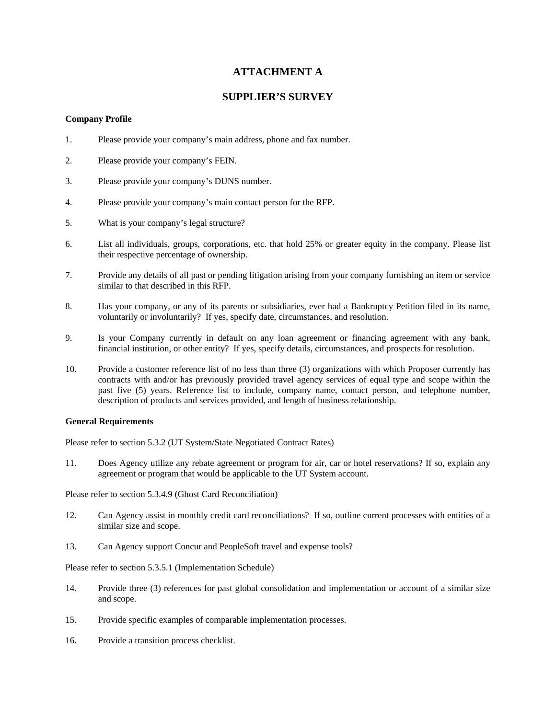#### **ATTACHMENT A**

#### **SUPPLIER'S SURVEY**

#### **Company Profile**

- 1. Please provide your company's main address, phone and fax number.
- 2. Please provide your company's FEIN.
- 3. Please provide your company's DUNS number.
- 4. Please provide your company's main contact person for the RFP.
- 5. What is your company's legal structure?
- 6. List all individuals, groups, corporations, etc. that hold 25% or greater equity in the company. Please list their respective percentage of ownership.
- 7. Provide any details of all past or pending litigation arising from your company furnishing an item or service similar to that described in this RFP.
- 8. Has your company, or any of its parents or subsidiaries, ever had a Bankruptcy Petition filed in its name, voluntarily or involuntarily? If yes, specify date, circumstances, and resolution.
- 9. Is your Company currently in default on any loan agreement or financing agreement with any bank, financial institution, or other entity? If yes, specify details, circumstances, and prospects for resolution.
- 10. Provide a customer reference list of no less than three (3) organizations with which Proposer currently has contracts with and/or has previously provided travel agency services of equal type and scope within the past five (5) years. Reference list to include, company name, contact person, and telephone number, description of products and services provided, and length of business relationship.

#### **General Requirements**

Please refer to section 5.3.2 (UT System/State Negotiated Contract Rates)

11. Does Agency utilize any rebate agreement or program for air, car or hotel reservations? If so, explain any agreement or program that would be applicable to the UT System account.

Please refer to section 5.3.4.9 (Ghost Card Reconciliation)

- 12. Can Agency assist in monthly credit card reconciliations? If so, outline current processes with entities of a similar size and scope.
- 13. Can Agency support Concur and PeopleSoft travel and expense tools?

Please refer to section 5.3.5.1 (Implementation Schedule)

- 14. Provide three (3) references for past global consolidation and implementation or account of a similar size and scope.
- 15. Provide specific examples of comparable implementation processes.
- 16. Provide a transition process checklist.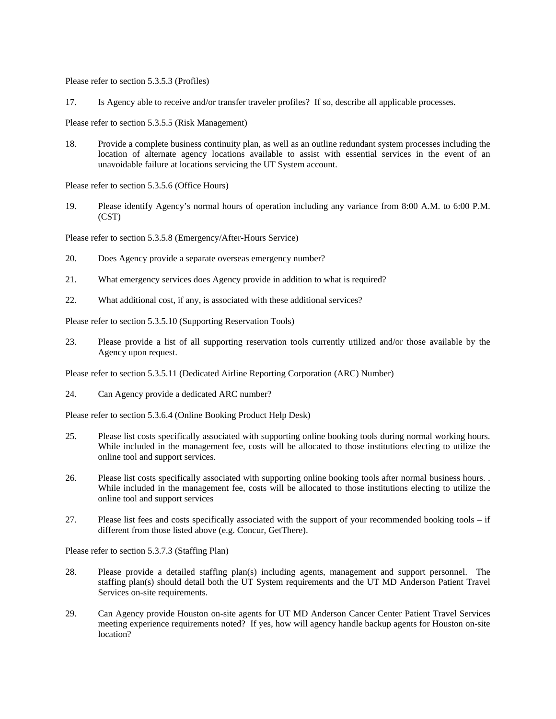Please refer to section 5.3.5.3 (Profiles)

17. Is Agency able to receive and/or transfer traveler profiles? If so, describe all applicable processes.

Please refer to section 5.3.5.5 (Risk Management)

18. Provide a complete business continuity plan, as well as an outline redundant system processes including the location of alternate agency locations available to assist with essential services in the event of an unavoidable failure at locations servicing the UT System account.

Please refer to section 5.3.5.6 (Office Hours)

19. Please identify Agency's normal hours of operation including any variance from 8:00 A.M. to 6:00 P.M. (CST)

Please refer to section 5.3.5.8 (Emergency/After-Hours Service)

- 20. Does Agency provide a separate overseas emergency number?
- 21. What emergency services does Agency provide in addition to what is required?
- 22. What additional cost, if any, is associated with these additional services?

Please refer to section 5.3.5.10 (Supporting Reservation Tools)

23. Please provide a list of all supporting reservation tools currently utilized and/or those available by the Agency upon request.

Please refer to section 5.3.5.11 (Dedicated Airline Reporting Corporation (ARC) Number)

24. Can Agency provide a dedicated ARC number?

Please refer to section 5.3.6.4 (Online Booking Product Help Desk)

- 25. Please list costs specifically associated with supporting online booking tools during normal working hours. While included in the management fee, costs will be allocated to those institutions electing to utilize the online tool and support services.
- 26. Please list costs specifically associated with supporting online booking tools after normal business hours. . While included in the management fee, costs will be allocated to those institutions electing to utilize the online tool and support services
- 27. Please list fees and costs specifically associated with the support of your recommended booking tools if different from those listed above (e.g. Concur, GetThere).

Please refer to section 5.3.7.3 (Staffing Plan)

- 28. Please provide a detailed staffing plan(s) including agents, management and support personnel. The staffing plan(s) should detail both the UT System requirements and the UT MD Anderson Patient Travel Services on-site requirements.
- 29. Can Agency provide Houston on-site agents for UT MD Anderson Cancer Center Patient Travel Services meeting experience requirements noted? If yes, how will agency handle backup agents for Houston on-site location?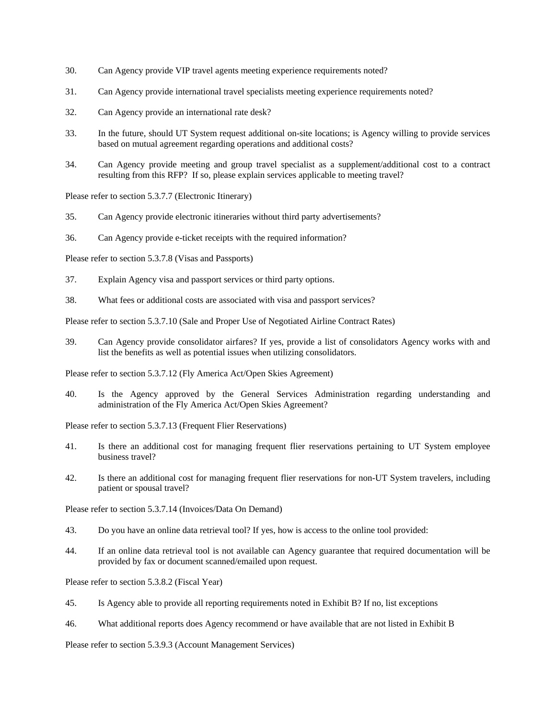- 30. Can Agency provide VIP travel agents meeting experience requirements noted?
- 31. Can Agency provide international travel specialists meeting experience requirements noted?
- 32. Can Agency provide an international rate desk?
- 33. In the future, should UT System request additional on-site locations; is Agency willing to provide services based on mutual agreement regarding operations and additional costs?
- 34. Can Agency provide meeting and group travel specialist as a supplement/additional cost to a contract resulting from this RFP? If so, please explain services applicable to meeting travel?

Please refer to section 5.3.7.7 (Electronic Itinerary)

- 35. Can Agency provide electronic itineraries without third party advertisements?
- 36. Can Agency provide e-ticket receipts with the required information?

Please refer to section 5.3.7.8 (Visas and Passports)

- 37. Explain Agency visa and passport services or third party options.
- 38. What fees or additional costs are associated with visa and passport services?

Please refer to section 5.3.7.10 (Sale and Proper Use of Negotiated Airline Contract Rates)

39. Can Agency provide consolidator airfares? If yes, provide a list of consolidators Agency works with and list the benefits as well as potential issues when utilizing consolidators.

Please refer to section 5.3.7.12 (Fly America Act/Open Skies Agreement)

40. Is the Agency approved by the General Services Administration regarding understanding and administration of the Fly America Act/Open Skies Agreement?

Please refer to section 5.3.7.13 (Frequent Flier Reservations)

- 41. Is there an additional cost for managing frequent flier reservations pertaining to UT System employee business travel?
- 42. Is there an additional cost for managing frequent flier reservations for non-UT System travelers, including patient or spousal travel?

Please refer to section 5.3.7.14 (Invoices/Data On Demand)

- 43. Do you have an online data retrieval tool? If yes, how is access to the online tool provided:
- 44. If an online data retrieval tool is not available can Agency guarantee that required documentation will be provided by fax or document scanned/emailed upon request.

Please refer to section 5.3.8.2 (Fiscal Year)

- 45. Is Agency able to provide all reporting requirements noted in Exhibit B? If no, list exceptions
- 46. What additional reports does Agency recommend or have available that are not listed in Exhibit B

Please refer to section 5.3.9.3 (Account Management Services)